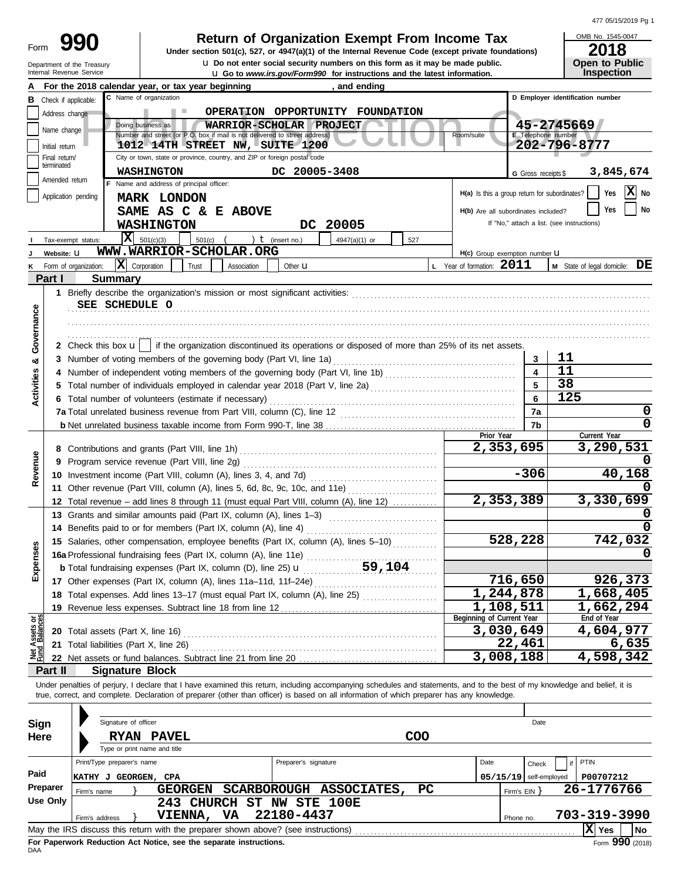|  | 477 05/15/2019 Pg 1 |  |  |
|--|---------------------|--|--|
|--|---------------------|--|--|

| Form |                                                        |
|------|--------------------------------------------------------|
|      | Department of the Treasury<br>Internal Revenue Service |

**u** Go to *www.irs.gov/Form990* for instructions and the latest information. **u** Do not enter social security numbers on this form as it may be made public. **990 1990 2018 Deturn of Organization Exempt From Income Tax 1945-0 2018** 

OMB No. 1545-0047 **Open to Public<br>Inspection** 

|                                |                                                                                                                                                                                     | and ending<br>For the 2018 calendar year, or tax year beginning                                                                                                            |           |                                                 |                     |                                            |  |  |  |  |  |
|--------------------------------|-------------------------------------------------------------------------------------------------------------------------------------------------------------------------------------|----------------------------------------------------------------------------------------------------------------------------------------------------------------------------|-----------|-------------------------------------------------|---------------------|--------------------------------------------|--|--|--|--|--|
| в                              | C Name of organization<br>D Employer identification number<br>Check if applicable:                                                                                                  |                                                                                                                                                                            |           |                                                 |                     |                                            |  |  |  |  |  |
|                                | OPERATION OPPORTUNITY FOUNDATION<br>Address change                                                                                                                                  |                                                                                                                                                                            |           |                                                 |                     |                                            |  |  |  |  |  |
|                                | 45-2745669<br>Doing business as<br>WARRIOR-SCHOLAR PROJECT<br>Name change                                                                                                           |                                                                                                                                                                            |           |                                                 |                     |                                            |  |  |  |  |  |
|                                | Number and street (or P.O. box if mail is not delivered to street address)<br>E Telephone number<br>Room/suite<br>202-796-8777<br>1012 14TH STREET NW, SUITE 1200<br>Initial return |                                                                                                                                                                            |           |                                                 |                     |                                            |  |  |  |  |  |
|                                | Final return/                                                                                                                                                                       | City or town, state or province, country, and ZIP or foreign postal code                                                                                                   |           |                                                 |                     |                                            |  |  |  |  |  |
|                                | terminated                                                                                                                                                                          | <b>WASHINGTON</b><br>DC 20005-3408                                                                                                                                         |           |                                                 |                     | 3,845,674                                  |  |  |  |  |  |
|                                | Amended return                                                                                                                                                                      | F Name and address of principal officer:                                                                                                                                   |           |                                                 | G Gross receipts \$ |                                            |  |  |  |  |  |
|                                |                                                                                                                                                                                     | Application pending<br><b>MARK LONDON</b>                                                                                                                                  |           | $H(a)$ is this a group return for subordinates? |                     | X No<br>Yes                                |  |  |  |  |  |
|                                |                                                                                                                                                                                     | SAME AS C & E ABOVE                                                                                                                                                        |           | H(b) Are all subordinates included?             |                     | No.<br>Yes                                 |  |  |  |  |  |
|                                |                                                                                                                                                                                     | DC 20005<br><b>WASHINGTON</b>                                                                                                                                              |           |                                                 |                     | If "No," attach a list. (see instructions) |  |  |  |  |  |
|                                |                                                                                                                                                                                     |                                                                                                                                                                            |           |                                                 |                     |                                            |  |  |  |  |  |
|                                |                                                                                                                                                                                     | $X = 501(c)(3)$<br>501(c) $($ $)$ $($ $)$ $($ (insert no.)<br>$4947(a)(1)$ or<br>Tax-exempt status:<br>WWW.WARRIOR-SCHOLAR.ORG                                             | 527       |                                                 |                     |                                            |  |  |  |  |  |
|                                | Website: U                                                                                                                                                                          |                                                                                                                                                                            |           | H(c) Group exemption number LI                  |                     |                                            |  |  |  |  |  |
| κ                              |                                                                                                                                                                                     | $\mathbf{X}$ Corporation<br>Trust<br>Association<br>Form of organization:<br>Other <b>u</b>                                                                                |           | L Year of formation: 2011                       |                     | <b>M</b> State of legal domicile: $DE$     |  |  |  |  |  |
|                                | Part I                                                                                                                                                                              | <b>Summary</b>                                                                                                                                                             |           |                                                 |                     |                                            |  |  |  |  |  |
|                                |                                                                                                                                                                                     |                                                                                                                                                                            |           |                                                 |                     |                                            |  |  |  |  |  |
|                                |                                                                                                                                                                                     | SEE SCHEDULE O                                                                                                                                                             |           |                                                 |                     |                                            |  |  |  |  |  |
|                                |                                                                                                                                                                                     |                                                                                                                                                                            |           |                                                 |                     |                                            |  |  |  |  |  |
| Governance                     |                                                                                                                                                                                     |                                                                                                                                                                            |           |                                                 |                     |                                            |  |  |  |  |  |
|                                |                                                                                                                                                                                     | 2 Check this box $\mathbf{u}$   if the organization discontinued its operations or disposed of more than 25% of its net assets.                                            |           |                                                 |                     |                                            |  |  |  |  |  |
| య                              |                                                                                                                                                                                     |                                                                                                                                                                            |           |                                                 | 3                   | 11                                         |  |  |  |  |  |
|                                |                                                                                                                                                                                     |                                                                                                                                                                            |           |                                                 |                     | 11                                         |  |  |  |  |  |
| Activities                     |                                                                                                                                                                                     |                                                                                                                                                                            |           |                                                 |                     | 38                                         |  |  |  |  |  |
|                                |                                                                                                                                                                                     | 6 Total number of volunteers (estimate if necessary)                                                                                                                       |           |                                                 | 6                   | 125                                        |  |  |  |  |  |
|                                |                                                                                                                                                                                     |                                                                                                                                                                            |           |                                                 | 7a                  | 0                                          |  |  |  |  |  |
|                                |                                                                                                                                                                                     |                                                                                                                                                                            |           | Prior Year                                      | 7b                  | 0<br>Current Year                          |  |  |  |  |  |
|                                |                                                                                                                                                                                     |                                                                                                                                                                            |           | 2,353,695                                       |                     | 3,290,531                                  |  |  |  |  |  |
|                                | 9                                                                                                                                                                                   | Program service revenue (Part VIII, line 2g)                                                                                                                               |           |                                                 |                     |                                            |  |  |  |  |  |
| Revenue                        |                                                                                                                                                                                     |                                                                                                                                                                            |           |                                                 | $-306$              | 40,168                                     |  |  |  |  |  |
|                                |                                                                                                                                                                                     | 11 Other revenue (Part VIII, column (A), lines 5, 6d, 8c, 9c, 10c, and 11e)                                                                                                |           |                                                 |                     |                                            |  |  |  |  |  |
|                                |                                                                                                                                                                                     | 12 Total revenue - add lines 8 through 11 (must equal Part VIII, column (A), line 12)                                                                                      |           | 2,353,389                                       |                     | 3,330,699                                  |  |  |  |  |  |
|                                |                                                                                                                                                                                     | 13 Grants and similar amounts paid (Part IX, column (A), lines 1-3)                                                                                                        |           |                                                 |                     |                                            |  |  |  |  |  |
|                                |                                                                                                                                                                                     | 14 Benefits paid to or for members (Part IX, column (A), line 4)                                                                                                           |           |                                                 |                     |                                            |  |  |  |  |  |
|                                |                                                                                                                                                                                     | 15 Salaries, other compensation, employee benefits (Part IX, column (A), lines 5-10)                                                                                       | 528,228   |                                                 | 742,032             |                                            |  |  |  |  |  |
|                                |                                                                                                                                                                                     | 16a Professional fundraising fees (Part IX, column (A), line 11e)                                                                                                          |           |                                                 |                     |                                            |  |  |  |  |  |
| Expenses                       |                                                                                                                                                                                     | 59,104<br><b>b</b> Total fundraising expenses (Part IX, column (D), line 25) $\textbf{u}$                                                                                  |           |                                                 |                     |                                            |  |  |  |  |  |
|                                |                                                                                                                                                                                     | 17 Other expenses (Part IX, column (A), lines 11a-11d, 11f-24e)                                                                                                            |           | 716,650                                         |                     | 926,373                                    |  |  |  |  |  |
|                                |                                                                                                                                                                                     | 18 Total expenses. Add lines 13-17 (must equal Part IX, column (A), line 25) [                                                                                             |           | 1,244,878                                       |                     | 1,668,405                                  |  |  |  |  |  |
|                                |                                                                                                                                                                                     | 19 Revenue less expenses. Subtract line 18 from line 12                                                                                                                    | 1,108,511 |                                                 | 1,662,294           |                                            |  |  |  |  |  |
|                                |                                                                                                                                                                                     |                                                                                                                                                                            |           | Beginning of Current Year                       |                     | End of Year                                |  |  |  |  |  |
| Net Assets or<br>Fund Balances |                                                                                                                                                                                     |                                                                                                                                                                            |           | 3,030,649                                       |                     | 4,604,977                                  |  |  |  |  |  |
|                                |                                                                                                                                                                                     |                                                                                                                                                                            |           | 22,461                                          |                     | 6,635                                      |  |  |  |  |  |
|                                |                                                                                                                                                                                     |                                                                                                                                                                            |           | 3,008,188                                       |                     | 4,598,342                                  |  |  |  |  |  |
|                                | Part II                                                                                                                                                                             | <b>Signature Block</b>                                                                                                                                                     |           |                                                 |                     |                                            |  |  |  |  |  |
|                                |                                                                                                                                                                                     | Under penalties of perjury, I declare that I have examined this return, including accompanying schedules and statements, and to the best of my knowledge and belief, it is |           |                                                 |                     |                                            |  |  |  |  |  |
|                                |                                                                                                                                                                                     | true, correct, and complete. Declaration of preparer (other than officer) is based on all information of which preparer has any knowledge.                                 |           |                                                 |                     |                                            |  |  |  |  |  |
|                                |                                                                                                                                                                                     |                                                                                                                                                                            |           |                                                 |                     |                                            |  |  |  |  |  |
| Sign                           |                                                                                                                                                                                     | Signature of officer                                                                                                                                                       |           |                                                 | Date                |                                            |  |  |  |  |  |
| Here                           |                                                                                                                                                                                     | <b>RYAN PAVEL</b>                                                                                                                                                          | COO       |                                                 |                     |                                            |  |  |  |  |  |
|                                |                                                                                                                                                                                     | Type or print name and title                                                                                                                                               |           |                                                 |                     |                                            |  |  |  |  |  |
|                                |                                                                                                                                                                                     | Print/Type preparer's name<br>Preparer's signature                                                                                                                         |           | Date                                            | Check               | PTIN                                       |  |  |  |  |  |
| Paid                           |                                                                                                                                                                                     | KATHY J GEORGEN, CPA                                                                                                                                                       |           | $05/15/19$ self-employed                        |                     | P00707212                                  |  |  |  |  |  |
|                                | Preparer                                                                                                                                                                            | SCARBOROUGH ASSOCIATES,<br><b>GEORGEN</b><br>Firm's name                                                                                                                   | PC.       | Firm's $EIN$ }                                  |                     | 26-1776766                                 |  |  |  |  |  |
|                                | <b>Use Only</b>                                                                                                                                                                     | 243 CHURCH ST NW STE 100E                                                                                                                                                  |           |                                                 |                     |                                            |  |  |  |  |  |
|                                |                                                                                                                                                                                     | 22180-4437<br>VIENNA, VA<br>Firm's address                                                                                                                                 |           | Phone no.                                       |                     | 703-319-3990                               |  |  |  |  |  |
|                                |                                                                                                                                                                                     |                                                                                                                                                                            |           |                                                 |                     | $ \mathbf{X} $ Yes<br><b>No</b>            |  |  |  |  |  |

| Sign     | Signature of officer                                                                                 |                                                                                            |                       |                      |                         |     |           | Date                     |              |      |
|----------|------------------------------------------------------------------------------------------------------|--------------------------------------------------------------------------------------------|-----------------------|----------------------|-------------------------|-----|-----------|--------------------------|--------------|------|
| Here     | <b>RYAN</b>                                                                                          | <b>PAVEL</b>                                                                               |                       |                      |                         | COO |           |                          |              |      |
|          |                                                                                                      | Type or print name and title                                                               |                       |                      |                         |     |           |                          |              |      |
|          | Print/Type preparer's name                                                                           |                                                                                            |                       | Preparer's signature |                         |     | Date      | Check                    | PTIN         |      |
| Paid     | KATHY J                                                                                              | GEORGEN, CPA                                                                               |                       |                      |                         |     |           | $05/15/19$ self-employed | P00707212    |      |
| Preparer | Firm's name                                                                                          | <b>GEORGEN</b>                                                                             |                       |                      | SCARBOROUGH ASSOCIATES, | PC. |           | Firm's EIN Y             | 26-1776766   |      |
| Use Only |                                                                                                      | 243                                                                                        | CHURCH ST NW STE 100E |                      |                         |     |           |                          |              |      |
|          | Firm's address                                                                                       | <b>VIENNA,</b>                                                                             | VA.                   | 22180-4437           |                         |     | Phone no. |                          | 703-319-3990 |      |
|          | xl<br>May the IRS discuss this return with the preparer shown above? (see instructions)<br>No<br>Yes |                                                                                            |                       |                      |                         |     |           |                          |              |      |
|          |                                                                                                      | First Floor contract Floor from A candidate and and a concerned to cancern the contract of |                       |                      |                         |     |           |                          |              | nnn. |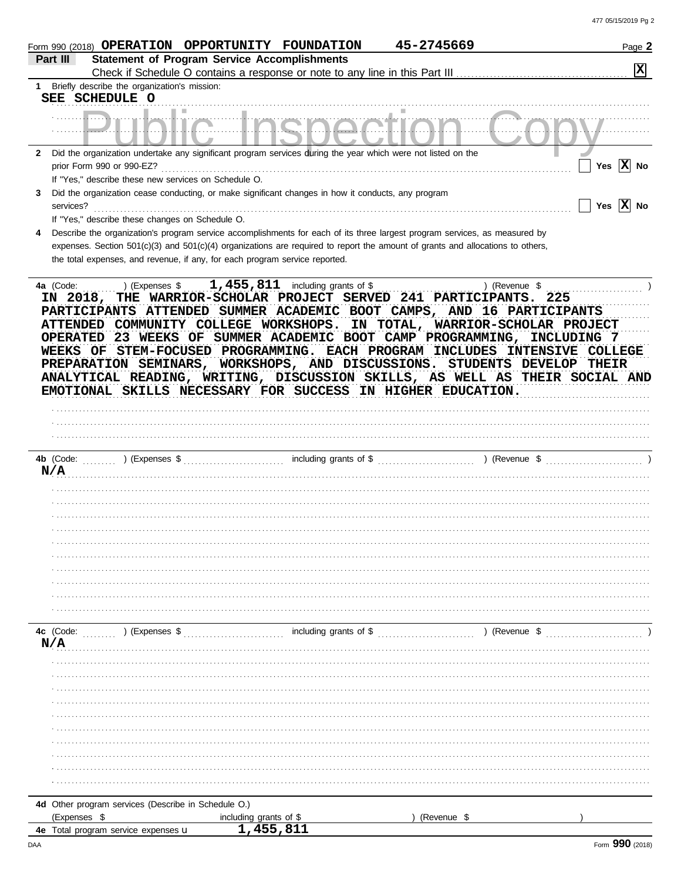| Part III         | Form 990 (2018) OPERATION OPPORTUNITY FOUNDATION<br><b>Statement of Program Service Accomplishments</b>                                                                                                                                                                                                                                                                                   |                                                                | 45-2745669             |               | Page 2                  |
|------------------|-------------------------------------------------------------------------------------------------------------------------------------------------------------------------------------------------------------------------------------------------------------------------------------------------------------------------------------------------------------------------------------------|----------------------------------------------------------------|------------------------|---------------|-------------------------|
| $1 \quad$        | Briefly describe the organization's mission:                                                                                                                                                                                                                                                                                                                                              |                                                                |                        |               | $ \mathbf{x} $          |
|                  | SEE SCHEDULE O                                                                                                                                                                                                                                                                                                                                                                            |                                                                |                        |               |                         |
|                  |                                                                                                                                                                                                                                                                                                                                                                                           |                                                                |                        |               |                         |
| $\mathbf{2}$     | Did the organization undertake any significant program services during the year which were not listed on the<br>prior Form 990 or 990-EZ?                                                                                                                                                                                                                                                 |                                                                |                        |               | Yes $X$ No              |
|                  | If "Yes," describe these new services on Schedule O.                                                                                                                                                                                                                                                                                                                                      |                                                                |                        |               |                         |
| 3<br>services?   | Did the organization cease conducting, or make significant changes in how it conducts, any program<br>If "Yes," describe these changes on Schedule O.                                                                                                                                                                                                                                     |                                                                |                        |               | Yes $ \overline{X} $ No |
|                  | Describe the organization's program service accomplishments for each of its three largest program services, as measured by                                                                                                                                                                                                                                                                |                                                                |                        |               |                         |
|                  | expenses. Section 501(c)(3) and 501(c)(4) organizations are required to report the amount of grants and allocations to others,                                                                                                                                                                                                                                                            |                                                                |                        |               |                         |
|                  | the total expenses, and revenue, if any, for each program service reported.                                                                                                                                                                                                                                                                                                               |                                                                |                        |               |                         |
| <b>OPERATED</b>  | PARTICIPANTS ATTENDED SUMMER ACADEMIC BOOT CAMPS, AND 16 PARTICIPANTS<br>ATTENDED COMMUNITY COLLEGE WORKSHOPS. IN TOTAL, WARRIOR-SCHOLAR PROJECT<br>WEEKS OF STEM-FOCUSED PROGRAMMING. EACH PROGRAM INCLUDES INTENSIVE COLLEGE<br>PREPARATION SEMINARS, WORKSHOPS, AND DISCUSSIONS. STUDENTS DEVELOP THEIR<br>ANALYTICAL READING, WRITING, DISCUSSION SKILLS, AS WELL AS THEIR SOCIAL AND | 23 WEEKS OF SUMMER ACADEMIC BOOT CAMP PROGRAMMING, INCLUDING 7 |                        |               |                         |
|                  | EMOTIONAL SKILLS NECESSARY FOR SUCCESS IN HIGHER EDUCATION.                                                                                                                                                                                                                                                                                                                               |                                                                |                        |               |                         |
|                  |                                                                                                                                                                                                                                                                                                                                                                                           |                                                                |                        |               |                         |
|                  |                                                                                                                                                                                                                                                                                                                                                                                           |                                                                |                        |               |                         |
|                  |                                                                                                                                                                                                                                                                                                                                                                                           |                                                                |                        |               |                         |
| N/A              |                                                                                                                                                                                                                                                                                                                                                                                           |                                                                |                        |               |                         |
|                  |                                                                                                                                                                                                                                                                                                                                                                                           |                                                                |                        |               |                         |
|                  |                                                                                                                                                                                                                                                                                                                                                                                           |                                                                |                        |               |                         |
|                  |                                                                                                                                                                                                                                                                                                                                                                                           |                                                                |                        |               |                         |
|                  |                                                                                                                                                                                                                                                                                                                                                                                           |                                                                |                        |               |                         |
|                  |                                                                                                                                                                                                                                                                                                                                                                                           |                                                                |                        |               |                         |
|                  |                                                                                                                                                                                                                                                                                                                                                                                           |                                                                |                        |               |                         |
|                  |                                                                                                                                                                                                                                                                                                                                                                                           |                                                                |                        |               |                         |
|                  |                                                                                                                                                                                                                                                                                                                                                                                           |                                                                |                        |               |                         |
|                  |                                                                                                                                                                                                                                                                                                                                                                                           |                                                                |                        |               |                         |
| 4c (Code:<br>N/A | (Expenses \$                                                                                                                                                                                                                                                                                                                                                                              |                                                                | including grants of \$ | ) (Revenue \$ |                         |
|                  |                                                                                                                                                                                                                                                                                                                                                                                           |                                                                |                        |               |                         |
|                  |                                                                                                                                                                                                                                                                                                                                                                                           |                                                                |                        |               |                         |
|                  |                                                                                                                                                                                                                                                                                                                                                                                           |                                                                |                        |               |                         |
|                  |                                                                                                                                                                                                                                                                                                                                                                                           |                                                                |                        |               |                         |
|                  |                                                                                                                                                                                                                                                                                                                                                                                           |                                                                |                        |               |                         |
|                  |                                                                                                                                                                                                                                                                                                                                                                                           |                                                                |                        |               |                         |
|                  |                                                                                                                                                                                                                                                                                                                                                                                           |                                                                |                        |               |                         |
|                  |                                                                                                                                                                                                                                                                                                                                                                                           |                                                                |                        |               |                         |
|                  |                                                                                                                                                                                                                                                                                                                                                                                           |                                                                |                        |               |                         |
|                  | 4d Other program services (Describe in Schedule O.)                                                                                                                                                                                                                                                                                                                                       |                                                                |                        |               |                         |
| (Expenses \$     |                                                                                                                                                                                                                                                                                                                                                                                           | including grants of \$                                         | (Revenue \$            |               |                         |
|                  | 4e Total program service expenses u                                                                                                                                                                                                                                                                                                                                                       | 1,455,811                                                      |                        |               |                         |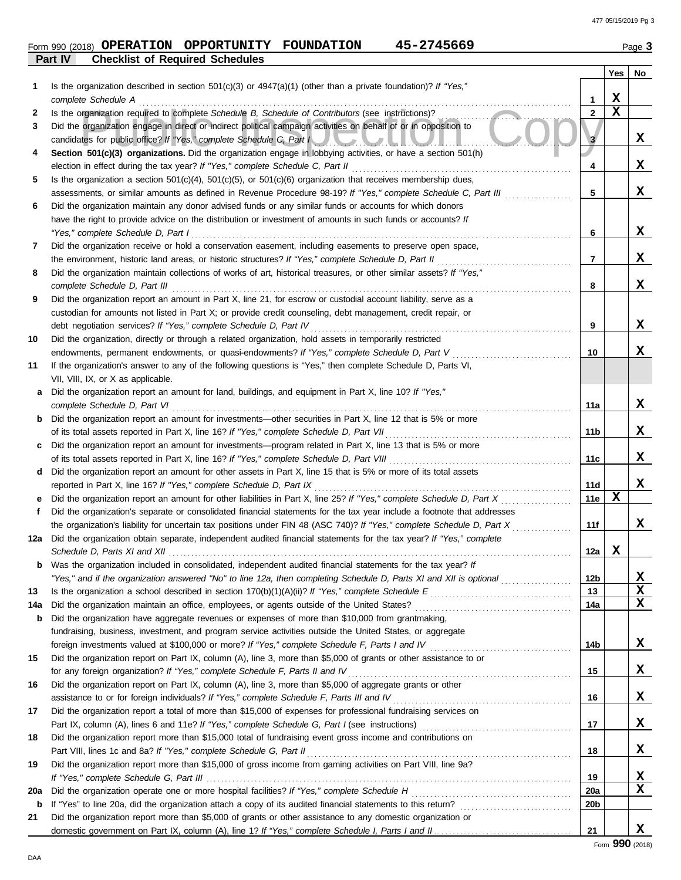# **Form 990 (2018) OPERATION OPPORTUNITY FOUNDATION 45-2745669** Page 3

| ane |  |
|-----|--|
|     |  |

|             | Part IV<br><b>Checklist of Required Schedules</b>                                                                                                                                                                      |                 |             |             |
|-------------|------------------------------------------------------------------------------------------------------------------------------------------------------------------------------------------------------------------------|-----------------|-------------|-------------|
|             |                                                                                                                                                                                                                        |                 | Yes         | No          |
| 1           | Is the organization described in section $501(c)(3)$ or $4947(a)(1)$ (other than a private foundation)? If "Yes,"                                                                                                      |                 |             |             |
|             | complete Schedule A                                                                                                                                                                                                    | 1               | X           |             |
| 2           | Is the organization required to complete Schedule B, Schedule of Contributors (see instructions)?                                                                                                                      | 2               | $\mathbf x$ |             |
| 3           | Did the organization engage in direct or indirect political campaign activities on behalf of or in opposition to                                                                                                       |                 |             |             |
|             | candidates for public office? If "Yes," complete Schedule C, Part I                                                                                                                                                    | 3               |             | x           |
| 4           | Section 501(c)(3) organizations. Did the organization engage in lobbying activities, or have a section 501(h)                                                                                                          |                 |             |             |
|             | election in effect during the tax year? If "Yes," complete Schedule C, Part II                                                                                                                                         | 4               |             | x           |
| 5           | Is the organization a section $501(c)(4)$ , $501(c)(5)$ , or $501(c)(6)$ organization that receives membership dues,                                                                                                   |                 |             |             |
|             | assessments, or similar amounts as defined in Revenue Procedure 98-19? If "Yes," complete Schedule C, Part III                                                                                                         | 5               |             | x           |
| 6           | Did the organization maintain any donor advised funds or any similar funds or accounts for which donors<br>have the right to provide advice on the distribution or investment of amounts in such funds or accounts? If |                 |             |             |
|             | "Yes," complete Schedule D, Part I                                                                                                                                                                                     | 6               |             | x           |
| 7           | Did the organization receive or hold a conservation easement, including easements to preserve open space,                                                                                                              |                 |             |             |
|             | the environment, historic land areas, or historic structures? If "Yes," complete Schedule D, Part II                                                                                                                   | $\overline{7}$  |             | x           |
| 8           | Did the organization maintain collections of works of art, historical treasures, or other similar assets? If "Yes,"                                                                                                    |                 |             |             |
|             | complete Schedule D, Part III                                                                                                                                                                                          | 8               |             | x           |
| 9           | Did the organization report an amount in Part X, line 21, for escrow or custodial account liability, serve as a                                                                                                        |                 |             |             |
|             | custodian for amounts not listed in Part X; or provide credit counseling, debt management, credit repair, or                                                                                                           |                 |             |             |
|             | debt negotiation services? If "Yes," complete Schedule D, Part IV                                                                                                                                                      | 9               |             | x           |
| 10          | Did the organization, directly or through a related organization, hold assets in temporarily restricted                                                                                                                |                 |             |             |
|             | endowments, permanent endowments, or quasi-endowments? If "Yes," complete Schedule D, Part V                                                                                                                           | 10              |             | x           |
| 11          | If the organization's answer to any of the following questions is "Yes," then complete Schedule D, Parts VI,                                                                                                           |                 |             |             |
|             | VII, VIII, IX, or X as applicable.                                                                                                                                                                                     |                 |             |             |
| a           | Did the organization report an amount for land, buildings, and equipment in Part X, line 10? If "Yes,"                                                                                                                 |                 |             |             |
|             | complete Schedule D, Part VI                                                                                                                                                                                           | 11a             |             | x           |
| b           | Did the organization report an amount for investments—other securities in Part X, line 12 that is 5% or more                                                                                                           |                 |             |             |
|             | of its total assets reported in Part X, line 16? If "Yes," complete Schedule D, Part VII                                                                                                                               | 11b             |             | x           |
|             | Did the organization report an amount for investments—program related in Part X, line 13 that is 5% or more                                                                                                            |                 |             |             |
|             | of its total assets reported in Part X, line 16? If "Yes," complete Schedule D, Part VIII                                                                                                                              | 11c             |             | X           |
| d           | Did the organization report an amount for other assets in Part X, line 15 that is 5% or more of its total assets                                                                                                       |                 |             |             |
|             | reported in Part X, line 16? If "Yes," complete Schedule D, Part IX                                                                                                                                                    | 11d             |             | X           |
| е           | Did the organization report an amount for other liabilities in Part X, line 25? If "Yes," complete Schedule D, Part X                                                                                                  | 11e             | х           |             |
| f           | Did the organization's separate or consolidated financial statements for the tax year include a footnote that addresses                                                                                                |                 |             |             |
|             | the organization's liability for uncertain tax positions under FIN 48 (ASC 740)? If "Yes," complete Schedule D, Part X                                                                                                 | 11f             |             | x           |
| 12a         | Did the organization obtain separate, independent audited financial statements for the tax year? If "Yes," complete                                                                                                    |                 | X           |             |
|             | Schedule D. Parts XI and XII<br><b>b</b> Was the organization included in consolidated, independent audited financial statements for the tax year? If                                                                  | 12a l           |             |             |
|             | "Yes," and if the organization answered "No" to line 12a, then completing Schedule D, Parts XI and XII is optional                                                                                                     | 12 <sub>b</sub> |             | X           |
| 13          |                                                                                                                                                                                                                        | 13              |             | $\mathbf x$ |
| 14a         |                                                                                                                                                                                                                        | 14a             |             | $\mathbf x$ |
| b           | Did the organization have aggregate revenues or expenses of more than \$10,000 from grantmaking,                                                                                                                       |                 |             |             |
|             | fundraising, business, investment, and program service activities outside the United States, or aggregate                                                                                                              |                 |             |             |
|             |                                                                                                                                                                                                                        | 14b             |             | X           |
| 15          | Did the organization report on Part IX, column (A), line 3, more than \$5,000 of grants or other assistance to or                                                                                                      |                 |             |             |
|             | for any foreign organization? If "Yes," complete Schedule F, Parts II and IV [[[[[[[[[[[[[[[[[[[[[[[[[[[[[[[[[                                                                                                         | 15              |             | X           |
| 16          | Did the organization report on Part IX, column (A), line 3, more than \$5,000 of aggregate grants or other                                                                                                             |                 |             |             |
|             |                                                                                                                                                                                                                        | 16              |             | X           |
| 17          | Did the organization report a total of more than \$15,000 of expenses for professional fundraising services on                                                                                                         |                 |             |             |
|             |                                                                                                                                                                                                                        | 17              |             | X           |
| 18          | Did the organization report more than \$15,000 total of fundraising event gross income and contributions on                                                                                                            |                 |             |             |
|             |                                                                                                                                                                                                                        | 18              |             | X           |
| 19          | Did the organization report more than \$15,000 of gross income from gaming activities on Part VIII, line 9a?                                                                                                           |                 |             |             |
|             |                                                                                                                                                                                                                        | 19              |             | X           |
| 20a         |                                                                                                                                                                                                                        | 20a             |             | X           |
| $\mathbf b$ |                                                                                                                                                                                                                        | 20 <sub>b</sub> |             |             |
| 21          | Did the organization report more than \$5,000 of grants or other assistance to any domestic organization or                                                                                                            |                 |             |             |
|             |                                                                                                                                                                                                                        | 21              |             | x           |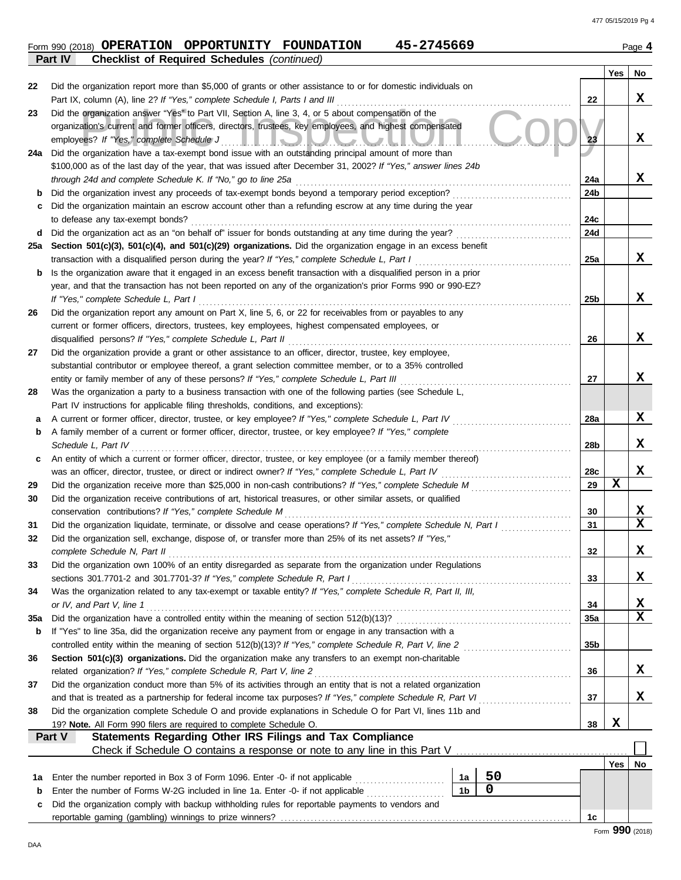#### Form 990 (2018) **OPERATION OPPORTUNITY FOUNDATION** 45-2745669 Page 4 **OPERATION OPPORTUNITY FOUNDATION 45-2745669**

| Page | л |
|------|---|
|      |   |

|     | <b>Checklist of Required Schedules (continued)</b><br><b>Part IV</b>                                                                                                                        |                |    |                 |             |    |  |  |  |
|-----|---------------------------------------------------------------------------------------------------------------------------------------------------------------------------------------------|----------------|----|-----------------|-------------|----|--|--|--|
|     |                                                                                                                                                                                             |                |    |                 | Yes         | No |  |  |  |
| 22  | Did the organization report more than \$5,000 of grants or other assistance to or for domestic individuals on                                                                               |                |    |                 |             |    |  |  |  |
|     | Part IX, column (A), line 2? If "Yes," complete Schedule I, Parts I and III                                                                                                                 |                |    | 22              |             | X  |  |  |  |
| 23  | Did the organization answer "Yes" to Part VII, Section A, line 3, 4, or 5 about compensation of the                                                                                         |                |    |                 |             |    |  |  |  |
|     | organization's current and former officers, directors, trustees, key employees, and highest compensated                                                                                     |                |    |                 |             |    |  |  |  |
|     | employees? If "Yes," complete Schedule J<br><u> HOIDAOAD AHAD</u>                                                                                                                           |                |    | 23              |             | X  |  |  |  |
| 24a | Did the organization have a tax-exempt bond issue with an outstanding principal amount of more than                                                                                         |                |    |                 |             |    |  |  |  |
|     | \$100,000 as of the last day of the year, that was issued after December 31, 2002? If "Yes," answer lines 24b                                                                               |                |    |                 |             |    |  |  |  |
|     | through 24d and complete Schedule K. If "No," go to line 25a                                                                                                                                |                |    | 24a             |             | x  |  |  |  |
| b   |                                                                                                                                                                                             |                |    | 24b             |             |    |  |  |  |
| с   | Did the organization maintain an escrow account other than a refunding escrow at any time during the year                                                                                   |                |    |                 |             |    |  |  |  |
|     | to defease any tax-exempt bonds?                                                                                                                                                            |                |    | 24c<br>24d      |             |    |  |  |  |
| d   | Section 501(c)(3), 501(c)(4), and 501(c)(29) organizations. Did the organization engage in an excess benefit                                                                                |                |    |                 |             |    |  |  |  |
| 25a | transaction with a disqualified person during the year? If "Yes," complete Schedule L, Part I                                                                                               |                |    | 25a             |             | x  |  |  |  |
| b   | Is the organization aware that it engaged in an excess benefit transaction with a disqualified person in a prior                                                                            |                |    |                 |             |    |  |  |  |
|     | year, and that the transaction has not been reported on any of the organization's prior Forms 990 or 990-EZ?                                                                                |                |    |                 |             |    |  |  |  |
|     | If "Yes," complete Schedule L, Part I                                                                                                                                                       |                |    | 25 <sub>b</sub> |             | x  |  |  |  |
| 26  | Did the organization report any amount on Part X, line 5, 6, or 22 for receivables from or payables to any                                                                                  |                |    |                 |             |    |  |  |  |
|     | current or former officers, directors, trustees, key employees, highest compensated employees, or                                                                                           |                |    |                 |             |    |  |  |  |
|     | disqualified persons? If "Yes," complete Schedule L, Part II                                                                                                                                |                |    | 26              |             | x  |  |  |  |
| 27  | Did the organization provide a grant or other assistance to an officer, director, trustee, key employee,                                                                                    |                |    |                 |             |    |  |  |  |
|     | substantial contributor or employee thereof, a grant selection committee member, or to a 35% controlled                                                                                     |                |    |                 |             |    |  |  |  |
|     | entity or family member of any of these persons? If "Yes," complete Schedule L, Part III                                                                                                    |                |    | 27              |             | x  |  |  |  |
| 28  | Was the organization a party to a business transaction with one of the following parties (see Schedule L,                                                                                   |                |    |                 |             |    |  |  |  |
|     | Part IV instructions for applicable filing thresholds, conditions, and exceptions):                                                                                                         |                |    |                 |             |    |  |  |  |
| а   | A current or former officer, director, trustee, or key employee? If "Yes," complete Schedule L, Part IV                                                                                     |                |    | 28a             |             | x  |  |  |  |
| b   | A family member of a current or former officer, director, trustee, or key employee? If "Yes," complete                                                                                      |                |    |                 |             |    |  |  |  |
|     | Schedule L, Part IV                                                                                                                                                                         |                |    |                 |             |    |  |  |  |
| с   | An entity of which a current or former officer, director, trustee, or key employee (or a family member thereof)                                                                             |                |    |                 |             |    |  |  |  |
|     | was an officer, director, trustee, or direct or indirect owner? If "Yes," complete Schedule L, Part IV                                                                                      |                |    | 28c             |             | х  |  |  |  |
| 29  | Did the organization receive more than \$25,000 in non-cash contributions? If "Yes," complete Schedule M                                                                                    |                |    | 29              | х           |    |  |  |  |
| 30  | Did the organization receive contributions of art, historical treasures, or other similar assets, or qualified                                                                              |                |    |                 |             |    |  |  |  |
|     | conservation contributions? If "Yes," complete Schedule M                                                                                                                                   |                |    | 30              |             | x  |  |  |  |
| 31  | Did the organization liquidate, terminate, or dissolve and cease operations? If "Yes," complete Schedule N, Part I                                                                          |                |    | 31              |             | x  |  |  |  |
| 32  | Did the organization sell, exchange, dispose of, or transfer more than 25% of its net assets? If "Yes,"                                                                                     |                |    |                 |             |    |  |  |  |
|     | complete Schedule N, Part II                                                                                                                                                                |                |    | 32              |             | х  |  |  |  |
| 33  | Did the organization own 100% of an entity disregarded as separate from the organization under Regulations                                                                                  |                |    |                 |             |    |  |  |  |
|     | sections 301.7701-2 and 301.7701-3? If "Yes," complete Schedule R, Part I<br>Was the organization related to any tax-exempt or taxable entity? If "Yes," complete Schedule R, Part II, III, |                |    | 33              |             | X  |  |  |  |
| 34  |                                                                                                                                                                                             |                |    | 34              |             | х  |  |  |  |
| 35a | or IV, and Part V, line 1                                                                                                                                                                   |                |    | 35a             |             | X  |  |  |  |
| b   | If "Yes" to line 35a, did the organization receive any payment from or engage in any transaction with a                                                                                     |                |    |                 |             |    |  |  |  |
|     |                                                                                                                                                                                             |                |    | 35b             |             |    |  |  |  |
| 36  | Section 501(c)(3) organizations. Did the organization make any transfers to an exempt non-charitable                                                                                        |                |    |                 |             |    |  |  |  |
|     |                                                                                                                                                                                             |                |    | 36              |             | X  |  |  |  |
| 37  | Did the organization conduct more than 5% of its activities through an entity that is not a related organization                                                                            |                |    |                 |             |    |  |  |  |
|     | 37                                                                                                                                                                                          |                |    |                 |             |    |  |  |  |
| 38  | Did the organization complete Schedule O and provide explanations in Schedule O for Part VI, lines 11b and                                                                                  |                |    |                 |             |    |  |  |  |
|     | 19? Note. All Form 990 filers are required to complete Schedule O.                                                                                                                          |                |    | 38              | $\mathbf x$ |    |  |  |  |
|     | <b>Statements Regarding Other IRS Filings and Tax Compliance</b><br>Part V                                                                                                                  |                |    |                 |             |    |  |  |  |
|     | Check if Schedule O contains a response or note to any line in this Part V                                                                                                                  |                |    |                 |             |    |  |  |  |
|     |                                                                                                                                                                                             |                |    |                 | Yes         | No |  |  |  |
| 1a  | Enter the number reported in Box 3 of Form 1096. Enter -0- if not applicable                                                                                                                | 1a             | 50 |                 |             |    |  |  |  |
| b   | Enter the number of Forms W-2G included in line 1a. Enter -0- if not applicable                                                                                                             | 1 <sub>b</sub> | 0  |                 |             |    |  |  |  |
| с   | Did the organization comply with backup withholding rules for reportable payments to vendors and                                                                                            |                |    |                 |             |    |  |  |  |
|     |                                                                                                                                                                                             |                |    | 1c              | מחח         |    |  |  |  |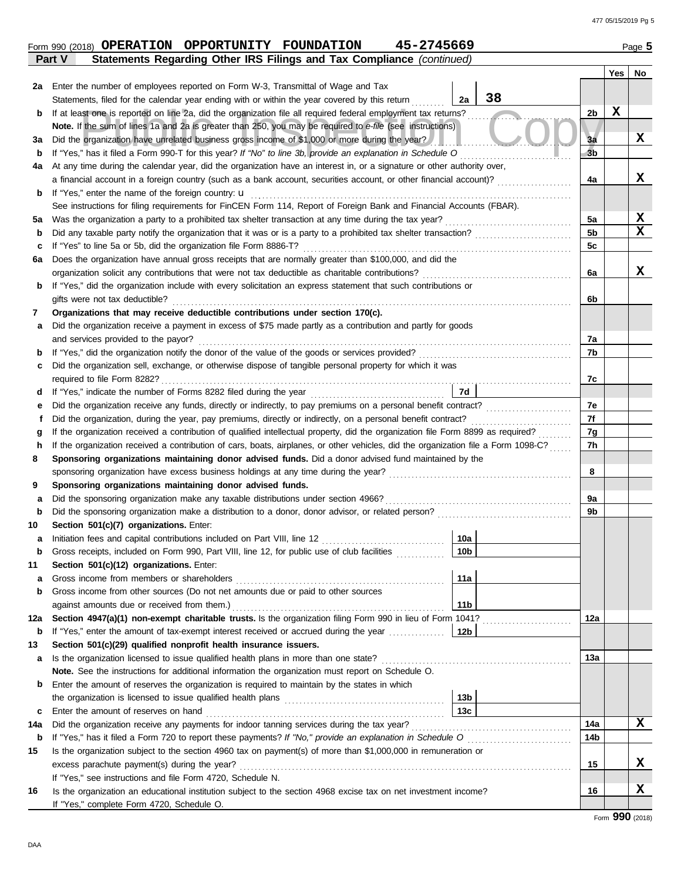|     | 45-2745669<br>Form 990 (2018) OPERATION OPPORTUNITY FOUNDATION                                                                                                                                                        |                |             | Page 5      |
|-----|-----------------------------------------------------------------------------------------------------------------------------------------------------------------------------------------------------------------------|----------------|-------------|-------------|
|     | Statements Regarding Other IRS Filings and Tax Compliance (continued)<br>Part V                                                                                                                                       |                |             |             |
|     |                                                                                                                                                                                                                       |                | Yes         | No          |
| 2a  | Enter the number of employees reported on Form W-3, Transmittal of Wage and Tax<br>38                                                                                                                                 |                |             |             |
|     | Statements, filed for the calendar year ending with or within the year covered by this return<br>2a<br>If at least one is reported on line 2a, did the organization file all required federal employment tax returns? | 2 <sub>b</sub> | $\mathbf x$ |             |
| b   | Note. If the sum of lines 1a and 2a is greater than 250, you may be required to e-file (see instructions)                                                                                                             |                |             |             |
| За  | Did the organization have unrelated business gross income of \$1,000 or more during the year?                                                                                                                         | 3a             |             | X           |
| b   | If "Yes," has it filed a Form 990-T for this year? If "No" to line 3b, provide an explanation in Schedule O                                                                                                           | 3 <sub>b</sub> |             |             |
| 4a  | At any time during the calendar year, did the organization have an interest in, or a signature or other authority over,                                                                                               |                |             |             |
|     | a financial account in a foreign country (such as a bank account, securities account, or other financial account)?                                                                                                    | 4a             |             | x           |
| b   | If "Yes," enter the name of the foreign country: u                                                                                                                                                                    |                |             |             |
|     | See instructions for filing requirements for FinCEN Form 114, Report of Foreign Bank and Financial Accounts (FBAR).                                                                                                   |                |             |             |
| 5а  | Was the organization a party to a prohibited tax shelter transaction at any time during the tax year?                                                                                                                 | 5a             |             | X           |
| b   | Did any taxable party notify the organization that it was or is a party to a prohibited tax shelter transaction?                                                                                                      | 5b             |             | $\mathbf x$ |
| c   | If "Yes" to line 5a or 5b, did the organization file Form 8886-T?                                                                                                                                                     | 5c             |             |             |
| 6a  | Does the organization have annual gross receipts that are normally greater than \$100,000, and did the                                                                                                                |                |             |             |
|     | organization solicit any contributions that were not tax deductible as charitable contributions?                                                                                                                      | 6a             |             | x           |
| b   | If "Yes," did the organization include with every solicitation an express statement that such contributions or                                                                                                        |                |             |             |
|     | gifts were not tax deductible?                                                                                                                                                                                        | 6b             |             |             |
| 7   | Organizations that may receive deductible contributions under section 170(c).                                                                                                                                         |                |             |             |
| а   | Did the organization receive a payment in excess of \$75 made partly as a contribution and partly for goods                                                                                                           |                |             |             |
|     | and services provided to the payor?                                                                                                                                                                                   | 7a             |             |             |
| b   |                                                                                                                                                                                                                       | 7b             |             |             |
| c   | Did the organization sell, exchange, or otherwise dispose of tangible personal property for which it was                                                                                                              | 7c             |             |             |
| d   | 7d                                                                                                                                                                                                                    |                |             |             |
| е   | Did the organization receive any funds, directly or indirectly, to pay premiums on a personal benefit contract?                                                                                                       | 7e             |             |             |
| f   | Did the organization, during the year, pay premiums, directly or indirectly, on a personal benefit contract?                                                                                                          | 7f             |             |             |
| g   | If the organization received a contribution of qualified intellectual property, did the organization file Form 8899 as required?                                                                                      | 7g             |             |             |
| h   | If the organization received a contribution of cars, boats, airplanes, or other vehicles, did the organization file a Form 1098-C?                                                                                    | 7h             |             |             |
| 8   | Sponsoring organizations maintaining donor advised funds. Did a donor advised fund maintained by the                                                                                                                  |                |             |             |
|     | sponsoring organization have excess business holdings at any time during the year?                                                                                                                                    | 8              |             |             |
| 9   | Sponsoring organizations maintaining donor advised funds.                                                                                                                                                             |                |             |             |
| а   | Did the sponsoring organization make any taxable distributions under section 4966?                                                                                                                                    | 9a             |             |             |
| b   |                                                                                                                                                                                                                       | 9b             |             |             |
| 10  | Section 501(c)(7) organizations. Enter:                                                                                                                                                                               |                |             |             |
|     | 10a<br>Initiation fees and capital contributions included on Part VIII, line 12                                                                                                                                       |                |             |             |
| b   | 10 <sub>b</sub><br>Gross receipts, included on Form 990, Part VIII, line 12, for public use of club facilities                                                                                                        |                |             |             |
| 11  | Section 501(c)(12) organizations. Enter:                                                                                                                                                                              |                |             |             |
| а   | 11a<br>Gross income from members or shareholders                                                                                                                                                                      |                |             |             |
| b   | Gross income from other sources (Do not net amounts due or paid to other sources<br>11 <sub>b</sub>                                                                                                                   |                |             |             |
| 12a | Section 4947(a)(1) non-exempt charitable trusts. Is the organization filing Form 990 in lieu of Form 1041?                                                                                                            | 12a            |             |             |
| b   | If "Yes," enter the amount of tax-exempt interest received or accrued during the year<br>12 <sub>b</sub>                                                                                                              |                |             |             |
| 13  | Section 501(c)(29) qualified nonprofit health insurance issuers.                                                                                                                                                      |                |             |             |
| а   | Is the organization licensed to issue qualified health plans in more than one state?                                                                                                                                  | 13а            |             |             |
|     | Note. See the instructions for additional information the organization must report on Schedule O.                                                                                                                     |                |             |             |
| b   | Enter the amount of reserves the organization is required to maintain by the states in which                                                                                                                          |                |             |             |
|     | 13 <sub>b</sub>                                                                                                                                                                                                       |                |             |             |
| c   | 13 <sub>c</sub>                                                                                                                                                                                                       |                |             |             |
| 14a | Did the organization receive any payments for indoor tanning services during the tax year?                                                                                                                            | 14a            |             | X           |
| b   | If "Yes," has it filed a Form 720 to report these payments? If "No," provide an explanation in Schedule O                                                                                                             | 14b            |             |             |
| 15  | Is the organization subject to the section 4960 tax on payment(s) of more than \$1,000,000 in remuneration or                                                                                                         |                |             |             |
|     | excess parachute payment(s) during the year?                                                                                                                                                                          | 15             |             | x           |
|     | If "Yes," see instructions and file Form 4720, Schedule N.                                                                                                                                                            |                |             |             |
| 16  | Is the organization an educational institution subject to the section 4968 excise tax on net investment income?                                                                                                       | 16             |             | X           |
|     | If "Yes," complete Form 4720, Schedule O.                                                                                                                                                                             |                |             |             |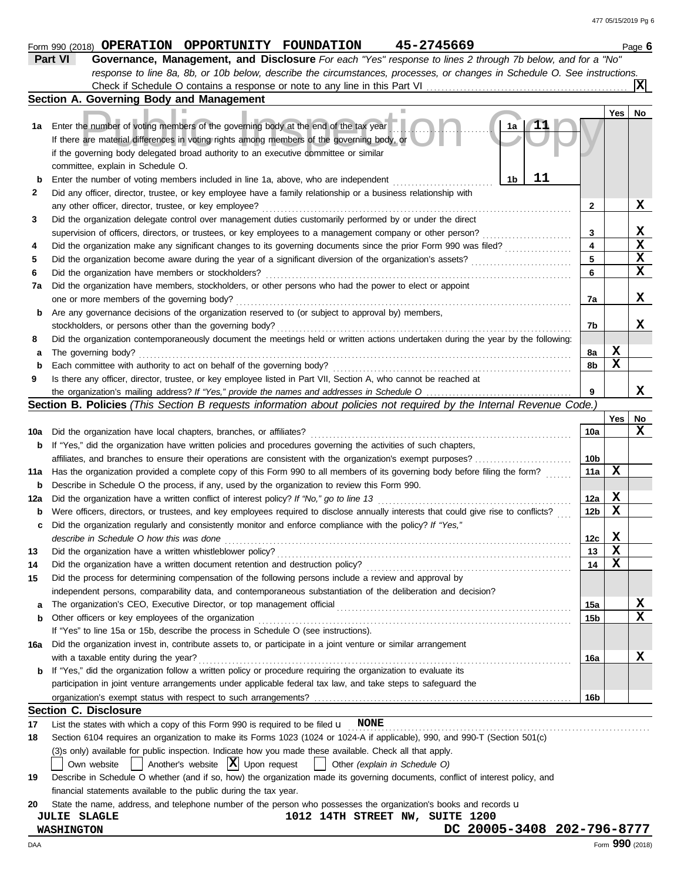|     | response to line 8a, 8b, or 10b below, describe the circumstances, processes, or changes in Schedule O. See instructions.                                                                                                                                                                                            |                 |             |                 |  |  |  |  |  |
|-----|----------------------------------------------------------------------------------------------------------------------------------------------------------------------------------------------------------------------------------------------------------------------------------------------------------------------|-----------------|-------------|-----------------|--|--|--|--|--|
|     |                                                                                                                                                                                                                                                                                                                      |                 |             |                 |  |  |  |  |  |
|     | Section A. Governing Body and Management                                                                                                                                                                                                                                                                             |                 |             |                 |  |  |  |  |  |
| 1а  | Enter the number of voting members of the governing body at the end of the tax year<br>1a<br>If there are material differences in voting rights among members of the governing body, or<br>if the governing body delegated broad authority to an executive committee or similar<br>committee, explain in Schedule O. |                 | Yes         | No              |  |  |  |  |  |
| b   | 11<br>Enter the number of voting members included in line 1a, above, who are independent<br>1b                                                                                                                                                                                                                       |                 |             |                 |  |  |  |  |  |
| 2   | Did any officer, director, trustee, or key employee have a family relationship or a business relationship with                                                                                                                                                                                                       |                 |             |                 |  |  |  |  |  |
|     | any other officer, director, trustee, or key employee?                                                                                                                                                                                                                                                               | 2               |             | X               |  |  |  |  |  |
| 3   | Did the organization delegate control over management duties customarily performed by or under the direct                                                                                                                                                                                                            |                 |             |                 |  |  |  |  |  |
|     | supervision of officers, directors, or trustees, or key employees to a management company or other person?                                                                                                                                                                                                           | 3               |             | X               |  |  |  |  |  |
| 4   | Did the organization make any significant changes to its governing documents since the prior Form 990 was filed?                                                                                                                                                                                                     | 4               |             | $\mathbf x$     |  |  |  |  |  |
| 5   | Did the organization become aware during the year of a significant diversion of the organization's assets?                                                                                                                                                                                                           | 5               |             | $\mathbf x$     |  |  |  |  |  |
| 6   | Did the organization have members or stockholders?                                                                                                                                                                                                                                                                   | 6               |             | X               |  |  |  |  |  |
| 7a  | Did the organization have members, stockholders, or other persons who had the power to elect or appoint                                                                                                                                                                                                              |                 |             |                 |  |  |  |  |  |
|     | one or more members of the governing body?                                                                                                                                                                                                                                                                           | 7a              |             | X               |  |  |  |  |  |
| b   | Are any governance decisions of the organization reserved to (or subject to approval by) members,                                                                                                                                                                                                                    |                 |             |                 |  |  |  |  |  |
|     | stockholders, or persons other than the governing body?                                                                                                                                                                                                                                                              | 7b              |             | x               |  |  |  |  |  |
| 8   | Did the organization contemporaneously document the meetings held or written actions undertaken during the year by the following:                                                                                                                                                                                    |                 |             |                 |  |  |  |  |  |
| а   | The governing body?                                                                                                                                                                                                                                                                                                  | 8a              | X           |                 |  |  |  |  |  |
| b   | Each committee with authority to act on behalf of the governing body?                                                                                                                                                                                                                                                | 8b              | X           |                 |  |  |  |  |  |
| 9   | Is there any officer, director, trustee, or key employee listed in Part VII, Section A, who cannot be reached at                                                                                                                                                                                                     |                 |             |                 |  |  |  |  |  |
|     |                                                                                                                                                                                                                                                                                                                      | 9               |             | х               |  |  |  |  |  |
|     | Section B. Policies (This Section B requests information about policies not required by the Internal Revenue Code.)                                                                                                                                                                                                  |                 |             |                 |  |  |  |  |  |
|     |                                                                                                                                                                                                                                                                                                                      |                 | Yes l       | No              |  |  |  |  |  |
| 10a | Did the organization have local chapters, branches, or affiliates?                                                                                                                                                                                                                                                   | 10a             |             | x               |  |  |  |  |  |
| b   | If "Yes," did the organization have written policies and procedures governing the activities of such chapters,                                                                                                                                                                                                       |                 |             |                 |  |  |  |  |  |
|     | affiliates, and branches to ensure their operations are consistent with the organization's exempt purposes?                                                                                                                                                                                                          | 10b             |             |                 |  |  |  |  |  |
| 11a | Has the organization provided a complete copy of this Form 990 to all members of its governing body before filing the form?                                                                                                                                                                                          | 11a             | х           |                 |  |  |  |  |  |
| b   | Describe in Schedule O the process, if any, used by the organization to review this Form 990.                                                                                                                                                                                                                        |                 |             |                 |  |  |  |  |  |
| 12a | Did the organization have a written conflict of interest policy? If "No," go to line 13                                                                                                                                                                                                                              | 12a             | X           |                 |  |  |  |  |  |
| b   | Were officers, directors, or trustees, and key employees required to disclose annually interests that could give rise to conflicts?                                                                                                                                                                                  | 12 <sub>b</sub> | х           |                 |  |  |  |  |  |
| c   | Did the organization regularly and consistently monitor and enforce compliance with the policy? If "Yes,"                                                                                                                                                                                                            |                 |             |                 |  |  |  |  |  |
|     | describe in Schedule O how this was done                                                                                                                                                                                                                                                                             | 12 <sub>c</sub> | X           |                 |  |  |  |  |  |
| 13  |                                                                                                                                                                                                                                                                                                                      | 13              | X           |                 |  |  |  |  |  |
|     | Did the organization have a written document retention and destruction policy?                                                                                                                                                                                                                                       | 14              | $\mathbf x$ |                 |  |  |  |  |  |
| 15  | Did the process for determining compensation of the following persons include a review and approval by                                                                                                                                                                                                               |                 |             |                 |  |  |  |  |  |
|     | independent persons, comparability data, and contemporaneous substantiation of the deliberation and decision?                                                                                                                                                                                                        |                 |             |                 |  |  |  |  |  |
| а   |                                                                                                                                                                                                                                                                                                                      | 15a             |             | x               |  |  |  |  |  |
| b   | Other officers or key employees of the organization                                                                                                                                                                                                                                                                  | 15b             |             | x               |  |  |  |  |  |
|     | If "Yes" to line 15a or 15b, describe the process in Schedule O (see instructions).                                                                                                                                                                                                                                  |                 |             |                 |  |  |  |  |  |
| 16а | Did the organization invest in, contribute assets to, or participate in a joint venture or similar arrangement                                                                                                                                                                                                       |                 |             |                 |  |  |  |  |  |
|     | with a taxable entity during the year?                                                                                                                                                                                                                                                                               | 16a             |             | x               |  |  |  |  |  |
| b   | If "Yes," did the organization follow a written policy or procedure requiring the organization to evaluate its                                                                                                                                                                                                       |                 |             |                 |  |  |  |  |  |
|     | participation in joint venture arrangements under applicable federal tax law, and take steps to safeguard the                                                                                                                                                                                                        |                 |             |                 |  |  |  |  |  |
|     |                                                                                                                                                                                                                                                                                                                      | 16b             |             |                 |  |  |  |  |  |
|     | <b>Section C. Disclosure</b>                                                                                                                                                                                                                                                                                         |                 |             |                 |  |  |  |  |  |
| 17  | List the states with which a copy of this Form 990 is required to be filed $\mathbf{u}$ NONE                                                                                                                                                                                                                         |                 |             |                 |  |  |  |  |  |
| 18  | Section 6104 requires an organization to make its Forms 1023 (1024 or 1024-A if applicable), 990, and 990-T (Section 501(c)                                                                                                                                                                                          |                 |             |                 |  |  |  |  |  |
|     | (3)s only) available for public inspection. Indicate how you made these available. Check all that apply.                                                                                                                                                                                                             |                 |             |                 |  |  |  |  |  |
|     | $\vert$ Another's website $\vert X \vert$ Upon request<br>Own website<br>Other (explain in Schedule O)<br>$\mathbf{1}$                                                                                                                                                                                               |                 |             |                 |  |  |  |  |  |
| 19  | Describe in Schedule O whether (and if so, how) the organization made its governing documents, conflict of interest policy, and                                                                                                                                                                                      |                 |             |                 |  |  |  |  |  |
|     | financial statements available to the public during the tax year.                                                                                                                                                                                                                                                    |                 |             |                 |  |  |  |  |  |
| 20  | State the name, address, and telephone number of the person who possesses the organization's books and records u                                                                                                                                                                                                     |                 |             |                 |  |  |  |  |  |
|     | 1012 14TH STREET NW, SUITE 1200<br><b>JULIE SLAGLE</b><br>DC 20005-3408 202-796-8777                                                                                                                                                                                                                                 |                 |             |                 |  |  |  |  |  |
|     | <b>WASHINGTON</b>                                                                                                                                                                                                                                                                                                    |                 |             | Form 990 (2018) |  |  |  |  |  |
| DAA |                                                                                                                                                                                                                                                                                                                      |                 |             |                 |  |  |  |  |  |

**Form 990 (2018) OPERATION OPPORTUNITY FOUNDATION 45-2745669** Page 6 **Part VI Governance, Management, and Disclosure** *For each "Yes" response to lines 2 through 7b below, and for a "No"*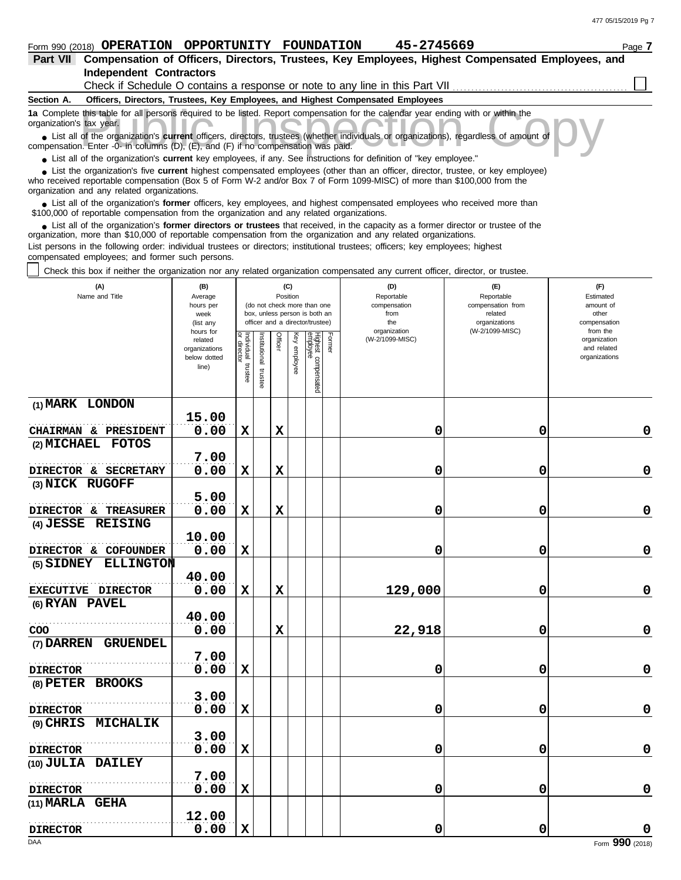| Part VII                                                                                                                                                                                                                                                                                                   |                       |                        |               |         |              |                                 |        | Compensation of Officers, Directors, Trustees, Key Employees, Highest Compensated Employees, and |                              |                          |
|------------------------------------------------------------------------------------------------------------------------------------------------------------------------------------------------------------------------------------------------------------------------------------------------------------|-----------------------|------------------------|---------------|---------|--------------|---------------------------------|--------|--------------------------------------------------------------------------------------------------|------------------------------|--------------------------|
| <b>Independent Contractors</b>                                                                                                                                                                                                                                                                             |                       |                        |               |         |              |                                 |        |                                                                                                  |                              |                          |
|                                                                                                                                                                                                                                                                                                            |                       |                        |               |         |              |                                 |        | Check if Schedule O contains a response or note to any line in this Part VII                     |                              |                          |
| Section A.                                                                                                                                                                                                                                                                                                 |                       |                        |               |         |              |                                 |        | Officers, Directors, Trustees, Key Employees, and Highest Compensated Employees                  |                              |                          |
| 1a Complete this table for all persons required to be listed. Report compensation for the calendar year ending with or within the<br>organization's tax year.                                                                                                                                              |                       |                        |               |         |              |                                 |        |                                                                                                  |                              |                          |
| List all of the organization's <b>current</b> officers, directors, trustees (whether individuals or organizations), regardless of amount of<br>compensation. Enter -0- in columns (D), (E), and (F) if no compensation was paid.                                                                           |                       |                        |               |         |              |                                 |        |                                                                                                  |                              |                          |
| • List all of the organization's current key employees, if any. See instructions for definition of "key employee."                                                                                                                                                                                         |                       |                        |               |         |              |                                 |        |                                                                                                  |                              |                          |
| • List the organization's five current highest compensated employees (other than an officer, director, trustee, or key employee)<br>who received reportable compensation (Box 5 of Form W-2 and/or Box 7 of Form 1099-MISC) of more than \$100,000 from the<br>organization and any related organizations. |                       |                        |               |         |              |                                 |        |                                                                                                  |                              |                          |
| • List all of the organization's former officers, key employees, and highest compensated employees who received more than<br>\$100,000 of reportable compensation from the organization and any related organizations.                                                                                     |                       |                        |               |         |              |                                 |        |                                                                                                  |                              |                          |
| • List all of the organization's former directors or trustees that received, in the capacity as a former director or trustee of the<br>organization, more than \$10,000 of reportable compensation from the organization and any related organizations.                                                    |                       |                        |               |         |              |                                 |        |                                                                                                  |                              |                          |
| List persons in the following order: individual trustees or directors; institutional trustees; officers; key employees; highest                                                                                                                                                                            |                       |                        |               |         |              |                                 |        |                                                                                                  |                              |                          |
| compensated employees; and former such persons.<br>Check this box if neither the organization nor any related organization compensated any current officer, director, or trustee.                                                                                                                          |                       |                        |               |         |              |                                 |        |                                                                                                  |                              |                          |
| (A)                                                                                                                                                                                                                                                                                                        | (B)                   |                        |               |         | (C)          |                                 |        | (D)                                                                                              | (F)                          | (F)                      |
| Name and Title                                                                                                                                                                                                                                                                                             | Average               |                        |               |         | Position     | (do not check more than one     |        | Reportable                                                                                       | Reportable                   | Estimated<br>amount of   |
|                                                                                                                                                                                                                                                                                                            | hours per<br>week     |                        |               |         |              | box, unless person is both an   |        | compensation<br>from                                                                             | compensation from<br>related | other                    |
|                                                                                                                                                                                                                                                                                                            | (list any             |                        |               |         |              | officer and a director/trustee) |        | the                                                                                              | organizations                | compensation             |
|                                                                                                                                                                                                                                                                                                            | hours for<br>related  |                        |               | Officer |              |                                 | Former | organization<br>(W-2/1099-MISC)                                                                  | (W-2/1099-MISC)              | from the<br>organization |
|                                                                                                                                                                                                                                                                                                            | organizations         | Individual<br>director | Institutional |         | Key employee | Highest c<br>employee           |        |                                                                                                  |                              | and related              |
|                                                                                                                                                                                                                                                                                                            | below dotted<br>line) |                        |               |         |              |                                 |        |                                                                                                  |                              | organizations            |
|                                                                                                                                                                                                                                                                                                            |                       | trustee                | truste        |         |              |                                 |        |                                                                                                  |                              |                          |
|                                                                                                                                                                                                                                                                                                            |                       |                        |               |         |              | compensated                     |        |                                                                                                  |                              |                          |
| (1) MARK LONDON                                                                                                                                                                                                                                                                                            |                       |                        |               |         |              |                                 |        |                                                                                                  |                              |                          |
|                                                                                                                                                                                                                                                                                                            | 15.00                 |                        |               |         |              |                                 |        |                                                                                                  |                              |                          |
| CHAIRMAN & PRESIDENT                                                                                                                                                                                                                                                                                       | 0.00                  | X                      |               | X       |              |                                 |        | 0                                                                                                | 0                            | 0                        |
| (2) MICHAEL<br><b>FOTOS</b>                                                                                                                                                                                                                                                                                |                       |                        |               |         |              |                                 |        |                                                                                                  |                              |                          |

|                      | 15.00 |             |             |         |   |                 |
|----------------------|-------|-------------|-------------|---------|---|-----------------|
| CHAIRMAN & PRESIDENT | 0.00  | $\mathbf x$ | X           | 0       | 0 | $\mathbf 0$     |
| (2) MICHAEL FOTOS    |       |             |             |         |   |                 |
|                      | 7.00  |             |             |         |   |                 |
| DIRECTOR & SECRETARY | 0.00  | X           | X           | 0       | 0 | $\mathbf 0$     |
| (3) NICK RUGOFF      |       |             |             |         |   |                 |
|                      | 5.00  |             |             |         |   |                 |
| DIRECTOR & TREASURER | 0.00  | X           | $\mathbf x$ | 0       | 0 | $\mathbf 0$     |
| (4) JESSE REISING    |       |             |             |         |   |                 |
|                      | 10.00 |             |             |         |   |                 |
| DIRECTOR & COFOUNDER | 0.00  | $\mathbf x$ |             | 0       | 0 | $\mathbf 0$     |
| (5) SIDNEY ELLINGTON |       |             |             |         |   |                 |
|                      | 40.00 |             |             |         |   |                 |
| EXECUTIVE DIRECTOR   | 0.00  | X           | X           | 129,000 | 0 | $\mathbf 0$     |
| (6) RYAN PAVEL       |       |             |             |         |   |                 |
|                      | 40.00 |             |             |         |   |                 |
| $\rm{COO}$           | 0.00  |             | $\mathbf x$ | 22,918  | 0 | $\mathbf 0$     |
| (7) DARREN GRUENDEL  |       |             |             |         |   |                 |
|                      | 7.00  |             |             |         |   |                 |
| <b>DIRECTOR</b>      | 0.00  | X           |             | 0       | 0 | $\mathbf 0$     |
| (8) PETER BROOKS     |       |             |             |         |   |                 |
|                      | 3.00  |             |             |         |   |                 |
| <b>DIRECTOR</b>      | 0.00  | $\mathbf x$ |             | 0       | 0 | $\mathbf 0$     |
| (9) CHRIS MICHALIK   |       |             |             |         |   |                 |
|                      | 3.00  |             |             |         |   |                 |
| <b>DIRECTOR</b>      | 0.00  | $\mathbf x$ |             | 0       | 0 | $\mathbf 0$     |
| (10) JULIA DAILEY    |       |             |             |         |   |                 |
|                      | 7.00  |             |             |         |   |                 |
| <b>DIRECTOR</b>      | 0.00  | $\mathbf x$ |             | 0       | 0 | $\mathbf 0$     |
| (11) MARLA GEHA      |       |             |             |         |   |                 |
|                      | 12.00 |             |             |         |   |                 |
| <b>DIRECTOR</b>      | 0.00  | X           |             | 0       | 0 | 0               |
| DAA                  |       |             |             |         |   | Form 990 (2018) |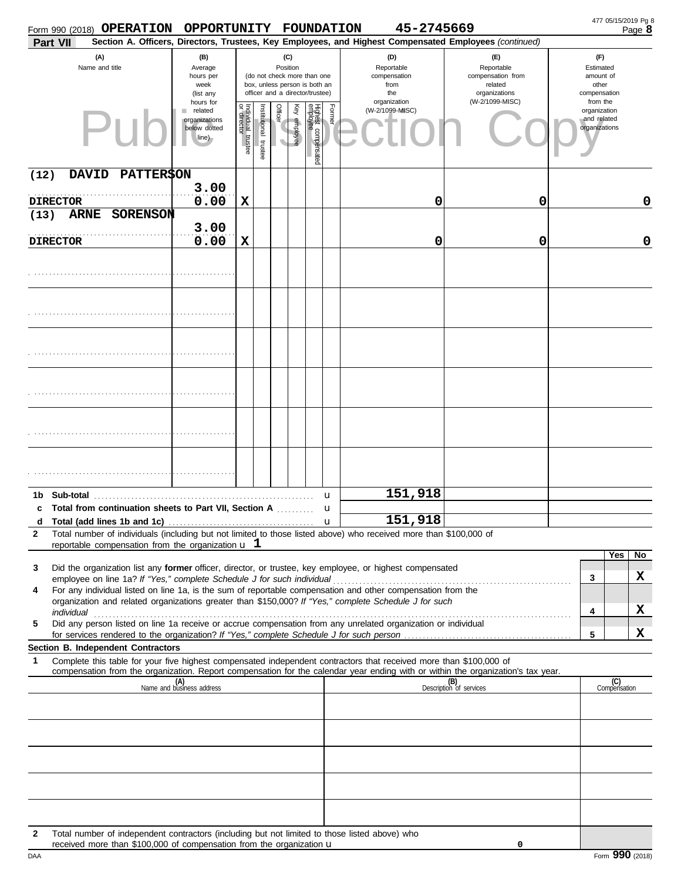| Form 990 (2018) OPERATION                                                                                                                                                                                                                                                                                                                            | OPPORTUNITY FOUNDATION                                         |                                      |                       |                                                                                                                    |              |                                 |              | 45-2745669                                                                                             |                                                                    |                                                          | Page 8              |
|------------------------------------------------------------------------------------------------------------------------------------------------------------------------------------------------------------------------------------------------------------------------------------------------------------------------------------------------------|----------------------------------------------------------------|--------------------------------------|-----------------------|--------------------------------------------------------------------------------------------------------------------|--------------|---------------------------------|--------------|--------------------------------------------------------------------------------------------------------|--------------------------------------------------------------------|----------------------------------------------------------|---------------------|
| Part VII                                                                                                                                                                                                                                                                                                                                             |                                                                |                                      |                       |                                                                                                                    |              |                                 |              | Section A. Officers, Directors, Trustees, Key Employees, and Highest Compensated Employees (continued) |                                                                    |                                                          |                     |
| (A)<br>Name and title                                                                                                                                                                                                                                                                                                                                | (B)<br>Average<br>hours per<br>week<br>(list any               |                                      |                       | (C)<br>Position<br>(do not check more than one<br>box, unless person is both an<br>officer and a director/trustee) |              |                                 |              | (D)<br>Reportable<br>compensation<br>from<br>the                                                       | (F)<br>Reportable<br>compensation from<br>related<br>organizations | (F)<br>Estimated<br>amount of<br>other<br>compensation   |                     |
|                                                                                                                                                                                                                                                                                                                                                      | hours for<br>related<br>organizations<br>below dotted<br>line) | Individual<br>or director<br>trustee | Institutional trustee | Officer                                                                                                            | Key employee | Highest compensated<br>employee | Former       | organization<br>(W-2/1099-MISC)                                                                        | (W-2/1099-MISC)                                                    | from the<br>organization<br>and related<br>organizations |                     |
| <b>PATTER\$ON</b><br>(12)<br><b>DAVID</b>                                                                                                                                                                                                                                                                                                            |                                                                |                                      |                       |                                                                                                                    |              |                                 |              |                                                                                                        |                                                                    |                                                          |                     |
|                                                                                                                                                                                                                                                                                                                                                      | 3.00                                                           |                                      |                       |                                                                                                                    |              |                                 |              |                                                                                                        |                                                                    |                                                          |                     |
| <b>DIRECTOR</b><br>SORENSON<br>(13)<br><b>ARNE</b>                                                                                                                                                                                                                                                                                                   | 0.00                                                           | X                                    |                       |                                                                                                                    |              |                                 |              | 0                                                                                                      | 0                                                                  |                                                          | 0                   |
|                                                                                                                                                                                                                                                                                                                                                      | 3.00                                                           |                                      |                       |                                                                                                                    |              |                                 |              |                                                                                                        |                                                                    |                                                          |                     |
| <b>DIRECTOR</b>                                                                                                                                                                                                                                                                                                                                      | 0.00                                                           | X                                    |                       |                                                                                                                    |              |                                 |              | 0                                                                                                      | 0                                                                  |                                                          | 0                   |
|                                                                                                                                                                                                                                                                                                                                                      |                                                                |                                      |                       |                                                                                                                    |              |                                 |              |                                                                                                        |                                                                    |                                                          |                     |
|                                                                                                                                                                                                                                                                                                                                                      |                                                                |                                      |                       |                                                                                                                    |              |                                 |              |                                                                                                        |                                                                    |                                                          |                     |
|                                                                                                                                                                                                                                                                                                                                                      |                                                                |                                      |                       |                                                                                                                    |              |                                 |              |                                                                                                        |                                                                    |                                                          |                     |
|                                                                                                                                                                                                                                                                                                                                                      |                                                                |                                      |                       |                                                                                                                    |              |                                 |              |                                                                                                        |                                                                    |                                                          |                     |
|                                                                                                                                                                                                                                                                                                                                                      |                                                                |                                      |                       |                                                                                                                    |              |                                 |              |                                                                                                        |                                                                    |                                                          |                     |
|                                                                                                                                                                                                                                                                                                                                                      |                                                                |                                      |                       |                                                                                                                    |              |                                 |              |                                                                                                        |                                                                    |                                                          |                     |
|                                                                                                                                                                                                                                                                                                                                                      |                                                                |                                      |                       |                                                                                                                    |              |                                 |              |                                                                                                        |                                                                    |                                                          |                     |
|                                                                                                                                                                                                                                                                                                                                                      |                                                                |                                      |                       |                                                                                                                    |              |                                 | u            | 151,918                                                                                                |                                                                    |                                                          |                     |
| Total from continuation sheets to Part VII, Section A<br>c                                                                                                                                                                                                                                                                                           |                                                                |                                      |                       |                                                                                                                    |              |                                 | u            | 151,918                                                                                                |                                                                    |                                                          |                     |
| d Total (add lines 1b and 1c)<br>$\mathbf{2}$<br>Total number of individuals (including but not limited to those listed above) who received more than \$100,000 of<br>reportable compensation from the organization $\mathbf u$ 1                                                                                                                    |                                                                |                                      |                       |                                                                                                                    |              |                                 | $\mathbf{u}$ |                                                                                                        |                                                                    |                                                          |                     |
| Did the organization list any former officer, director, or trustee, key employee, or highest compensated<br>3                                                                                                                                                                                                                                        |                                                                |                                      |                       |                                                                                                                    |              |                                 |              |                                                                                                        |                                                                    | Yes                                                      | No                  |
| employee on line 1a? If "Yes," complete Schedule J for such individual<br>For any individual listed on line 1a, is the sum of reportable compensation and other compensation from the<br>4                                                                                                                                                           |                                                                |                                      |                       |                                                                                                                    |              |                                 |              |                                                                                                        |                                                                    | 3                                                        | X                   |
| organization and related organizations greater than \$150,000? If "Yes," complete Schedule J for such                                                                                                                                                                                                                                                |                                                                |                                      |                       |                                                                                                                    |              |                                 |              |                                                                                                        |                                                                    |                                                          |                     |
| individual discussed and the contract of the contract of the contract of the contract of the contract of the contract of the contract of the contract of the contract of the contract of the contract of the contract of the c<br>Did any person listed on line 1a receive or accrue compensation from any unrelated organization or individual<br>5 |                                                                |                                      |                       |                                                                                                                    |              |                                 |              |                                                                                                        |                                                                    | 4                                                        | X                   |
| Section B. Independent Contractors                                                                                                                                                                                                                                                                                                                   |                                                                |                                      |                       |                                                                                                                    |              |                                 |              |                                                                                                        |                                                                    | 5                                                        | x                   |
| Complete this table for your five highest compensated independent contractors that received more than \$100,000 of<br>1                                                                                                                                                                                                                              |                                                                |                                      |                       |                                                                                                                    |              |                                 |              |                                                                                                        |                                                                    |                                                          |                     |
| compensation from the organization. Report compensation for the calendar year ending with or within the organization's tax year.                                                                                                                                                                                                                     | (A)<br>Name and business address                               |                                      |                       |                                                                                                                    |              |                                 |              |                                                                                                        | (B)<br>Description of services                                     |                                                          | (C)<br>Compensation |
|                                                                                                                                                                                                                                                                                                                                                      |                                                                |                                      |                       |                                                                                                                    |              |                                 |              |                                                                                                        |                                                                    |                                                          |                     |
|                                                                                                                                                                                                                                                                                                                                                      |                                                                |                                      |                       |                                                                                                                    |              |                                 |              |                                                                                                        |                                                                    |                                                          |                     |
|                                                                                                                                                                                                                                                                                                                                                      |                                                                |                                      |                       |                                                                                                                    |              |                                 |              |                                                                                                        |                                                                    |                                                          |                     |
|                                                                                                                                                                                                                                                                                                                                                      |                                                                |                                      |                       |                                                                                                                    |              |                                 |              |                                                                                                        |                                                                    |                                                          |                     |
|                                                                                                                                                                                                                                                                                                                                                      |                                                                |                                      |                       |                                                                                                                    |              |                                 |              |                                                                                                        |                                                                    |                                                          |                     |
|                                                                                                                                                                                                                                                                                                                                                      |                                                                |                                      |                       |                                                                                                                    |              |                                 |              |                                                                                                        |                                                                    |                                                          |                     |
|                                                                                                                                                                                                                                                                                                                                                      |                                                                |                                      |                       |                                                                                                                    |              |                                 |              |                                                                                                        |                                                                    |                                                          |                     |
| Total number of independent contractors (including but not limited to those listed above) who<br>2<br>received more than \$100,000 of compensation from the organization u                                                                                                                                                                           |                                                                |                                      |                       |                                                                                                                    |              |                                 |              |                                                                                                        | 0                                                                  |                                                          |                     |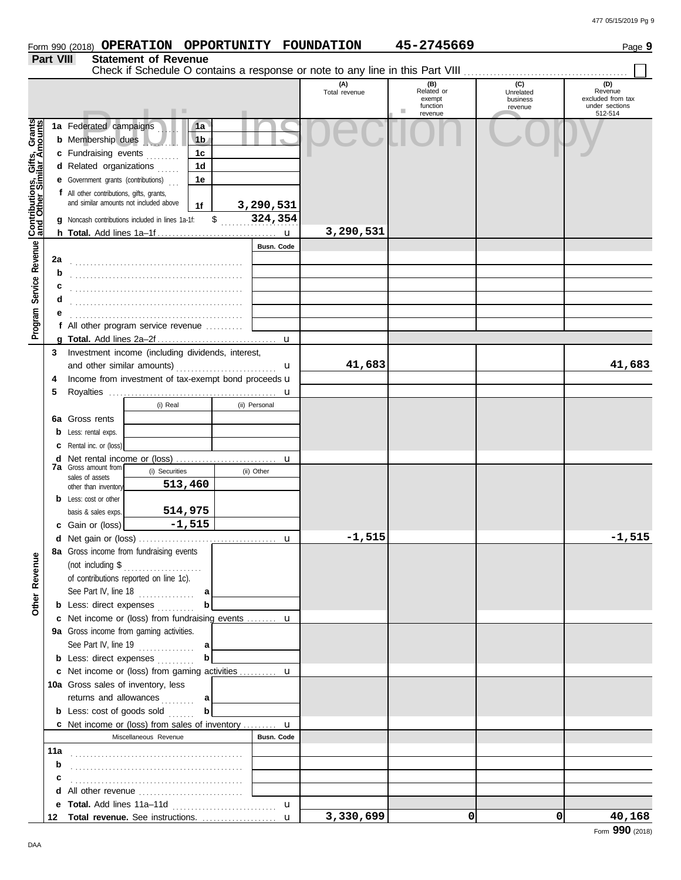|                                                             |           | Form 990 (2018) OPERATION OPPORTUNITY FOUNDATION                                                                                        |                                        |                           |                      | 45-2745669                                              |                                         | Page 9                                                           |
|-------------------------------------------------------------|-----------|-----------------------------------------------------------------------------------------------------------------------------------------|----------------------------------------|---------------------------|----------------------|---------------------------------------------------------|-----------------------------------------|------------------------------------------------------------------|
|                                                             | Part VIII | <b>Statement of Revenue</b>                                                                                                             |                                        |                           |                      |                                                         |                                         |                                                                  |
|                                                             |           |                                                                                                                                         |                                        |                           |                      |                                                         |                                         |                                                                  |
|                                                             |           | . .                                                                                                                                     |                                        |                           | (A)<br>Total revenue | (B)<br>Related or<br>exempt<br>function<br>ш<br>revenue | (C)<br>Unrelated<br>business<br>revenue | (D)<br>Revenue<br>excluded from tax<br>under sections<br>512-514 |
|                                                             |           | 1a Federated campaigns<br><b>b</b> Membership dues<br>c Fundraising events                                                              | 1a<br>1 <sub>b</sub><br>1 <sub>c</sub> |                           |                      |                                                         |                                         |                                                                  |
|                                                             |           | d Related organizations<br><b>e</b> Government grants (contributions)                                                                   | 1 <sub>d</sub><br>1e                   |                           |                      |                                                         |                                         |                                                                  |
| Program Service Revenue <b>Contributions, Gifts, Grants</b> |           | f All other contributions, gifts, grants,<br>and similar amounts not included above<br>g Noncash contributions included in lines 1a-1f: | 1f<br>$\mathbb{S}$                     | 3,290,531<br>324,354      |                      |                                                         |                                         |                                                                  |
|                                                             |           |                                                                                                                                         |                                        | $\mathbf u$               | 3,290,531            |                                                         |                                         |                                                                  |
|                                                             |           |                                                                                                                                         |                                        | Busn. Code                |                      |                                                         |                                         |                                                                  |
|                                                             | 2a<br>b   |                                                                                                                                         |                                        |                           |                      |                                                         |                                         |                                                                  |
|                                                             |           |                                                                                                                                         |                                        |                           |                      |                                                         |                                         |                                                                  |
|                                                             | d         |                                                                                                                                         |                                        |                           |                      |                                                         |                                         |                                                                  |
|                                                             |           |                                                                                                                                         |                                        |                           |                      |                                                         |                                         |                                                                  |
|                                                             |           | f All other program service revenue                                                                                                     |                                        |                           |                      |                                                         |                                         |                                                                  |
|                                                             | 3         | Investment income (including dividends, interest,                                                                                       |                                        | $\mathbf u$               |                      |                                                         |                                         |                                                                  |
|                                                             |           | and other similar amounts)                                                                                                              |                                        | u                         | 41,683               |                                                         |                                         | 41,683                                                           |
|                                                             | 4         | Income from investment of tax-exempt bond proceeds u                                                                                    |                                        |                           |                      |                                                         |                                         |                                                                  |
|                                                             | 5         |                                                                                                                                         |                                        |                           |                      |                                                         |                                         |                                                                  |
|                                                             |           | (i) Real                                                                                                                                |                                        | (ii) Personal             |                      |                                                         |                                         |                                                                  |
|                                                             | 6а        | Gross rents                                                                                                                             |                                        |                           |                      |                                                         |                                         |                                                                  |
|                                                             |           | Less: rental exps.                                                                                                                      |                                        |                           |                      |                                                         |                                         |                                                                  |
|                                                             |           | Rental inc. or (loss)                                                                                                                   |                                        |                           |                      |                                                         |                                         |                                                                  |
|                                                             | d         | <b>7a</b> Gross amount from<br>(i) Securities                                                                                           |                                        | $\mathbf u$<br>(ii) Other |                      |                                                         |                                         |                                                                  |
|                                                             |           | sales of assets<br>513,460                                                                                                              |                                        |                           |                      |                                                         |                                         |                                                                  |
|                                                             | b         | other than inventory<br>Less: cost or other                                                                                             |                                        |                           |                      |                                                         |                                         |                                                                  |
|                                                             |           | 514,975<br>basis & sales exps.                                                                                                          |                                        |                           |                      |                                                         |                                         |                                                                  |
|                                                             |           | c Gain or (loss)                                                                                                                        | $-1,515$                               |                           |                      |                                                         |                                         |                                                                  |
|                                                             |           | d Net gain or (loss)                                                                                                                    |                                        |                           | $-1.515$             |                                                         |                                         | $-1,515$                                                         |
|                                                             |           | 8a Gross income from fundraising events                                                                                                 |                                        |                           |                      |                                                         |                                         |                                                                  |
|                                                             |           | (not including $\$\dots$                                                                                                                |                                        |                           |                      |                                                         |                                         |                                                                  |
|                                                             |           | of contributions reported on line 1c).                                                                                                  |                                        |                           |                      |                                                         |                                         |                                                                  |
| <b>Other Revenue</b>                                        |           | See Part IV, line $18$<br><b>b</b> Less: direct expenses                                                                                | a<br>b                                 |                           |                      |                                                         |                                         |                                                                  |
|                                                             |           | c Net income or (loss) from fundraising events  u                                                                                       |                                        |                           |                      |                                                         |                                         |                                                                  |
|                                                             |           | 9a Gross income from gaming activities.                                                                                                 |                                        |                           |                      |                                                         |                                         |                                                                  |
|                                                             |           | See Part IV, line 19 $\ldots$                                                                                                           | a                                      |                           |                      |                                                         |                                         |                                                                  |
|                                                             |           | <b>b</b> Less: direct expenses                                                                                                          | $\mathbf b$                            |                           |                      |                                                         |                                         |                                                                  |
|                                                             |           | c Net income or (loss) from gaming activities  u                                                                                        |                                        |                           |                      |                                                         |                                         |                                                                  |
|                                                             |           | 10a Gross sales of inventory, less                                                                                                      |                                        |                           |                      |                                                         |                                         |                                                                  |
|                                                             |           | returns and allowances                                                                                                                  | a                                      |                           |                      |                                                         |                                         |                                                                  |
|                                                             |           | <b>b</b> Less: cost of goods sold                                                                                                       | $\mathbf{b}$                           |                           |                      |                                                         |                                         |                                                                  |
|                                                             |           | <b>c</b> Net income or (loss) from sales of inventory $\mathbf{u}$<br>Miscellaneous Revenue                                             |                                        | Busn. Code                |                      |                                                         |                                         |                                                                  |
|                                                             |           |                                                                                                                                         |                                        |                           |                      |                                                         |                                         |                                                                  |
|                                                             | b         |                                                                                                                                         |                                        |                           |                      |                                                         |                                         |                                                                  |
|                                                             | с         |                                                                                                                                         |                                        |                           |                      |                                                         |                                         |                                                                  |
|                                                             |           |                                                                                                                                         |                                        |                           |                      |                                                         |                                         |                                                                  |
|                                                             |           |                                                                                                                                         |                                        | $\mathbf{u}$              |                      |                                                         |                                         |                                                                  |
|                                                             |           |                                                                                                                                         |                                        |                           | 3,330,699            | 0                                                       | $\Omega$                                | 40,168                                                           |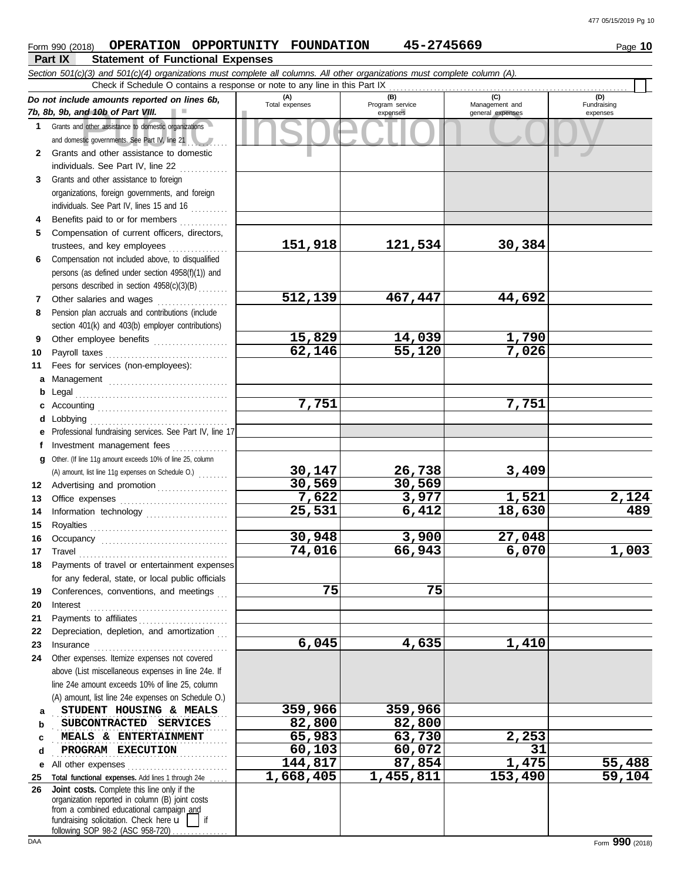## **Form 990 (2018) OPERATION OPPORTUNITY FOUNDATION 45-2745669** Page 10

**Part IX Statement of Functional Expenses**

|          | Section 501(c)(3) and 501(c)(4) organizations must complete all columns. All other organizations must complete column (A).                                                                                                                                                                                                                                                                                                                                                                                                         |                |                             |                  |             |
|----------|------------------------------------------------------------------------------------------------------------------------------------------------------------------------------------------------------------------------------------------------------------------------------------------------------------------------------------------------------------------------------------------------------------------------------------------------------------------------------------------------------------------------------------|----------------|-----------------------------|------------------|-------------|
|          | Check if Schedule O contains a response or note to any line in this Part IX                                                                                                                                                                                                                                                                                                                                                                                                                                                        | (A)            | (B)                         | (C)              | (D)         |
|          | Do not include amounts reported on lines 6b,<br>7b, 8b, 9b, and 10b of Part VIII.                                                                                                                                                                                                                                                                                                                                                                                                                                                  | Total expenses | Program service<br>expenses | Management and   | Fundraising |
|          | 1 Grants and other assistance to domestic organizations                                                                                                                                                                                                                                                                                                                                                                                                                                                                            |                |                             | general expenses | expenses    |
|          | and domestic governments. See Part IV, line 21                                                                                                                                                                                                                                                                                                                                                                                                                                                                                     |                |                             |                  |             |
|          | 2 Grants and other assistance to domestic                                                                                                                                                                                                                                                                                                                                                                                                                                                                                          |                |                             |                  |             |
|          | individuals. See Part IV, line 22                                                                                                                                                                                                                                                                                                                                                                                                                                                                                                  |                |                             |                  |             |
| 3        | Grants and other assistance to foreign                                                                                                                                                                                                                                                                                                                                                                                                                                                                                             |                |                             |                  |             |
|          | organizations, foreign governments, and foreign                                                                                                                                                                                                                                                                                                                                                                                                                                                                                    |                |                             |                  |             |
|          | individuals. See Part IV, lines 15 and 16                                                                                                                                                                                                                                                                                                                                                                                                                                                                                          |                |                             |                  |             |
| 4        | Benefits paid to or for members                                                                                                                                                                                                                                                                                                                                                                                                                                                                                                    |                |                             |                  |             |
| 5        | Compensation of current officers, directors,                                                                                                                                                                                                                                                                                                                                                                                                                                                                                       |                |                             |                  |             |
|          | trustees, and key employees                                                                                                                                                                                                                                                                                                                                                                                                                                                                                                        | 151,918        | 121,534                     | 30,384           |             |
| 6        | Compensation not included above, to disqualified                                                                                                                                                                                                                                                                                                                                                                                                                                                                                   |                |                             |                  |             |
|          | persons (as defined under section 4958(f)(1)) and                                                                                                                                                                                                                                                                                                                                                                                                                                                                                  |                |                             |                  |             |
|          | persons described in section 4958(c)(3)(B)                                                                                                                                                                                                                                                                                                                                                                                                                                                                                         |                |                             |                  |             |
| 7        | Other salaries and wages                                                                                                                                                                                                                                                                                                                                                                                                                                                                                                           | 512,139        | 467,447                     | 44,692           |             |
| 8        | Pension plan accruals and contributions (include                                                                                                                                                                                                                                                                                                                                                                                                                                                                                   |                |                             |                  |             |
|          | section 401(k) and 403(b) employer contributions)                                                                                                                                                                                                                                                                                                                                                                                                                                                                                  |                |                             |                  |             |
| 9        | Other employee benefits                                                                                                                                                                                                                                                                                                                                                                                                                                                                                                            | 15,829         | 14,039                      | 1,790            |             |
| 10       |                                                                                                                                                                                                                                                                                                                                                                                                                                                                                                                                    | 62,146         | 55,120                      | 7,026            |             |
| 11       | Fees for services (non-employees):                                                                                                                                                                                                                                                                                                                                                                                                                                                                                                 |                |                             |                  |             |
| a        | Management                                                                                                                                                                                                                                                                                                                                                                                                                                                                                                                         |                |                             |                  |             |
| b        |                                                                                                                                                                                                                                                                                                                                                                                                                                                                                                                                    |                |                             |                  |             |
|          |                                                                                                                                                                                                                                                                                                                                                                                                                                                                                                                                    | 7,751          |                             | 7,751            |             |
|          |                                                                                                                                                                                                                                                                                                                                                                                                                                                                                                                                    |                |                             |                  |             |
|          | Professional fundraising services. See Part IV, line 17                                                                                                                                                                                                                                                                                                                                                                                                                                                                            |                |                             |                  |             |
|          | Investment management fees                                                                                                                                                                                                                                                                                                                                                                                                                                                                                                         |                |                             |                  |             |
| g        | Other. (If line 11g amount exceeds 10% of line 25, column                                                                                                                                                                                                                                                                                                                                                                                                                                                                          |                |                             |                  |             |
|          | (A) amount, list line 11g expenses on Schedule O.)                                                                                                                                                                                                                                                                                                                                                                                                                                                                                 | 30,147         | 26,738                      | 3,409            |             |
| 12       | Advertising and promotion                                                                                                                                                                                                                                                                                                                                                                                                                                                                                                          | 30,569         | 30,569                      |                  |             |
| 13       |                                                                                                                                                                                                                                                                                                                                                                                                                                                                                                                                    | 7,622          | 3,977                       | 1,521            | 2,124       |
| 14       | Information technology                                                                                                                                                                                                                                                                                                                                                                                                                                                                                                             | 25,531         | 6,412                       | 18,630           | 489         |
| 15       |                                                                                                                                                                                                                                                                                                                                                                                                                                                                                                                                    | 30,948         | 3,900                       |                  |             |
| 16       |                                                                                                                                                                                                                                                                                                                                                                                                                                                                                                                                    | 74,016         | 66,943                      | 27,048<br>6,070  | 1,003       |
| 17       | $\begin{minipage}[c]{0.9\linewidth} \textbf{ Travel} \end{minipage}[ \begin{minipage}[c]{0.9\linewidth} \textbf{True} \end{minipage}[ \begin{minipage}[c]{0.9\linewidth} \textbf{True} \end{minipage}[ \begin{minipage}[c]{0.9\linewidth} \textbf{True} \end{minipage}[ \begin{minipage}[c]{0.9\linewidth} \textbf{True} \end{minipage}[ \begin{minipage}[c]{0.9\linewidth} \textbf{True} \end{minipage}[ \begin{minipage}[c]{0.9\linewidth} \textbf{True} \end{minipage}[ \begin{minipage}[c]{0.9\linewidth} \textbf{True} \end{$ |                |                             |                  |             |
| 18       | Payments of travel or entertainment expenses<br>for any federal, state, or local public officials                                                                                                                                                                                                                                                                                                                                                                                                                                  |                |                             |                  |             |
|          | Conferences, conventions, and meetings                                                                                                                                                                                                                                                                                                                                                                                                                                                                                             | 75             | 75                          |                  |             |
| 19<br>20 | Interest                                                                                                                                                                                                                                                                                                                                                                                                                                                                                                                           |                |                             |                  |             |
| 21       |                                                                                                                                                                                                                                                                                                                                                                                                                                                                                                                                    |                |                             |                  |             |
| 22       | Depreciation, depletion, and amortization                                                                                                                                                                                                                                                                                                                                                                                                                                                                                          |                |                             |                  |             |
| 23       |                                                                                                                                                                                                                                                                                                                                                                                                                                                                                                                                    | 6,045          | 4,635                       | 1,410            |             |
| 24       | Other expenses. Itemize expenses not covered                                                                                                                                                                                                                                                                                                                                                                                                                                                                                       |                |                             |                  |             |
|          | above (List miscellaneous expenses in line 24e. If                                                                                                                                                                                                                                                                                                                                                                                                                                                                                 |                |                             |                  |             |
|          | line 24e amount exceeds 10% of line 25, column                                                                                                                                                                                                                                                                                                                                                                                                                                                                                     |                |                             |                  |             |
|          | (A) amount, list line 24e expenses on Schedule O.)                                                                                                                                                                                                                                                                                                                                                                                                                                                                                 |                |                             |                  |             |
| a        | STUDENT HOUSING & MEALS                                                                                                                                                                                                                                                                                                                                                                                                                                                                                                            | 359,966        | 359,966                     |                  |             |
| b        | SUBCONTRACTED SERVICES                                                                                                                                                                                                                                                                                                                                                                                                                                                                                                             | 82,800         | 82,800                      |                  |             |
| с        | MEALS & ENTERTAINMENT                                                                                                                                                                                                                                                                                                                                                                                                                                                                                                              | 65,983         | 63,730                      | 2,253            |             |
| d        | PROGRAM EXECUTION                                                                                                                                                                                                                                                                                                                                                                                                                                                                                                                  | 60,103         | 60,072                      | 31               |             |
| е        | All other expenses<br>.                                                                                                                                                                                                                                                                                                                                                                                                                                                                                                            | 144,817        | 87,854                      | 1,475            | 55,488      |
| 25       | Total functional expenses. Add lines 1 through 24e                                                                                                                                                                                                                                                                                                                                                                                                                                                                                 | 1,668,405      | 1,455,811                   | 153,490          | 59,104      |
| 26       | Joint costs. Complete this line only if the<br>organization reported in column (B) joint costs<br>from a combined educational campaign and<br>fundraising solicitation. Check here u                                                                                                                                                                                                                                                                                                                                               |                |                             |                  |             |
|          | following SOP 98-2 (ASC 958-720)                                                                                                                                                                                                                                                                                                                                                                                                                                                                                                   |                |                             |                  |             |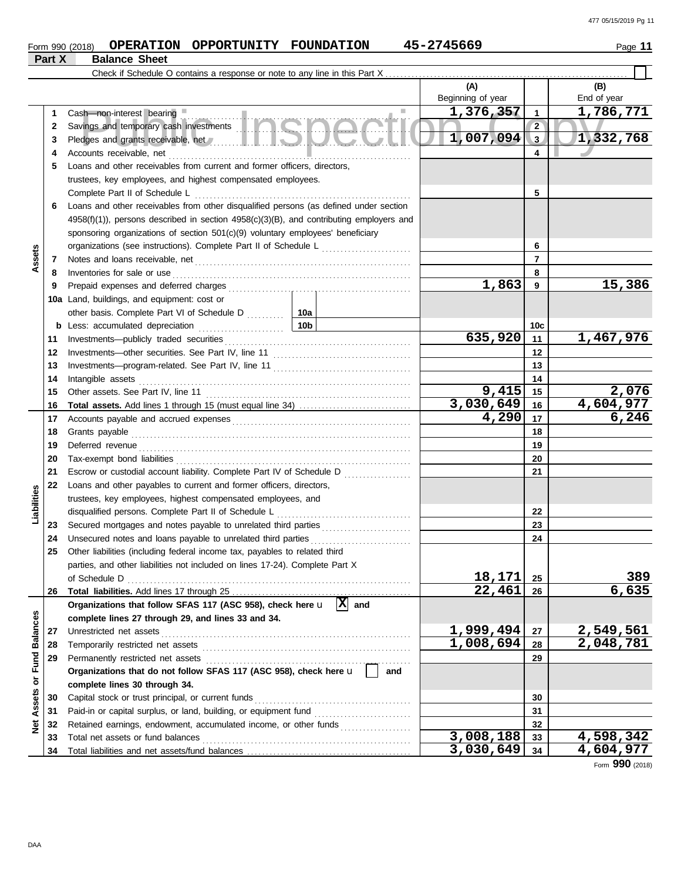#### **Form 990 (2018) OPERATION OPPORTUNITY FOUNDATION 45-2745669** Page 11 **Part X Balance Sheet** Check if Schedule O contains a response or note to any line in this Part X **(A) (B)** Beginning of year | | End of year Public Inspection Copy Accounts receivable, net . . . . . . . . . . . . . . . . . . . . . . . . . . . . . . . . . . . . . . . . . . . . . . . . . . . . . . . . . . . . . . . . . **1,376,357 1,786,771** Cash—non-interest bearing **and a structure of a structure of a structure of a structure of a structure of a structure of a structure of a structure of a structure of a structure of a structure of a structure of a structure 1 1 2 2** Savings and temporary cash investments . . . . . . . . . . . . . . . . . . . . . . . . . . . . . . . . . . . . . . . . . . . . . . . **1,007,094 1,332,768 3 3** Pledges and grants receivable, net . . . . . . . . . . . . . . . . . . . . . . . . . . . . . . . . . . . . . . . . . . . . . . . . . . . . . . **4 4 5** Loans and other receivables from current and former officers, directors, trustees, key employees, and highest compensated employees. Complete Part II of Schedule L . . . . . . . . . . . . . . . . . . . . . . . . . . . . . . . . . . . . . . . . . . . . . . . . . . . . . . . . . . **5 6** Loans and other receivables from other disqualified persons (as defined under section 4958(f)(1)), persons described in section 4958(c)(3)(B), and contributing employers and sponsoring organizations of section 501(c)(9) voluntary employees' beneficiary organizations (see instructions). Complete Part II of Schedule L . . . . . . . . . . . . . . . . . . . . . . . . **6 Assets 7 7** Notes and loans receivable, net . . . . . . . . . . . . . . . . . . . . . . . . . . . . . . . . . . . . . . . . . . . . . . . . . . . . . . . . . . Inventories for sale or use . . . . . . . . . . . . . . . . . . . . . . . . . . . . . . . . . . . . . . . . . . . . . . . . . . . . . . . . . . . . . . . . **8 8 1,863 15,386 9 9** Prepaid expenses and deferred charges . . . . . . . . . . . . . . . . . . . . . . . . . . . . . . . . . . . . . . . . . . . . . . . . . **10a** Land, buildings, and equipment: cost or other basis. Complete Part VI of Schedule D . . . . . . . . 10a **10c b** Less: accumulated depreciation . . . . . . . . . . . . . . . . . . . . . . . **10b 635,920 1,467,976** Investments—publicly traded securities . . . . . . . . . . . . . . . . . . . . . . . . . . . . . . . . . . . . . . . . . . . . . . . . . . **11 11** Investments—other securities. See Part IV, line 11 . . . . . . . . . . . . . . . . . . . . . . . . . . . . . . . . . . . . . **12 12 13 13** Investments—program-related. See Part IV, line 11 . . . . . . . . . . . . . . . . . . . . . . . . . . . . . . . . . . . . . **14 14** Intangible assets . . . . . . . . . . . . . . . . . . . . . . . . . . . . . . . . . . . . . . . . . . . . . . . . . . . . . . . . . . . . . . . . . . . . . . . . . **9,415 2,076 15 15** Other assets. See Part IV, line 11 . . . . . . . . . . . . . . . . . . . . . . . . . . . . . . . . . . . . . . . . . . . . . . . . . . . . . . . **3,030,649 4,604,977 Total assets.** Add lines 1 through 15 (must equal line 34) . . . . . . . . . . . . . . . . . . . . . . . . . . . . . . **16 16** Accounts payable and accrued expenses . . . . . . . . . . . . . . . . . . . . . . . . . . . . . . . . . . . . . . . . . . . . . . . . **4,290 6,246 17 17 18 18** Grants payable . . . . . . . . . . . . . . . . . . . . . . . . . . . . . . . . . . . . . . . . . . . . . . . . . . . . . . . . . . . . . . . . . . . . . . . . . . . **19 19** Deferred revenue . . . . . . . . . . . . . . . . . . . . . . . . . . . . . . . . . . . . . . . . . . . . . . . . . . . . . . . . . . . . . . . . . . . . . . . . . **20 20** Tax-exempt bond liabilities . . . . . . . . . . . . . . . . . . . . . . . . . . . . . . . . . . . . . . . . . . . . . . . . . . . . . . . . . . . . . . . **21 21** Escrow or custodial account liability. Complete Part IV of Schedule D . . . . . . . . . . . . . . . . . . **22** Loans and other payables to current and former officers, directors, **Liabilities** trustees, key employees, highest compensated employees, and disqualified persons. Complete Part II of Schedule L . . . . . . . . . . . . . . . . . . . . . . . . . . . . . . . . . . . . **22** Secured mortgages and notes payable to unrelated third parties . . . . . . . . . . . . . . . . . . . . . . . . **23 23 24 24** Unsecured notes and loans payable to unrelated third parties . . . . . . . . . . . . . . . . . . . . . . . . . . . **25** Other liabilities (including federal income tax, payables to related third parties, and other liabilities not included on lines 17-24). Complete Part X of Schedule D . . . . . . . . . . . . . . . . . . . . . . . . . . . . . . . . . . . . . . . . . . . . . . . . . . . . . . . . . . . . . . . . . . . . . . . . . . . . **18,171 389 25 22,461 6,635 26** Total liabilities. Add lines 17 through 25 ..... **26** Organizations that follow SFAS 117 (ASC 958), check here  $\mathbf{u} \left[ \mathbf{X} \right]$  and Net Assets or Fund Balances **Net Assets or Fund Balances complete lines 27 through 29, and lines 33 and 34. 1,999,494 2,549,561** Unrestricted net assets . . . . . . . . . . . . . . . . . . . . . . . . . . . . . . . . . . . . . . . . . . . . . . . . . . . . . . . . . . . . . . . . . . . **27 27** Temporarily restricted net assets . . . . . . . . . . . . . . . . . . . . . . . . . . . . . . . . . . . . . . . . . . . . . . . . . . . . . . . . **1,008,694 2,048,781 28 28 29 29** Permanently restricted net assets . . . . . . . . . . . . . . . . . . . . . . . . . . . . . . . . . . . . . . . . . . . . . . . . . . . . . . . **Organizations that do not follow SFAS 117 (ASC 958), check here** u **and complete lines 30 through 34. 30 30** Capital stock or trust principal, or current funds . . . . . . . . . . . . . . . . . . . . . . . . . . . . . . . . . . . . . . . . . . Paid-in or capital surplus, or land, building, or equipment fund ........................... **31 31** Retained earnings, endowment, accumulated income, or other funds ................... **32 32 3,008,188 4,598,342 33** Total net assets or fund balances . . . . . . . . . . . . . . . . . . . . . . . . . . . . . . . . . . . . . . . . . . . . . . . . . . . . . . . . **33**

**34**

**3,030,649 4,604,977**

DAA

**34**

Total liabilities and net assets/fund balances ...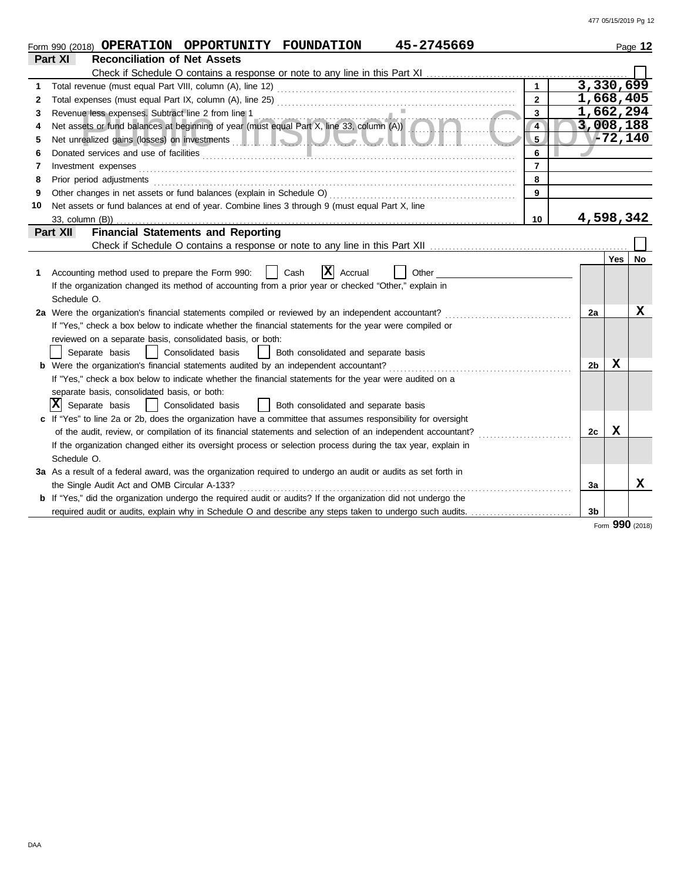|    | 45-2745669<br>Form 990 (2018) OPERATION OPPORTUNITY FOUNDATION                                                                                                                                                                            |                |           | Page 12 |
|----|-------------------------------------------------------------------------------------------------------------------------------------------------------------------------------------------------------------------------------------------|----------------|-----------|---------|
|    | Part XI<br><b>Reconciliation of Net Assets</b>                                                                                                                                                                                            |                |           |         |
|    |                                                                                                                                                                                                                                           |                |           |         |
| 1  | $\mathbf{1}$                                                                                                                                                                                                                              |                | 3,330,699 |         |
| 2  | $\overline{2}$                                                                                                                                                                                                                            |                | 1,668,405 |         |
| 3  | $\mathbf{3}$<br>Revenue less expenses. Subtract line 2 from line 1<br>Net assets or fund balances at beginning of year (must equal Part X, line 33, column (A))                                                                           |                | 1,662,294 |         |
|    | $\overline{4}$                                                                                                                                                                                                                            |                | 3,008,188 |         |
| 5  | Net unrealized gains (losses) on investments <b>and the contract of the contract of the contract of the contract of the contract of the contract of the contract of the contract of the contract of the contract of the contract</b><br>5 |                | 772,140   |         |
| 6  | 6                                                                                                                                                                                                                                         |                |           |         |
| 7  | $\overline{7}$<br>Investment expenses <b>constant expenses constant expenses constant expenses constant expenses</b>                                                                                                                      |                |           |         |
| 8  | 8<br>Prior period adjustments [11] production and the contract of the contract of the contract of the contract of the contract of the contract of the contract of the contract of the contract of the contract of the contract of t       |                |           |         |
| 9  | 9                                                                                                                                                                                                                                         |                |           |         |
| 10 | Net assets or fund balances at end of year. Combine lines 3 through 9 (must equal Part X, line                                                                                                                                            |                |           |         |
|    | 33, column (B))<br>10                                                                                                                                                                                                                     |                | 4,598,342 |         |
|    | <b>Financial Statements and Reporting</b><br>Part XII                                                                                                                                                                                     |                |           |         |
|    |                                                                                                                                                                                                                                           |                |           |         |
|    |                                                                                                                                                                                                                                           |                | Yes       | No      |
| 1  | $ \mathbf{X} $ Accrual<br>Accounting method used to prepare the Form 990:<br>Cash<br>Other                                                                                                                                                |                |           |         |
|    | If the organization changed its method of accounting from a prior year or checked "Other," explain in                                                                                                                                     |                |           |         |
|    | Schedule O.                                                                                                                                                                                                                               |                |           |         |
|    | 2a Were the organization's financial statements compiled or reviewed by an independent accountant?                                                                                                                                        | 2a             |           | X       |
|    | If "Yes," check a box below to indicate whether the financial statements for the year were compiled or                                                                                                                                    |                |           |         |
|    | reviewed on a separate basis, consolidated basis, or both:                                                                                                                                                                                |                |           |         |
|    | Separate basis<br>Consolidated basis<br>Both consolidated and separate basis<br>$\mathbf{1}$                                                                                                                                              |                |           |         |
|    | <b>b</b> Were the organization's financial statements audited by an independent accountant?                                                                                                                                               | 2 <sub>b</sub> | X         |         |
|    | If "Yes," check a box below to indicate whether the financial statements for the year were audited on a                                                                                                                                   |                |           |         |
|    | separate basis, consolidated basis, or both:                                                                                                                                                                                              |                |           |         |
|    | X <br>Separate basis<br>Consolidated basis<br>Both consolidated and separate basis                                                                                                                                                        |                |           |         |
|    | c If "Yes" to line 2a or 2b, does the organization have a committee that assumes responsibility for oversight                                                                                                                             |                |           |         |
|    | of the audit, review, or compilation of its financial statements and selection of an independent accountant?                                                                                                                              | 2c             | X         |         |
|    | If the organization changed either its oversight process or selection process during the tax year, explain in                                                                                                                             |                |           |         |
|    | Schedule O.                                                                                                                                                                                                                               |                |           |         |
|    | 3a As a result of a federal award, was the organization required to undergo an audit or audits as set forth in                                                                                                                            |                |           |         |
|    | the Single Audit Act and OMB Circular A-133?                                                                                                                                                                                              | 3a             |           | X       |
|    | <b>b</b> If "Yes," did the organization undergo the required audit or audits? If the organization did not undergo the                                                                                                                     |                |           |         |
|    | required audit or audits, explain why in Schedule O and describe any steps taken to undergo such audits.                                                                                                                                  | 3b             |           |         |

Form **990** (2018)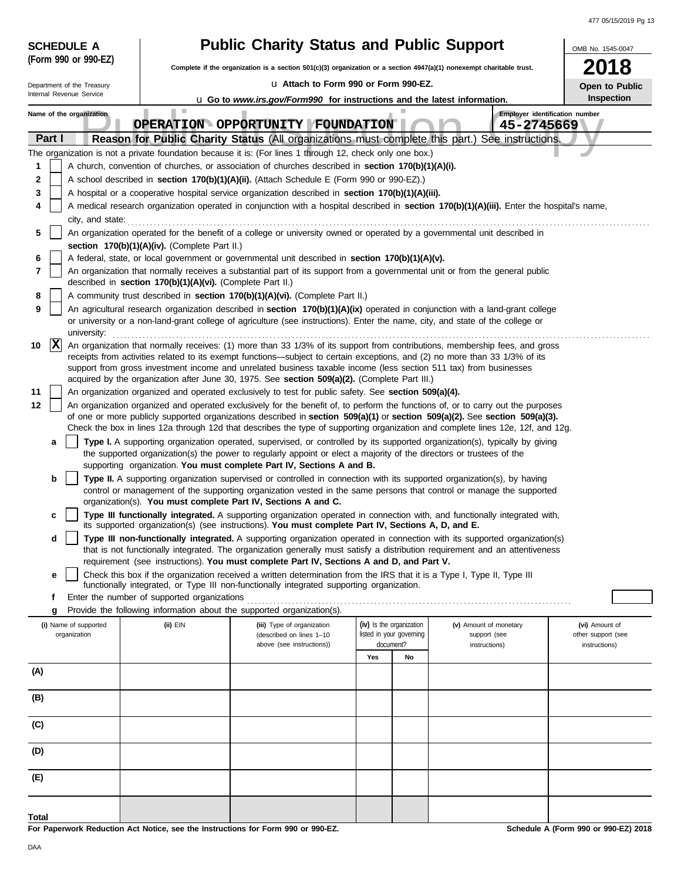| (Form 990 or 990-EZ)<br>18<br>Complete if the organization is a section $501(c)(3)$ organization or a section $4947(a)(1)$ nonexempt charitable trust.<br>Lu Attach to Form 990 or Form 990-EZ.<br>Department of the Treasury<br>Open to Public<br>Internal Revenue Service<br>Inspection<br><b>u</b> Go to www.irs.gov/Form990 for instructions and the latest information.<br>Employer identification number<br>Name of the organization<br>OPERATION OPPORTUNITY FOUNDATION<br>45-2745669<br>Part I<br>Reason for Public Charity Status (All organizations must complete this part.)<br>See instructions.<br>The organization is not a private foundation because it is: (For lines 1 through 12, check only one box.)<br>A church, convention of churches, or association of churches described in section 170(b)(1)(A)(i).<br>1<br>$\mathbf{2}$<br>A school described in <b>section 170(b)(1)(A)(ii).</b> (Attach Schedule E (Form 990 or 990-EZ).)<br>3<br>A hospital or a cooperative hospital service organization described in section 170(b)(1)(A)(iii).<br>A medical research organization operated in conjunction with a hospital described in section 170(b)(1)(A)(iii). Enter the hospital's name,<br>4<br>city, and state:<br>An organization operated for the benefit of a college or university owned or operated by a governmental unit described in<br>5<br>section 170(b)(1)(A)(iv). (Complete Part II.)<br>A federal, state, or local government or governmental unit described in section 170(b)(1)(A)(v).<br>6<br>7<br>An organization that normally receives a substantial part of its support from a governmental unit or from the general public<br>described in section 170(b)(1)(A)(vi). (Complete Part II.)<br>A community trust described in section 170(b)(1)(A)(vi). (Complete Part II.)<br>8 | <b>SCHEDULE A</b> |                                                                                               | <b>Public Charity Status and Public Support</b> |  |  | OMB No. 1545-0047 |  |  |  |  |
|-------------------------------------------------------------------------------------------------------------------------------------------------------------------------------------------------------------------------------------------------------------------------------------------------------------------------------------------------------------------------------------------------------------------------------------------------------------------------------------------------------------------------------------------------------------------------------------------------------------------------------------------------------------------------------------------------------------------------------------------------------------------------------------------------------------------------------------------------------------------------------------------------------------------------------------------------------------------------------------------------------------------------------------------------------------------------------------------------------------------------------------------------------------------------------------------------------------------------------------------------------------------------------------------------------------------------------------------------------------------------------------------------------------------------------------------------------------------------------------------------------------------------------------------------------------------------------------------------------------------------------------------------------------------------------------------------------------------------------------------------------------------------------------------------------------------------------|-------------------|-----------------------------------------------------------------------------------------------|-------------------------------------------------|--|--|-------------------|--|--|--|--|
|                                                                                                                                                                                                                                                                                                                                                                                                                                                                                                                                                                                                                                                                                                                                                                                                                                                                                                                                                                                                                                                                                                                                                                                                                                                                                                                                                                                                                                                                                                                                                                                                                                                                                                                                                                                                                               |                   |                                                                                               |                                                 |  |  |                   |  |  |  |  |
|                                                                                                                                                                                                                                                                                                                                                                                                                                                                                                                                                                                                                                                                                                                                                                                                                                                                                                                                                                                                                                                                                                                                                                                                                                                                                                                                                                                                                                                                                                                                                                                                                                                                                                                                                                                                                               |                   |                                                                                               |                                                 |  |  |                   |  |  |  |  |
|                                                                                                                                                                                                                                                                                                                                                                                                                                                                                                                                                                                                                                                                                                                                                                                                                                                                                                                                                                                                                                                                                                                                                                                                                                                                                                                                                                                                                                                                                                                                                                                                                                                                                                                                                                                                                               |                   |                                                                                               |                                                 |  |  |                   |  |  |  |  |
|                                                                                                                                                                                                                                                                                                                                                                                                                                                                                                                                                                                                                                                                                                                                                                                                                                                                                                                                                                                                                                                                                                                                                                                                                                                                                                                                                                                                                                                                                                                                                                                                                                                                                                                                                                                                                               |                   |                                                                                               |                                                 |  |  |                   |  |  |  |  |
|                                                                                                                                                                                                                                                                                                                                                                                                                                                                                                                                                                                                                                                                                                                                                                                                                                                                                                                                                                                                                                                                                                                                                                                                                                                                                                                                                                                                                                                                                                                                                                                                                                                                                                                                                                                                                               |                   |                                                                                               |                                                 |  |  |                   |  |  |  |  |
|                                                                                                                                                                                                                                                                                                                                                                                                                                                                                                                                                                                                                                                                                                                                                                                                                                                                                                                                                                                                                                                                                                                                                                                                                                                                                                                                                                                                                                                                                                                                                                                                                                                                                                                                                                                                                               |                   |                                                                                               |                                                 |  |  |                   |  |  |  |  |
|                                                                                                                                                                                                                                                                                                                                                                                                                                                                                                                                                                                                                                                                                                                                                                                                                                                                                                                                                                                                                                                                                                                                                                                                                                                                                                                                                                                                                                                                                                                                                                                                                                                                                                                                                                                                                               |                   |                                                                                               |                                                 |  |  |                   |  |  |  |  |
|                                                                                                                                                                                                                                                                                                                                                                                                                                                                                                                                                                                                                                                                                                                                                                                                                                                                                                                                                                                                                                                                                                                                                                                                                                                                                                                                                                                                                                                                                                                                                                                                                                                                                                                                                                                                                               |                   |                                                                                               |                                                 |  |  |                   |  |  |  |  |
|                                                                                                                                                                                                                                                                                                                                                                                                                                                                                                                                                                                                                                                                                                                                                                                                                                                                                                                                                                                                                                                                                                                                                                                                                                                                                                                                                                                                                                                                                                                                                                                                                                                                                                                                                                                                                               |                   |                                                                                               |                                                 |  |  |                   |  |  |  |  |
|                                                                                                                                                                                                                                                                                                                                                                                                                                                                                                                                                                                                                                                                                                                                                                                                                                                                                                                                                                                                                                                                                                                                                                                                                                                                                                                                                                                                                                                                                                                                                                                                                                                                                                                                                                                                                               |                   |                                                                                               |                                                 |  |  |                   |  |  |  |  |
|                                                                                                                                                                                                                                                                                                                                                                                                                                                                                                                                                                                                                                                                                                                                                                                                                                                                                                                                                                                                                                                                                                                                                                                                                                                                                                                                                                                                                                                                                                                                                                                                                                                                                                                                                                                                                               |                   |                                                                                               |                                                 |  |  |                   |  |  |  |  |
|                                                                                                                                                                                                                                                                                                                                                                                                                                                                                                                                                                                                                                                                                                                                                                                                                                                                                                                                                                                                                                                                                                                                                                                                                                                                                                                                                                                                                                                                                                                                                                                                                                                                                                                                                                                                                               |                   |                                                                                               |                                                 |  |  |                   |  |  |  |  |
|                                                                                                                                                                                                                                                                                                                                                                                                                                                                                                                                                                                                                                                                                                                                                                                                                                                                                                                                                                                                                                                                                                                                                                                                                                                                                                                                                                                                                                                                                                                                                                                                                                                                                                                                                                                                                               |                   |                                                                                               |                                                 |  |  |                   |  |  |  |  |
|                                                                                                                                                                                                                                                                                                                                                                                                                                                                                                                                                                                                                                                                                                                                                                                                                                                                                                                                                                                                                                                                                                                                                                                                                                                                                                                                                                                                                                                                                                                                                                                                                                                                                                                                                                                                                               |                   |                                                                                               |                                                 |  |  |                   |  |  |  |  |
| An agricultural research organization described in section 170(b)(1)(A)(ix) operated in conjunction with a land-grant college<br>9<br>or university or a non-land-grant college of agriculture (see instructions). Enter the name, city, and state of the college or                                                                                                                                                                                                                                                                                                                                                                                                                                                                                                                                                                                                                                                                                                                                                                                                                                                                                                                                                                                                                                                                                                                                                                                                                                                                                                                                                                                                                                                                                                                                                          |                   |                                                                                               |                                                 |  |  |                   |  |  |  |  |
| university:                                                                                                                                                                                                                                                                                                                                                                                                                                                                                                                                                                                                                                                                                                                                                                                                                                                                                                                                                                                                                                                                                                                                                                                                                                                                                                                                                                                                                                                                                                                                                                                                                                                                                                                                                                                                                   |                   |                                                                                               |                                                 |  |  |                   |  |  |  |  |
| $ {\bf x} $<br>An organization that normally receives: (1) more than 33 1/3% of its support from contributions, membership fees, and gross<br>10                                                                                                                                                                                                                                                                                                                                                                                                                                                                                                                                                                                                                                                                                                                                                                                                                                                                                                                                                                                                                                                                                                                                                                                                                                                                                                                                                                                                                                                                                                                                                                                                                                                                              |                   |                                                                                               |                                                 |  |  |                   |  |  |  |  |
| receipts from activities related to its exempt functions—subject to certain exceptions, and (2) no more than 33 1/3% of its<br>support from gross investment income and unrelated business taxable income (less section 511 tax) from businesses                                                                                                                                                                                                                                                                                                                                                                                                                                                                                                                                                                                                                                                                                                                                                                                                                                                                                                                                                                                                                                                                                                                                                                                                                                                                                                                                                                                                                                                                                                                                                                              |                   |                                                                                               |                                                 |  |  |                   |  |  |  |  |
| 11<br>An organization organized and operated exclusively to test for public safety. See section 509(a)(4).                                                                                                                                                                                                                                                                                                                                                                                                                                                                                                                                                                                                                                                                                                                                                                                                                                                                                                                                                                                                                                                                                                                                                                                                                                                                                                                                                                                                                                                                                                                                                                                                                                                                                                                    |                   | acquired by the organization after June 30, 1975. See section 509(a)(2). (Complete Part III.) |                                                 |  |  |                   |  |  |  |  |
| 12<br>An organization organized and operated exclusively for the benefit of, to perform the functions of, or to carry out the purposes                                                                                                                                                                                                                                                                                                                                                                                                                                                                                                                                                                                                                                                                                                                                                                                                                                                                                                                                                                                                                                                                                                                                                                                                                                                                                                                                                                                                                                                                                                                                                                                                                                                                                        |                   |                                                                                               |                                                 |  |  |                   |  |  |  |  |
| of one or more publicly supported organizations described in section 509(a)(1) or section 509(a)(2). See section 509(a)(3).                                                                                                                                                                                                                                                                                                                                                                                                                                                                                                                                                                                                                                                                                                                                                                                                                                                                                                                                                                                                                                                                                                                                                                                                                                                                                                                                                                                                                                                                                                                                                                                                                                                                                                   |                   |                                                                                               |                                                 |  |  |                   |  |  |  |  |
| Check the box in lines 12a through 12d that describes the type of supporting organization and complete lines 12e, 12f, and 12g.<br>Type I. A supporting organization operated, supervised, or controlled by its supported organization(s), typically by giving<br>a                                                                                                                                                                                                                                                                                                                                                                                                                                                                                                                                                                                                                                                                                                                                                                                                                                                                                                                                                                                                                                                                                                                                                                                                                                                                                                                                                                                                                                                                                                                                                           |                   |                                                                                               |                                                 |  |  |                   |  |  |  |  |
| the supported organization(s) the power to regularly appoint or elect a majority of the directors or trustees of the<br>supporting organization. You must complete Part IV, Sections A and B.                                                                                                                                                                                                                                                                                                                                                                                                                                                                                                                                                                                                                                                                                                                                                                                                                                                                                                                                                                                                                                                                                                                                                                                                                                                                                                                                                                                                                                                                                                                                                                                                                                 |                   |                                                                                               |                                                 |  |  |                   |  |  |  |  |
| b<br><b>Type II.</b> A supporting organization supervised or controlled in connection with its supported organization(s), by having                                                                                                                                                                                                                                                                                                                                                                                                                                                                                                                                                                                                                                                                                                                                                                                                                                                                                                                                                                                                                                                                                                                                                                                                                                                                                                                                                                                                                                                                                                                                                                                                                                                                                           |                   |                                                                                               |                                                 |  |  |                   |  |  |  |  |
| control or management of the supporting organization vested in the same persons that control or manage the supported<br>organization(s). You must complete Part IV, Sections A and C.                                                                                                                                                                                                                                                                                                                                                                                                                                                                                                                                                                                                                                                                                                                                                                                                                                                                                                                                                                                                                                                                                                                                                                                                                                                                                                                                                                                                                                                                                                                                                                                                                                         |                   |                                                                                               |                                                 |  |  |                   |  |  |  |  |
| Type III functionally integrated. A supporting organization operated in connection with, and functionally integrated with,<br>c<br>its supported organization(s) (see instructions). You must complete Part IV, Sections A, D, and E.                                                                                                                                                                                                                                                                                                                                                                                                                                                                                                                                                                                                                                                                                                                                                                                                                                                                                                                                                                                                                                                                                                                                                                                                                                                                                                                                                                                                                                                                                                                                                                                         |                   |                                                                                               |                                                 |  |  |                   |  |  |  |  |
| Type III non-functionally integrated. A supporting organization operated in connection with its supported organization(s)<br>d                                                                                                                                                                                                                                                                                                                                                                                                                                                                                                                                                                                                                                                                                                                                                                                                                                                                                                                                                                                                                                                                                                                                                                                                                                                                                                                                                                                                                                                                                                                                                                                                                                                                                                |                   |                                                                                               |                                                 |  |  |                   |  |  |  |  |
| that is not functionally integrated. The organization generally must satisfy a distribution requirement and an attentiveness<br>requirement (see instructions). You must complete Part IV, Sections A and D, and Part V.                                                                                                                                                                                                                                                                                                                                                                                                                                                                                                                                                                                                                                                                                                                                                                                                                                                                                                                                                                                                                                                                                                                                                                                                                                                                                                                                                                                                                                                                                                                                                                                                      |                   |                                                                                               |                                                 |  |  |                   |  |  |  |  |
| Check this box if the organization received a written determination from the IRS that it is a Type I, Type II, Type III<br>е                                                                                                                                                                                                                                                                                                                                                                                                                                                                                                                                                                                                                                                                                                                                                                                                                                                                                                                                                                                                                                                                                                                                                                                                                                                                                                                                                                                                                                                                                                                                                                                                                                                                                                  |                   |                                                                                               |                                                 |  |  |                   |  |  |  |  |
| functionally integrated, or Type III non-functionally integrated supporting organization.<br>Enter the number of supported organizations<br>f                                                                                                                                                                                                                                                                                                                                                                                                                                                                                                                                                                                                                                                                                                                                                                                                                                                                                                                                                                                                                                                                                                                                                                                                                                                                                                                                                                                                                                                                                                                                                                                                                                                                                 |                   |                                                                                               |                                                 |  |  |                   |  |  |  |  |
| Provide the following information about the supported organization(s).<br>g                                                                                                                                                                                                                                                                                                                                                                                                                                                                                                                                                                                                                                                                                                                                                                                                                                                                                                                                                                                                                                                                                                                                                                                                                                                                                                                                                                                                                                                                                                                                                                                                                                                                                                                                                   |                   |                                                                                               |                                                 |  |  |                   |  |  |  |  |
| (iv) Is the organization<br>(i) Name of supported<br>(ii) EIN<br>(iii) Type of organization<br>(v) Amount of monetary<br>(vi) Amount of<br>listed in your governing<br>organization<br>(described on lines 1-10<br>other support (see<br>support (see                                                                                                                                                                                                                                                                                                                                                                                                                                                                                                                                                                                                                                                                                                                                                                                                                                                                                                                                                                                                                                                                                                                                                                                                                                                                                                                                                                                                                                                                                                                                                                         |                   |                                                                                               |                                                 |  |  |                   |  |  |  |  |
| document?<br>above (see instructions))<br>instructions)<br>instructions)                                                                                                                                                                                                                                                                                                                                                                                                                                                                                                                                                                                                                                                                                                                                                                                                                                                                                                                                                                                                                                                                                                                                                                                                                                                                                                                                                                                                                                                                                                                                                                                                                                                                                                                                                      |                   |                                                                                               |                                                 |  |  |                   |  |  |  |  |
| Yes<br>No<br>(A)                                                                                                                                                                                                                                                                                                                                                                                                                                                                                                                                                                                                                                                                                                                                                                                                                                                                                                                                                                                                                                                                                                                                                                                                                                                                                                                                                                                                                                                                                                                                                                                                                                                                                                                                                                                                              |                   |                                                                                               |                                                 |  |  |                   |  |  |  |  |
|                                                                                                                                                                                                                                                                                                                                                                                                                                                                                                                                                                                                                                                                                                                                                                                                                                                                                                                                                                                                                                                                                                                                                                                                                                                                                                                                                                                                                                                                                                                                                                                                                                                                                                                                                                                                                               |                   |                                                                                               |                                                 |  |  |                   |  |  |  |  |
| (B)                                                                                                                                                                                                                                                                                                                                                                                                                                                                                                                                                                                                                                                                                                                                                                                                                                                                                                                                                                                                                                                                                                                                                                                                                                                                                                                                                                                                                                                                                                                                                                                                                                                                                                                                                                                                                           |                   |                                                                                               |                                                 |  |  |                   |  |  |  |  |
| (C)                                                                                                                                                                                                                                                                                                                                                                                                                                                                                                                                                                                                                                                                                                                                                                                                                                                                                                                                                                                                                                                                                                                                                                                                                                                                                                                                                                                                                                                                                                                                                                                                                                                                                                                                                                                                                           |                   |                                                                                               |                                                 |  |  |                   |  |  |  |  |
| (D)                                                                                                                                                                                                                                                                                                                                                                                                                                                                                                                                                                                                                                                                                                                                                                                                                                                                                                                                                                                                                                                                                                                                                                                                                                                                                                                                                                                                                                                                                                                                                                                                                                                                                                                                                                                                                           |                   |                                                                                               |                                                 |  |  |                   |  |  |  |  |
| (E)                                                                                                                                                                                                                                                                                                                                                                                                                                                                                                                                                                                                                                                                                                                                                                                                                                                                                                                                                                                                                                                                                                                                                                                                                                                                                                                                                                                                                                                                                                                                                                                                                                                                                                                                                                                                                           |                   |                                                                                               |                                                 |  |  |                   |  |  |  |  |
| Total                                                                                                                                                                                                                                                                                                                                                                                                                                                                                                                                                                                                                                                                                                                                                                                                                                                                                                                                                                                                                                                                                                                                                                                                                                                                                                                                                                                                                                                                                                                                                                                                                                                                                                                                                                                                                         |                   |                                                                                               |                                                 |  |  |                   |  |  |  |  |

**For Paperwork Reduction Act Notice, see the Instructions for Form 990 or 990-EZ.**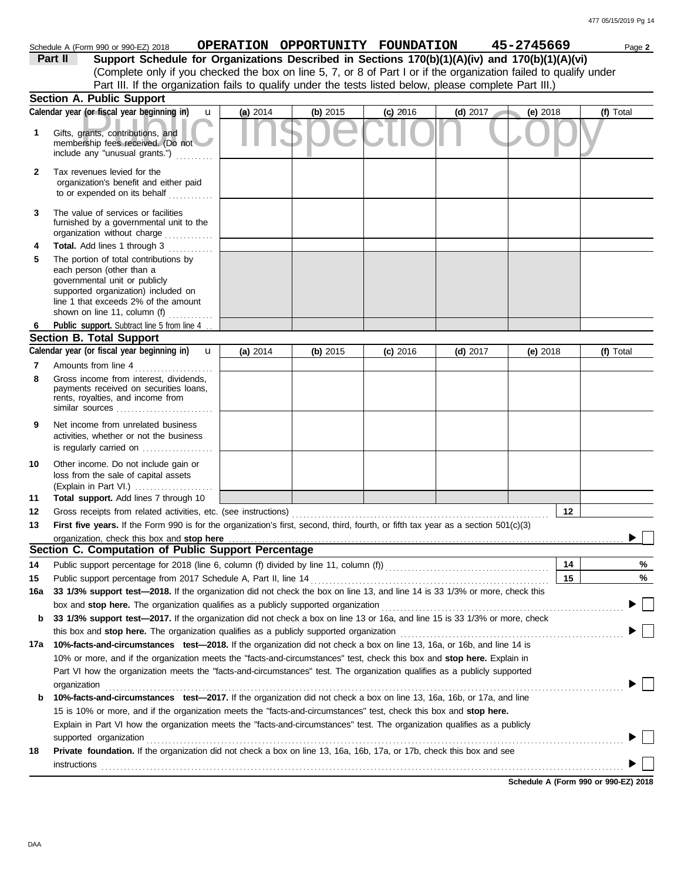|              | Schedule A (Form 990 or 990-EZ) 2018                                                                                                                                                                               |              |          |          | OPERATION OPPORTUNITY FOUNDATION |            | 45-2745669 | Page 2    |
|--------------|--------------------------------------------------------------------------------------------------------------------------------------------------------------------------------------------------------------------|--------------|----------|----------|----------------------------------|------------|------------|-----------|
|              | Part II<br>Support Schedule for Organizations Described in Sections 170(b)(1)(A)(iv) and 170(b)(1)(A)(vi)                                                                                                          |              |          |          |                                  |            |            |           |
|              | (Complete only if you checked the box on line 5, 7, or 8 of Part I or if the organization failed to qualify under                                                                                                  |              |          |          |                                  |            |            |           |
|              | Part III. If the organization fails to qualify under the tests listed below, please complete Part III.)                                                                                                            |              |          |          |                                  |            |            |           |
|              | <b>Section A. Public Support</b>                                                                                                                                                                                   |              |          |          |                                  |            |            |           |
|              | Calendar year (or fiscal year beginning in)                                                                                                                                                                        | $\mathbf{u}$ | (a) 2014 | (b) 2015 | $(c)$ 2016                       | $(d)$ 2017 | (e) 2018   | (f) Total |
|              | Gifts, grants, contributions, and<br>membership fees received. (Do not<br>include any "unusual grants.")                                                                                                           |              |          |          |                                  |            |            |           |
| $\mathbf{2}$ | Tax revenues levied for the<br>organization's benefit and either paid<br>to or expended on its behalf                                                                                                              |              |          |          |                                  |            |            |           |
|              | The value of services or facilities<br>furnished by a governmental unit to the<br>organization without charge                                                                                                      |              |          |          |                                  |            |            |           |
|              | <b>Total.</b> Add lines 1 through 3<br><u> 1999 - Jan Jan Ja</u>                                                                                                                                                   |              |          |          |                                  |            |            |           |
|              | The portion of total contributions by<br>each person (other than a<br>governmental unit or publicly<br>supported organization) included on<br>line 1 that exceeds 2% of the amount<br>shown on line 11, column (f) |              |          |          |                                  |            |            |           |
|              | Public support. Subtract line 5 from line 4.                                                                                                                                                                       |              |          |          |                                  |            |            |           |
|              | <b>Section B. Total Support</b>                                                                                                                                                                                    |              |          |          |                                  |            |            |           |
|              |                                                                                                                                                                                                                    |              |          |          |                                  |            |            |           |

|                 | occuon o. rotar oupport                                                                                                            |          |          |          |            |            |           |  |  |  |  |
|-----------------|------------------------------------------------------------------------------------------------------------------------------------|----------|----------|----------|------------|------------|-----------|--|--|--|--|
|                 | Calendar year (or fiscal year beginning in)<br>$\mathbf{u}$                                                                        | (a) 2014 | (b) 2015 | (c) 2016 | $(d)$ 2017 | $(e)$ 2018 | (f) Total |  |  |  |  |
| 7               | Amounts from line 4                                                                                                                |          |          |          |            |            |           |  |  |  |  |
| 8               | Gross income from interest, dividends,<br>payments received on securities loans,<br>rents, royalties, and income from              |          |          |          |            |            |           |  |  |  |  |
| 9               | Net income from unrelated business<br>activities, whether or not the business<br>is regularly carried on                           |          |          |          |            |            |           |  |  |  |  |
| 10              | Other income. Do not include gain or<br>loss from the sale of capital assets<br>(Explain in Part VI.)                              |          |          |          |            |            |           |  |  |  |  |
| 11              | Total support. Add lines 7 through 10                                                                                              |          |          |          |            |            |           |  |  |  |  |
| 12 <sup>°</sup> | Gross receipts from related activities, etc. (see instructions)                                                                    |          |          |          |            | 12         |           |  |  |  |  |
| 13              | First five years. If the Form 990 is for the organization's first, second, third, fourth, or fifth tax year as a section 501(c)(3) |          |          |          |            |            |           |  |  |  |  |
|                 |                                                                                                                                    |          |          |          |            |            |           |  |  |  |  |
|                 | Section C. Computation of Public Support Percentage                                                                                |          |          |          |            |            |           |  |  |  |  |
| 14              |                                                                                                                                    |          |          |          |            | 14         | %         |  |  |  |  |
| 15              | Public support percentage from 2017 Schedule A, Part II, line 14                                                                   |          |          |          |            | 15         | %         |  |  |  |  |
| 16a             | 33 1/3% support test-2018. If the organization did not check the box on line 13, and line 14 is 33 1/3% or more, check this        |          |          |          |            |            |           |  |  |  |  |
|                 | box and stop here. The organization qualifies as a publicly supported organization                                                 |          |          |          |            |            | $\Box$    |  |  |  |  |
| b               | 33 1/3% support test-2017. If the organization did not check a box on line 13 or 16a, and line 15 is 33 1/3% or more, check        |          |          |          |            |            |           |  |  |  |  |
|                 | this box and stop here. The organization qualifies as a publicly supported organization                                            |          |          |          |            |            |           |  |  |  |  |
| 17a             | 10%-facts-and-circumstances test-2018. If the organization did not check a box on line 13, 16a, or 16b, and line 14 is             |          |          |          |            |            |           |  |  |  |  |
|                 | 10% or more, and if the organization meets the "facts-and-circumstances" test, check this box and stop here. Explain in            |          |          |          |            |            |           |  |  |  |  |
|                 | Part VI how the organization meets the "facts-and-circumstances" test. The organization qualifies as a publicly supported          |          |          |          |            |            |           |  |  |  |  |
|                 | organization                                                                                                                       |          |          |          |            |            |           |  |  |  |  |
| b               | 10%-facts-and-circumstances test-2017. If the organization did not check a box on line 13, 16a, 16b, or 17a, and line              |          |          |          |            |            |           |  |  |  |  |
|                 | 15 is 10% or more, and if the organization meets the "facts-and-circumstances" test, check this box and stop here.                 |          |          |          |            |            |           |  |  |  |  |
|                 | Explain in Part VI how the organization meets the "facts-and-circumstances" test. The organization qualifies as a publicly         |          |          |          |            |            |           |  |  |  |  |
|                 | supported organization                                                                                                             |          |          |          |            |            |           |  |  |  |  |
| 18              | Private foundation. If the organization did not check a box on line 13, 16a, 16b, 17a, or 17b, check this box and see              |          |          |          |            |            |           |  |  |  |  |
|                 | <i>instructions</i>                                                                                                                |          |          |          |            |            |           |  |  |  |  |
|                 |                                                                                                                                    |          |          |          |            |            |           |  |  |  |  |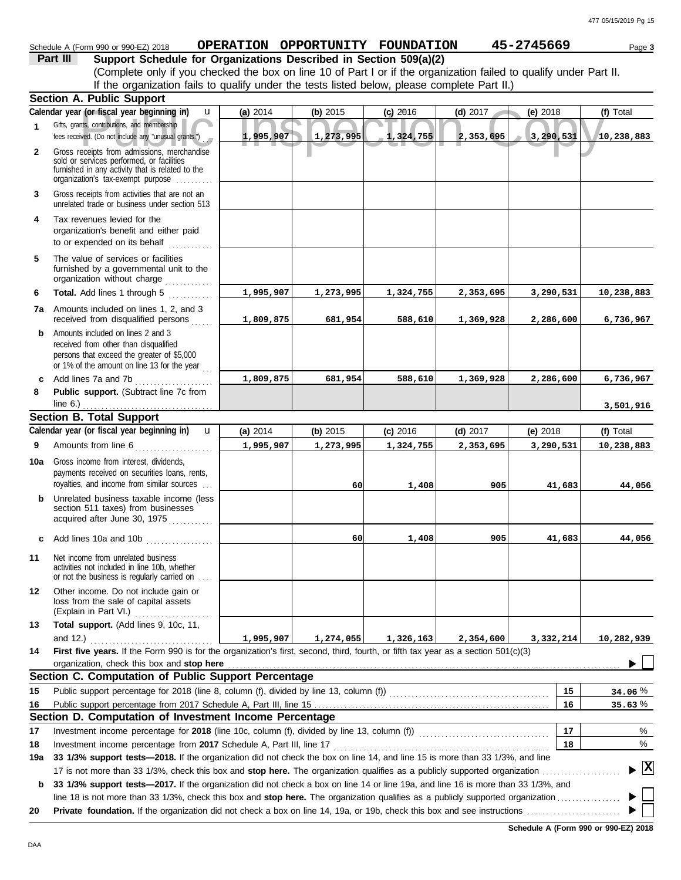## Schedule A (Form 990 or 990-EZ) 2018 **OPERATION OPPORTUNITY FOUNDATION 45-2745669** Page 3

## **Part III Support Schedule for Organizations Described in Section 509(a)(2)**

(Complete only if you checked the box on line 10 of Part I or if the organization failed to qualify under Part II. If the organization fails to qualify under the tests listed below, please complete Part II.)

|              | <b>Section A. Public Support</b>                                                                                                                                                  |           |           |            |            |           |              |
|--------------|-----------------------------------------------------------------------------------------------------------------------------------------------------------------------------------|-----------|-----------|------------|------------|-----------|--------------|
|              | Calendar year (or fiscal year beginning in)<br>u                                                                                                                                  | (a) 2014  | (b) 2015  | $(c)$ 2016 | $(d)$ 2017 | (e) 2018  | (f) Total    |
| $\mathbf{1}$ | Gifts, grants, contributions, and membership<br>fees received. (Do not include any "unusual grants.")                                                                             | 1,995,907 | 1,273,995 | 1,324,755  | 2,353,695  | 3,290,531 | 10,238,883   |
| $\mathbf{2}$ | Gross receipts from admissions, merchandise<br>sold or services performed, or facilities<br>furnished in any activity that is related to the<br>organization's tax-exempt purpose |           |           |            |            |           |              |
| 3            | Gross receipts from activities that are not an<br>unrelated trade or business under section 513                                                                                   |           |           |            |            |           |              |
| 4            | Tax revenues levied for the<br>organization's benefit and either paid<br>to or expended on its behalf<br><u>.</u><br>.                                                            |           |           |            |            |           |              |
| 5            | The value of services or facilities<br>furnished by a governmental unit to the<br>organization without charge                                                                     |           |           |            |            |           |              |
| 6            | <b>Total.</b> Add lines 1 through 5<br>.                                                                                                                                          | 1,995,907 | 1,273,995 | 1,324,755  | 2,353,695  | 3,290,531 | 10,238,883   |
|              | <b>7a</b> Amounts included on lines 1, 2, and 3<br>received from disqualified persons                                                                                             | 1,809,875 | 681,954   | 588,610    | 1,369,928  | 2,286,600 | 6,736,967    |
| b.           | Amounts included on lines 2 and 3<br>received from other than disqualified<br>persons that exceed the greater of \$5,000<br>or 1% of the amount on line 13 for the year           |           |           |            |            |           |              |
| C            | Add lines 7a and 7b<br>.                                                                                                                                                          | 1,809,875 | 681,954   | 588,610    | 1,369,928  | 2,286,600 | 6,736,967    |
| 8            | Public support. (Subtract line 7c from                                                                                                                                            |           |           |            |            |           |              |
|              | line $6.$ )                                                                                                                                                                       |           |           |            |            |           | 3,501,916    |
|              | <b>Section B. Total Support</b>                                                                                                                                                   |           |           |            |            |           |              |
|              | Calendar year (or fiscal year beginning in)<br>$\mathbf{u}$                                                                                                                       | (a) 2014  | (b) 2015  | $(c)$ 2016 | $(d)$ 2017 | (e) 2018  | (f) Total    |
| 9            | Amounts from line 6                                                                                                                                                               | 1,995,907 | 1,273,995 | 1,324,755  | 2,353,695  | 3,290,531 | 10,238,883   |
| 10a          | Gross income from interest, dividends,<br>payments received on securities loans, rents,<br>royalties, and income from similar sources                                             |           | 60        | 1,408      | 905        | 41,683    | 44,056       |
| b            | Unrelated business taxable income (less<br>section 511 taxes) from businesses<br>acquired after June 30, 1975                                                                     |           |           |            |            |           |              |
|              | c Add lines 10a and 10b $\ldots$                                                                                                                                                  |           | 60        | 1,408      | 905        | 41,683    | 44,056       |
| 11           | Net income from unrelated business<br>activities not included in line 10b, whether<br>or not the business is regularly carried on                                                 |           |           |            |            |           |              |
| 12           | Other income. Do not include gain or<br>loss from the sale of capital assets<br>(Explain in Part VI.)                                                                             |           |           |            |            |           |              |
| 13           | Total support. (Add lines 9, 10c, 11,                                                                                                                                             |           |           |            |            |           |              |
|              | and 12.) $\ldots$                                                                                                                                                                 | 1,995,907 | 1,274,055 | 1,326,163  | 2,354,600  | 3,332,214 | 10,282,939   |
| 14           | First five years. If the Form 990 is for the organization's first, second, third, fourth, or fifth tax year as a section 501(c)(3)                                                |           |           |            |            |           |              |
|              | organization, check this box and stop here                                                                                                                                        |           |           |            |            |           |              |
|              | Section C. Computation of Public Support Percentage                                                                                                                               |           |           |            |            |           |              |
| 15           |                                                                                                                                                                                   |           |           |            |            | 15<br>16  | 34.06%       |
| 16           | Section D. Computation of Investment Income Percentage                                                                                                                            |           |           |            |            |           | 35.63%       |
| 17           | Investment income percentage for 2018 (line 10c, column (f), divided by line 13, column (f)) [[[[[[[[[[[[[[[[                                                                     |           |           |            |            | 17        | %            |
| 18           | Investment income percentage from 2017 Schedule A, Part III, line 17                                                                                                              |           |           |            |            | 18        | %            |
| 19a          | 33 1/3% support tests-2018. If the organization did not check the box on line 14, and line 15 is more than 33 1/3%, and line                                                      |           |           |            |            |           |              |
|              | 17 is not more than 33 1/3%, check this box and stop here. The organization qualifies as a publicly supported organization                                                        |           |           |            |            |           | $\mathbf{x}$ |
| b            | 33 1/3% support tests-2017. If the organization did not check a box on line 14 or line 19a, and line 16 is more than 33 1/3%, and                                                 |           |           |            |            |           |              |
|              | line 18 is not more than 33 1/3%, check this box and stop here. The organization qualifies as a publicly supported organization                                                   |           |           |            |            |           |              |
| 20           |                                                                                                                                                                                   |           |           |            |            |           |              |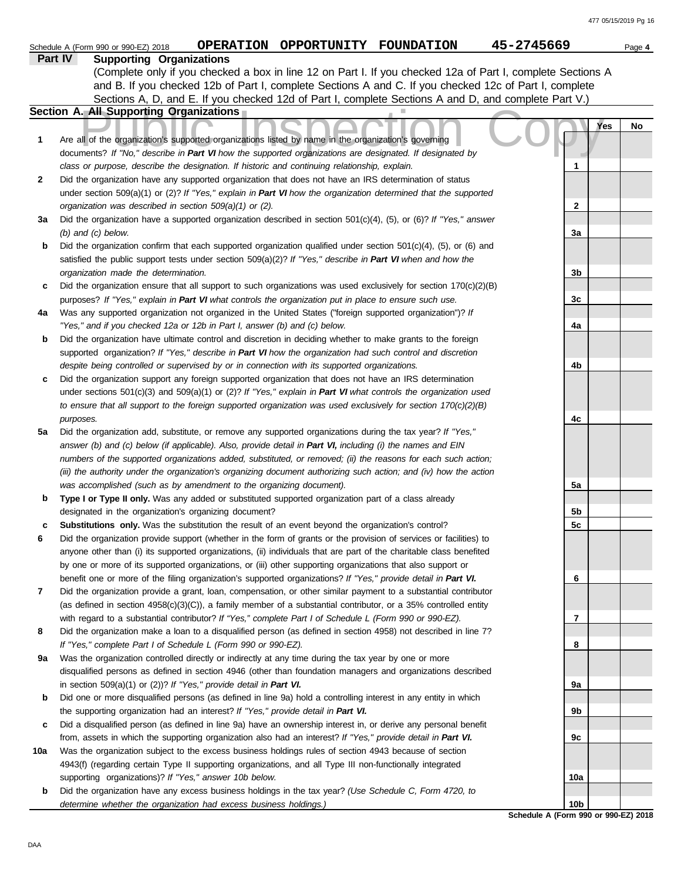|     | 45-2745669<br>OPERATION OPPORTUNITY FOUNDATION<br>Schedule A (Form 990 or 990-EZ) 2018                                                                                                                                   |                 | Page 4 |
|-----|--------------------------------------------------------------------------------------------------------------------------------------------------------------------------------------------------------------------------|-----------------|--------|
|     | Part IV<br><b>Supporting Organizations</b>                                                                                                                                                                               |                 |        |
|     | (Complete only if you checked a box in line 12 on Part I. If you checked 12a of Part I, complete Sections A                                                                                                              |                 |        |
|     | and B. If you checked 12b of Part I, complete Sections A and C. If you checked 12c of Part I, complete                                                                                                                   |                 |        |
|     | Sections A, D, and E. If you checked 12d of Part I, complete Sections A and D, and complete Part V.)                                                                                                                     |                 |        |
|     | Section A. All Supporting Organizations                                                                                                                                                                                  |                 |        |
| 1   | Are all of the organization's supported organizations listed by name in the organization's governing                                                                                                                     | Yes             | No     |
|     | documents? If "No," describe in Part VI how the supported organizations are designated. If designated by                                                                                                                 |                 |        |
|     | class or purpose, describe the designation. If historic and continuing relationship, explain.                                                                                                                            |                 |        |
| 2   | Did the organization have any supported organization that does not have an IRS determination of status                                                                                                                   |                 |        |
|     | under section 509(a)(1) or (2)? If "Yes," explain in Part VI how the organization determined that the supported                                                                                                          |                 |        |
| За  | organization was described in section 509(a)(1) or (2).<br>Did the organization have a supported organization described in section $501(c)(4)$ , (5), or (6)? If "Yes," answer                                           | 2               |        |
|     | $(b)$ and $(c)$ below.                                                                                                                                                                                                   | За              |        |
| b   | Did the organization confirm that each supported organization qualified under section $501(c)(4)$ , $(5)$ , or $(6)$ and                                                                                                 |                 |        |
|     | satisfied the public support tests under section 509(a)(2)? If "Yes," describe in Part VI when and how the                                                                                                               |                 |        |
|     | organization made the determination.                                                                                                                                                                                     | 3b              |        |
| c   | Did the organization ensure that all support to such organizations was used exclusively for section $170(c)(2)(B)$                                                                                                       |                 |        |
|     | purposes? If "Yes," explain in Part VI what controls the organization put in place to ensure such use.                                                                                                                   | 3c              |        |
| 4a  | Was any supported organization not organized in the United States ("foreign supported organization")? If                                                                                                                 |                 |        |
|     | "Yes," and if you checked 12a or 12b in Part I, answer (b) and (c) below.                                                                                                                                                | 4a              |        |
| b   | Did the organization have ultimate control and discretion in deciding whether to make grants to the foreign                                                                                                              |                 |        |
|     | supported organization? If "Yes," describe in Part VI how the organization had such control and discretion                                                                                                               |                 |        |
|     | despite being controlled or supervised by or in connection with its supported organizations.                                                                                                                             | 4b              |        |
| c   | Did the organization support any foreign supported organization that does not have an IRS determination                                                                                                                  |                 |        |
|     | under sections $501(c)(3)$ and $509(a)(1)$ or (2)? If "Yes," explain in Part VI what controls the organization used                                                                                                      |                 |        |
|     | to ensure that all support to the foreign supported organization was used exclusively for section 170(c)(2)(B)                                                                                                           |                 |        |
|     | purposes.                                                                                                                                                                                                                | 4c              |        |
| 5a  | Did the organization add, substitute, or remove any supported organizations during the tax year? If "Yes,"<br>answer (b) and (c) below (if applicable). Also, provide detail in Part VI, including (i) the names and EIN |                 |        |
|     | numbers of the supported organizations added, substituted, or removed; (ii) the reasons for each such action;                                                                                                            |                 |        |
|     | (iii) the authority under the organization's organizing document authorizing such action; and (iv) how the action                                                                                                        |                 |        |
|     | was accomplished (such as by amendment to the organizing document).                                                                                                                                                      | 5a              |        |
| b   | Type I or Type II only. Was any added or substituted supported organization part of a class already                                                                                                                      |                 |        |
|     | designated in the organization's organizing document?                                                                                                                                                                    | 5b              |        |
| с   | Substitutions only. Was the substitution the result of an event beyond the organization's control?                                                                                                                       | 5c              |        |
| 6   | Did the organization provide support (whether in the form of grants or the provision of services or facilities) to                                                                                                       |                 |        |
|     | anyone other than (i) its supported organizations, (ii) individuals that are part of the charitable class benefited                                                                                                      |                 |        |
|     | by one or more of its supported organizations, or (iii) other supporting organizations that also support or                                                                                                              |                 |        |
|     | benefit one or more of the filing organization's supported organizations? If "Yes," provide detail in Part VI.                                                                                                           | 6               |        |
| 7   | Did the organization provide a grant, loan, compensation, or other similar payment to a substantial contributor                                                                                                          |                 |        |
|     | (as defined in section $4958(c)(3)(C)$ ), a family member of a substantial contributor, or a 35% controlled entity                                                                                                       |                 |        |
|     | with regard to a substantial contributor? If "Yes," complete Part I of Schedule L (Form 990 or 990-EZ).                                                                                                                  | 7               |        |
| 8   | Did the organization make a loan to a disqualified person (as defined in section 4958) not described in line 7?<br>If "Yes," complete Part I of Schedule L (Form 990 or 990-EZ).                                         | 8               |        |
| 9a  | Was the organization controlled directly or indirectly at any time during the tax year by one or more                                                                                                                    |                 |        |
|     | disqualified persons as defined in section 4946 (other than foundation managers and organizations described                                                                                                              |                 |        |
|     | in section 509(a)(1) or (2))? If "Yes," provide detail in Part VI.                                                                                                                                                       | 9а              |        |
| b   | Did one or more disqualified persons (as defined in line 9a) hold a controlling interest in any entity in which                                                                                                          |                 |        |
|     | the supporting organization had an interest? If "Yes," provide detail in Part VI.                                                                                                                                        | 9b              |        |
| c   | Did a disqualified person (as defined in line 9a) have an ownership interest in, or derive any personal benefit                                                                                                          |                 |        |
|     | from, assets in which the supporting organization also had an interest? If "Yes," provide detail in Part VI.                                                                                                             | 9с              |        |
| 10a | Was the organization subject to the excess business holdings rules of section 4943 because of section                                                                                                                    |                 |        |
|     | 4943(f) (regarding certain Type II supporting organizations, and all Type III non-functionally integrated                                                                                                                |                 |        |
|     | supporting organizations)? If "Yes," answer 10b below.                                                                                                                                                                   | 10a             |        |
| b   | Did the organization have any excess business holdings in the tax year? (Use Schedule C, Form 4720, to                                                                                                                   |                 |        |
|     | determine whether the organization had excess business holdings.)                                                                                                                                                        | 10 <sub>b</sub> |        |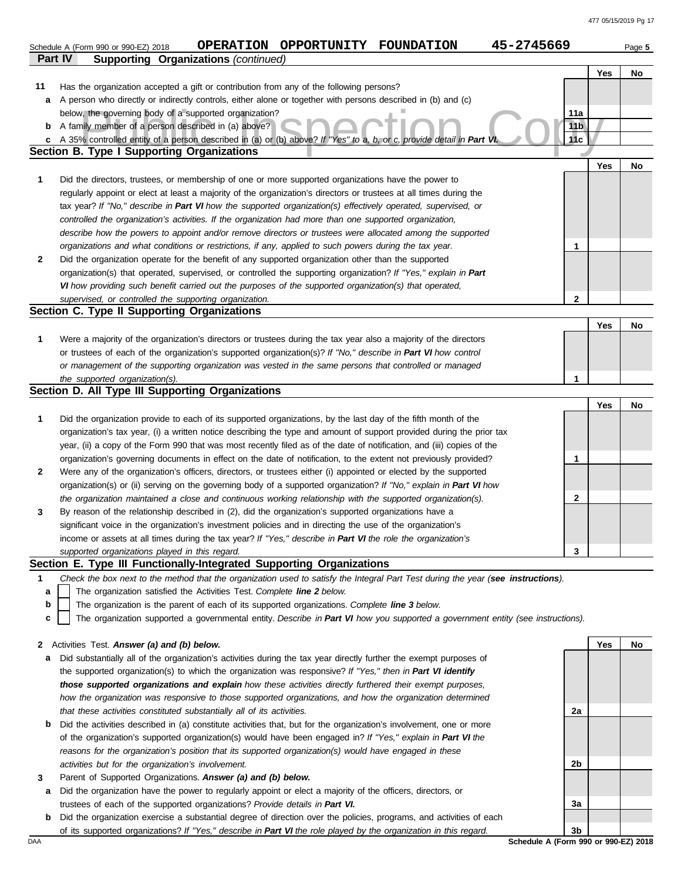|     |                                                                                                                                   |                 | Yes | No |
|-----|-----------------------------------------------------------------------------------------------------------------------------------|-----------------|-----|----|
| 11  | Has the organization accepted a gift or contribution from any of the following persons?                                           |                 |     |    |
| a   | A person who directly or indirectly controls, either alone or together with persons described in (b) and (c)                      |                 |     |    |
|     | below, the governing body of a supported organization?                                                                            | 11a             |     |    |
| b   | A family member of a person described in (a) above?                                                                               | 11 <sub>b</sub> |     |    |
| c   | A 35% controlled entity of a person described in (a) or (b) above? If "Yes" to a, b, or c, provide detail in Part VI              | 11c             |     |    |
|     | <b>Section B. Type I Supporting Organizations</b>                                                                                 |                 |     |    |
|     |                                                                                                                                   |                 | Yes | No |
| 1   | Did the directors, trustees, or membership of one or more supported organizations have the power to                               |                 |     |    |
|     | regularly appoint or elect at least a majority of the organization's directors or trustees at all times during the                |                 |     |    |
|     | tax year? If "No," describe in Part VI how the supported organization(s) effectively operated, supervised, or                     |                 |     |    |
|     |                                                                                                                                   |                 |     |    |
|     | controlled the organization's activities. If the organization had more than one supported organization,                           |                 |     |    |
|     | describe how the powers to appoint and/or remove directors or trustees were allocated among the supported                         |                 |     |    |
|     | organizations and what conditions or restrictions, if any, applied to such powers during the tax year.                            | 1               |     |    |
| 2   | Did the organization operate for the benefit of any supported organization other than the supported                               |                 |     |    |
|     | organization(s) that operated, supervised, or controlled the supporting organization? If "Yes," explain in Part                   |                 |     |    |
|     | VI how providing such benefit carried out the purposes of the supported organization(s) that operated,                            |                 |     |    |
|     | supervised, or controlled the supporting organization.                                                                            | $\mathbf{2}$    |     |    |
|     | Section C. Type II Supporting Organizations                                                                                       |                 |     |    |
|     |                                                                                                                                   |                 | Yes | No |
| 1   | Were a majority of the organization's directors or trustees during the tax year also a majority of the directors                  |                 |     |    |
|     | or trustees of each of the organization's supported organization(s)? If "No," describe in Part VI how control                     |                 |     |    |
|     | or management of the supporting organization was vested in the same persons that controlled or managed                            |                 |     |    |
|     | the supported organization(s).                                                                                                    | 1               |     |    |
|     | Section D. All Type III Supporting Organizations                                                                                  |                 |     |    |
|     |                                                                                                                                   |                 | Yes | No |
| 1   | Did the organization provide to each of its supported organizations, by the last day of the fifth month of the                    |                 |     |    |
|     | organization's tax year, (i) a written notice describing the type and amount of support provided during the prior tax             |                 |     |    |
|     | year, (ii) a copy of the Form 990 that was most recently filed as of the date of notification, and (iii) copies of the            |                 |     |    |
|     | organization's governing documents in effect on the date of notification, to the extent not previously provided?                  | 1               |     |    |
| 2   | Were any of the organization's officers, directors, or trustees either (i) appointed or elected by the supported                  |                 |     |    |
|     | organization(s) or (ii) serving on the governing body of a supported organization? If "No," explain in Part VI how                |                 |     |    |
|     | the organization maintained a close and continuous working relationship with the supported organization(s).                       | 2               |     |    |
|     |                                                                                                                                   |                 |     |    |
| 3   | By reason of the relationship described in (2), did the organization's supported organizations have a                             |                 |     |    |
|     | significant voice in the organization's investment policies and in directing the use of the organization's                        |                 |     |    |
|     | income or assets at all times during the tax year? If "Yes," describe in Part VI the role the organization's                      |                 |     |    |
|     | supported organizations played in this regard.                                                                                    | 3               |     |    |
|     | Section E. Type III Functionally-Integrated Supporting Organizations                                                              |                 |     |    |
| 1   | Check the box next to the method that the organization used to satisfy the Integral Part Test during the year (see instructions). |                 |     |    |
| а   | The organization satisfied the Activities Test. Complete line 2 below.                                                            |                 |     |    |
| b   | The organization is the parent of each of its supported organizations. Complete line 3 below.                                     |                 |     |    |
| C   | The organization supported a governmental entity. Describe in Part VI how you supported a government entity (see instructions).   |                 |     |    |
|     |                                                                                                                                   |                 |     |    |
| 2   | Activities Test. Answer (a) and (b) below.                                                                                        |                 | Yes | No |
| а   | Did substantially all of the organization's activities during the tax year directly further the exempt purposes of                |                 |     |    |
|     | the supported organization(s) to which the organization was responsive? If "Yes," then in Part VI identify                        |                 |     |    |
|     | those supported organizations and explain how these activities directly furthered their exempt purposes,                          |                 |     |    |
|     | how the organization was responsive to those supported organizations, and how the organization determined                         |                 |     |    |
|     | that these activities constituted substantially all of its activities.                                                            | 2a              |     |    |
| b   | Did the activities described in (a) constitute activities that, but for the organization's involvement, one or more               |                 |     |    |
|     | of the organization's supported organization(s) would have been engaged in? If "Yes," explain in Part VI the                      |                 |     |    |
|     | reasons for the organization's position that its supported organization(s) would have engaged in these                            |                 |     |    |
|     | activities but for the organization's involvement.                                                                                | 2b              |     |    |
| 3   | Parent of Supported Organizations. Answer (a) and (b) below.                                                                      |                 |     |    |
| а   | Did the organization have the power to regularly appoint or elect a majority of the officers, directors, or                       |                 |     |    |
|     | trustees of each of the supported organizations? Provide details in Part VI.                                                      | За              |     |    |
| b   |                                                                                                                                   |                 |     |    |
|     | Did the organization exercise a substantial degree of direction over the policies, programs, and activities of each               | 3b              |     |    |
|     | of its supported organizations? If "Yes," describe in Part VI the role played by the organization in this regard.                 |                 |     |    |
| DAA | Schedule A (Form 990 or 990-EZ) 2018                                                                                              |                 |     |    |

Schedule A (Form 990 or 990-EZ) 2018 **OPERATION OPPORTUNITY FOUNDATION 45-2745669** Page 5

**Part IV Supporting Organizations** *(continued)*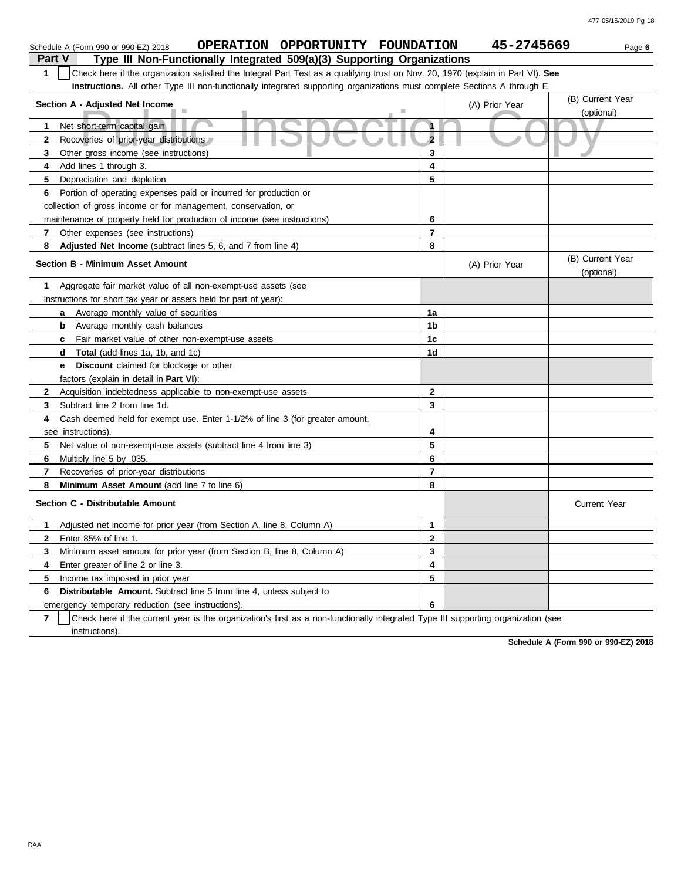| <b>OPPORTUNITY</b><br><b>OPERATION</b><br><b>FOUNDATION</b><br>Schedule A (Form 990 or 990-EZ) 2018                                   |                      | 45-2745669     | Page 6                         |
|---------------------------------------------------------------------------------------------------------------------------------------|----------------------|----------------|--------------------------------|
| <b>Part V</b><br>Type III Non-Functionally Integrated 509(a)(3) Supporting Organizations                                              |                      |                |                                |
| Check here if the organization satisfied the Integral Part Test as a qualifying trust on Nov. 20, 1970 (explain in Part VI). See<br>1 |                      |                |                                |
| instructions. All other Type III non-functionally integrated supporting organizations must complete Sections A through E.             |                      |                |                                |
| Section A - Adjusted Net Income                                                                                                       |                      | (A) Prior Year | (B) Current Year<br>(optional) |
| Net short-term capital gain<br>1.                                                                                                     | h                    |                |                                |
| 2<br>Recoveries of prior-year distributions                                                                                           | $\overline{2}$       |                |                                |
| 3<br>Other gross income (see instructions)                                                                                            | 3                    |                |                                |
| Add lines 1 through 3.<br>4                                                                                                           | 4                    |                |                                |
| 5<br>Depreciation and depletion                                                                                                       | 5                    |                |                                |
| Portion of operating expenses paid or incurred for production or<br>6                                                                 |                      |                |                                |
| collection of gross income or for management, conservation, or                                                                        |                      |                |                                |
| maintenance of property held for production of income (see instructions)                                                              | 6                    |                |                                |
| 7 Other expenses (see instructions)                                                                                                   | $\overline{7}$       |                |                                |
| 8<br>Adjusted Net Income (subtract lines 5, 6, and 7 from line 4)                                                                     | 8                    |                |                                |
| <b>Section B - Minimum Asset Amount</b>                                                                                               |                      | (A) Prior Year | (B) Current Year<br>(optional) |
| Aggregate fair market value of all non-exempt-use assets (see<br>1.                                                                   |                      |                |                                |
| instructions for short tax year or assets held for part of year):                                                                     |                      |                |                                |
| <b>a</b> Average monthly value of securities                                                                                          | 1a                   |                |                                |
| Average monthly cash balances<br>b                                                                                                    | 1b                   |                |                                |
| Fair market value of other non-exempt-use assets<br>c                                                                                 | 1c                   |                |                                |
| <b>Total</b> (add lines 1a, 1b, and 1c)<br>d                                                                                          | 1d                   |                |                                |
| <b>Discount</b> claimed for blockage or other<br>е                                                                                    |                      |                |                                |
| factors (explain in detail in <b>Part VI</b> ):                                                                                       |                      |                |                                |
| $\mathbf{2}$<br>Acquisition indebtedness applicable to non-exempt-use assets                                                          | 2                    |                |                                |
| 3<br>Subtract line 2 from line 1d.                                                                                                    | 3                    |                |                                |
| Cash deemed held for exempt use. Enter 1-1/2% of line 3 (for greater amount,<br>4                                                     |                      |                |                                |
| see instructions).                                                                                                                    | 4                    |                |                                |
| 5<br>Net value of non-exempt-use assets (subtract line 4 from line 3)                                                                 | 5                    |                |                                |
| 6<br>Multiply line 5 by .035.                                                                                                         | 6                    |                |                                |
| 7<br>Recoveries of prior-year distributions                                                                                           | $\overline{7}$       |                |                                |
| 8<br>Minimum Asset Amount (add line 7 to line 6)                                                                                      | 8                    |                |                                |
| Section C - Distributable Amount                                                                                                      |                      |                | <b>Current Year</b>            |
| Adjusted net income for prior year (from Section A, line 8, Column A)                                                                 | $\blacktriangleleft$ |                |                                |
| Enter 85% of line 1.<br>$\mathbf{2}$                                                                                                  | $\mathbf{2}$         |                |                                |
| 3<br>Minimum asset amount for prior year (from Section B, line 8, Column A)                                                           | 3                    |                |                                |
| Enter greater of line 2 or line 3.<br>4                                                                                               | 4                    |                |                                |
| 5<br>Income tax imposed in prior year                                                                                                 | 5                    |                |                                |
| Distributable Amount. Subtract line 5 from line 4, unless subject to<br>6                                                             |                      |                |                                |
| emergency temporary reduction (see instructions).                                                                                     | 6                    |                |                                |

**7** instructions). Check here if the current year is the organization's first as a non-functionally integrated Type III supporting organization (see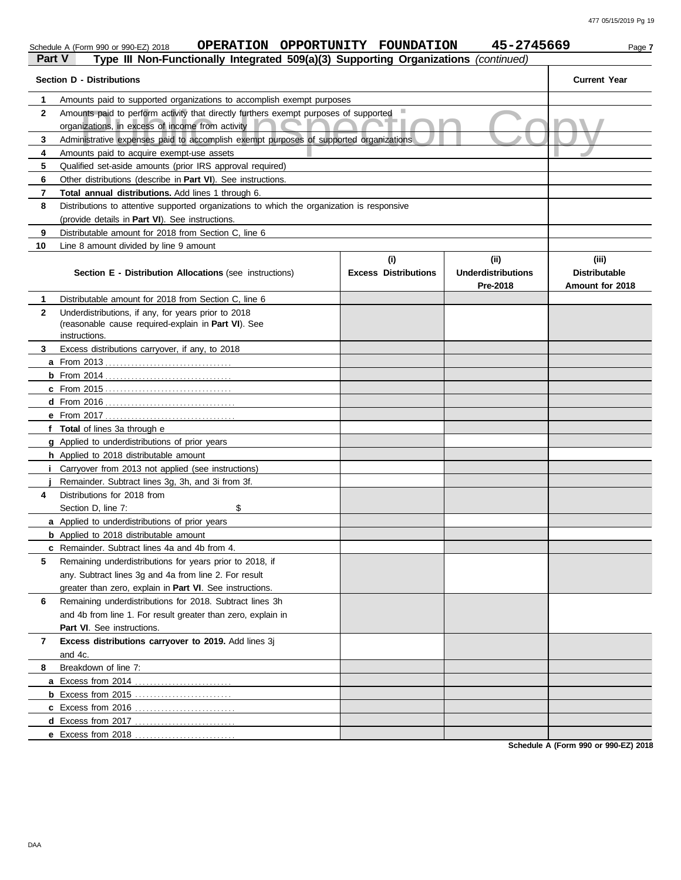|        | OPERATION OPPORTUNITY FOUNDATION<br>Schedule A (Form 990 or 990-EZ) 2018                                                                 |                                    | 45-2745669                                   | Page 7                                           |
|--------|------------------------------------------------------------------------------------------------------------------------------------------|------------------------------------|----------------------------------------------|--------------------------------------------------|
| Part V | Type III Non-Functionally Integrated 509(a)(3) Supporting Organizations (continued)                                                      |                                    |                                              |                                                  |
|        | <b>Section D - Distributions</b>                                                                                                         |                                    |                                              | <b>Current Year</b>                              |
| 1      | Amounts paid to supported organizations to accomplish exempt purposes                                                                    |                                    |                                              |                                                  |
| 2      | Amounts paid to perform activity that directly furthers exempt purposes of supported<br>organizations, in excess of income from activity |                                    |                                              |                                                  |
| 3      | Administrative expenses paid to accomplish exempt purposes of supported organizations                                                    |                                    |                                              |                                                  |
| 4      | Amounts paid to acquire exempt-use assets                                                                                                |                                    |                                              |                                                  |
| 5      | Qualified set-aside amounts (prior IRS approval required)                                                                                |                                    |                                              |                                                  |
| 6      | Other distributions (describe in Part VI). See instructions.                                                                             |                                    |                                              |                                                  |
| 7      | Total annual distributions. Add lines 1 through 6.                                                                                       |                                    |                                              |                                                  |
| 8      | Distributions to attentive supported organizations to which the organization is responsive                                               |                                    |                                              |                                                  |
|        | (provide details in Part VI). See instructions.                                                                                          |                                    |                                              |                                                  |
| 9      | Distributable amount for 2018 from Section C, line 6                                                                                     |                                    |                                              |                                                  |
| 10     | Line 8 amount divided by line 9 amount                                                                                                   |                                    |                                              |                                                  |
|        | <b>Section E - Distribution Allocations (see instructions)</b>                                                                           | (i)<br><b>Excess Distributions</b> | (i)<br><b>Underdistributions</b><br>Pre-2018 | (iii)<br><b>Distributable</b><br>Amount for 2018 |
| 1      | Distributable amount for 2018 from Section C, line 6                                                                                     |                                    |                                              |                                                  |
| 2      | Underdistributions, if any, for years prior to 2018<br>(reasonable cause required-explain in Part VI). See<br>instructions.              |                                    |                                              |                                                  |
| 3      | Excess distributions carryover, if any, to 2018                                                                                          |                                    |                                              |                                                  |
|        |                                                                                                                                          |                                    |                                              |                                                  |
|        |                                                                                                                                          |                                    |                                              |                                                  |
|        |                                                                                                                                          |                                    |                                              |                                                  |
|        |                                                                                                                                          |                                    |                                              |                                                  |
|        |                                                                                                                                          |                                    |                                              |                                                  |
|        | f Total of lines 3a through e                                                                                                            |                                    |                                              |                                                  |
|        | <b>g</b> Applied to underdistributions of prior years                                                                                    |                                    |                                              |                                                  |
|        | h Applied to 2018 distributable amount                                                                                                   |                                    |                                              |                                                  |
|        | Carryover from 2013 not applied (see instructions)                                                                                       |                                    |                                              |                                                  |
|        | Remainder. Subtract lines 3g, 3h, and 3i from 3f.                                                                                        |                                    |                                              |                                                  |
| 4      | Distributions for 2018 from                                                                                                              |                                    |                                              |                                                  |
|        | \$<br>Section D, line 7:                                                                                                                 |                                    |                                              |                                                  |
|        | <b>a</b> Applied to underdistributions of prior years                                                                                    |                                    |                                              |                                                  |
|        | <b>b</b> Applied to 2018 distributable amount                                                                                            |                                    |                                              |                                                  |
|        | c Remainder. Subtract lines 4a and 4b from 4.                                                                                            |                                    |                                              |                                                  |
| 5      | Remaining underdistributions for years prior to 2018, if                                                                                 |                                    |                                              |                                                  |
|        | any. Subtract lines 3g and 4a from line 2. For result                                                                                    |                                    |                                              |                                                  |
|        | greater than zero, explain in Part VI. See instructions.                                                                                 |                                    |                                              |                                                  |
| 6      | Remaining underdistributions for 2018. Subtract lines 3h                                                                                 |                                    |                                              |                                                  |
|        | and 4b from line 1. For result greater than zero, explain in                                                                             |                                    |                                              |                                                  |
|        | Part VI. See instructions.                                                                                                               |                                    |                                              |                                                  |
| 7      | Excess distributions carryover to 2019. Add lines 3j<br>and 4c.                                                                          |                                    |                                              |                                                  |
| 8      | Breakdown of line 7:                                                                                                                     |                                    |                                              |                                                  |
|        |                                                                                                                                          |                                    |                                              |                                                  |
|        |                                                                                                                                          |                                    |                                              |                                                  |
|        | c Excess from 2016                                                                                                                       |                                    |                                              |                                                  |
|        |                                                                                                                                          |                                    |                                              |                                                  |
|        | e Excess from 2018                                                                                                                       |                                    |                                              |                                                  |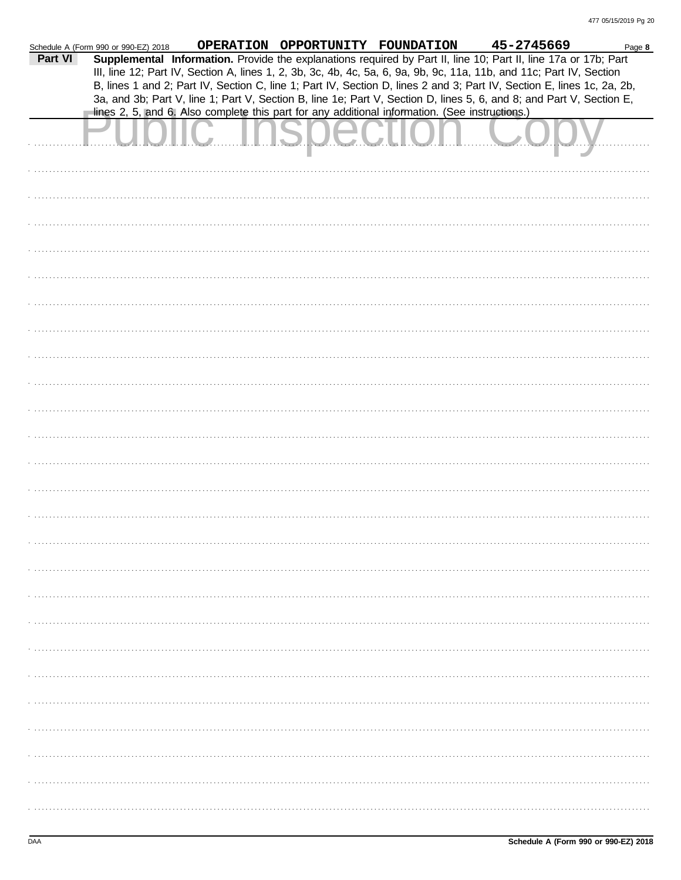|         | Schedule A (Form 990 or 990-EZ) 2018 | OPERATION OPPORTUNITY FOUNDATION |                                                                                                | 45-2745669<br>Page 8                                                                                                   |  |
|---------|--------------------------------------|----------------------------------|------------------------------------------------------------------------------------------------|------------------------------------------------------------------------------------------------------------------------|--|
| Part VI |                                      |                                  |                                                                                                | Supplemental Information. Provide the explanations required by Part II, line 10; Part II, line 17a or 17b; Part        |  |
|         |                                      |                                  |                                                                                                | III, line 12; Part IV, Section A, lines 1, 2, 3b, 3c, 4b, 4c, 5a, 6, 9a, 9b, 9c, 11a, 11b, and 11c; Part IV, Section   |  |
|         |                                      |                                  |                                                                                                | B, lines 1 and 2; Part IV, Section C, line 1; Part IV, Section D, lines 2 and 3; Part IV, Section E, lines 1c, 2a, 2b, |  |
|         |                                      |                                  |                                                                                                | 3a, and 3b; Part V, line 1; Part V, Section B, line 1e; Part V, Section D, lines 5, 6, and 8; and Part V, Section E,   |  |
|         |                                      |                                  | lines 2, 5, and 6. Also complete this part for any additional information. (See instructions.) |                                                                                                                        |  |
|         |                                      |                                  |                                                                                                |                                                                                                                        |  |
|         |                                      |                                  |                                                                                                |                                                                                                                        |  |
|         |                                      |                                  |                                                                                                |                                                                                                                        |  |
|         |                                      |                                  |                                                                                                |                                                                                                                        |  |
|         |                                      |                                  |                                                                                                |                                                                                                                        |  |
|         |                                      |                                  |                                                                                                |                                                                                                                        |  |
|         |                                      |                                  |                                                                                                |                                                                                                                        |  |
|         |                                      |                                  |                                                                                                |                                                                                                                        |  |
|         |                                      |                                  |                                                                                                |                                                                                                                        |  |
|         |                                      |                                  |                                                                                                |                                                                                                                        |  |
|         |                                      |                                  |                                                                                                |                                                                                                                        |  |
|         |                                      |                                  |                                                                                                |                                                                                                                        |  |
|         |                                      |                                  |                                                                                                |                                                                                                                        |  |
|         |                                      |                                  |                                                                                                |                                                                                                                        |  |
|         |                                      |                                  |                                                                                                |                                                                                                                        |  |
|         |                                      |                                  |                                                                                                |                                                                                                                        |  |
|         |                                      |                                  |                                                                                                |                                                                                                                        |  |
|         |                                      |                                  |                                                                                                |                                                                                                                        |  |
|         |                                      |                                  |                                                                                                |                                                                                                                        |  |
|         |                                      |                                  |                                                                                                |                                                                                                                        |  |
|         |                                      |                                  |                                                                                                |                                                                                                                        |  |
|         |                                      |                                  |                                                                                                |                                                                                                                        |  |
|         |                                      |                                  |                                                                                                |                                                                                                                        |  |
|         |                                      |                                  |                                                                                                |                                                                                                                        |  |
|         |                                      |                                  |                                                                                                |                                                                                                                        |  |
|         |                                      |                                  |                                                                                                |                                                                                                                        |  |
|         |                                      |                                  |                                                                                                |                                                                                                                        |  |
|         |                                      |                                  |                                                                                                |                                                                                                                        |  |
|         |                                      |                                  |                                                                                                |                                                                                                                        |  |
|         |                                      |                                  |                                                                                                |                                                                                                                        |  |
|         |                                      |                                  |                                                                                                |                                                                                                                        |  |
|         |                                      |                                  |                                                                                                |                                                                                                                        |  |
|         |                                      |                                  |                                                                                                |                                                                                                                        |  |
|         |                                      |                                  |                                                                                                |                                                                                                                        |  |
|         |                                      |                                  |                                                                                                |                                                                                                                        |  |
|         |                                      |                                  |                                                                                                |                                                                                                                        |  |
|         |                                      |                                  |                                                                                                |                                                                                                                        |  |
|         |                                      |                                  |                                                                                                |                                                                                                                        |  |
|         |                                      |                                  |                                                                                                |                                                                                                                        |  |
|         |                                      |                                  |                                                                                                |                                                                                                                        |  |
|         |                                      |                                  |                                                                                                |                                                                                                                        |  |
|         |                                      |                                  |                                                                                                |                                                                                                                        |  |
|         |                                      |                                  |                                                                                                |                                                                                                                        |  |
|         |                                      |                                  |                                                                                                |                                                                                                                        |  |
|         |                                      |                                  |                                                                                                |                                                                                                                        |  |
|         |                                      |                                  |                                                                                                |                                                                                                                        |  |
|         |                                      |                                  |                                                                                                |                                                                                                                        |  |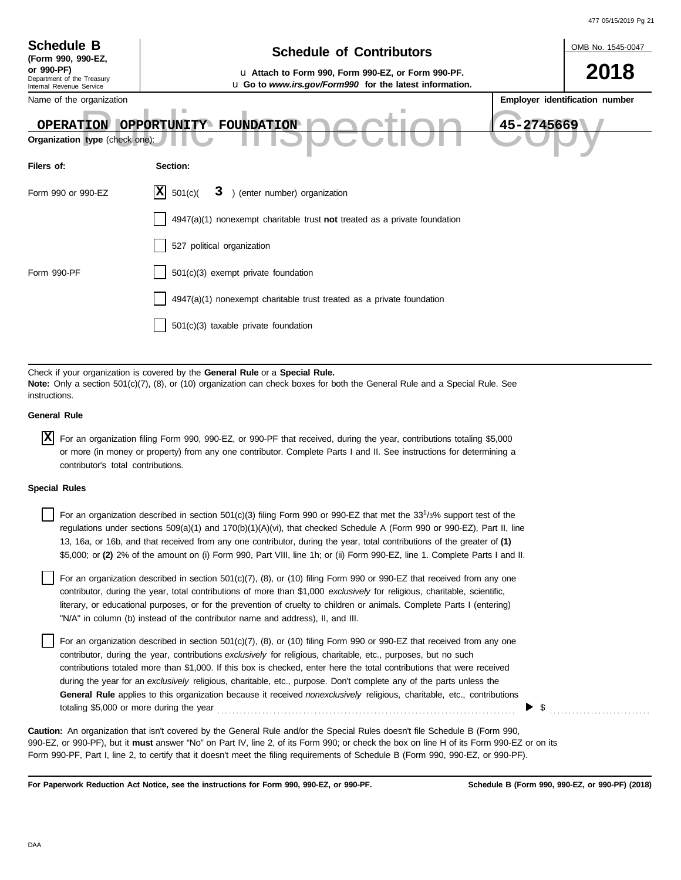|                                                            |                                                                                                                                                                                                                                                                                                                                                                                                                                                                                                                       | 477 05/15/2019 Pg 21           |
|------------------------------------------------------------|-----------------------------------------------------------------------------------------------------------------------------------------------------------------------------------------------------------------------------------------------------------------------------------------------------------------------------------------------------------------------------------------------------------------------------------------------------------------------------------------------------------------------|--------------------------------|
| <b>Schedule B</b>                                          | <b>Schedule of Contributors</b>                                                                                                                                                                                                                                                                                                                                                                                                                                                                                       | OMB No. 1545-0047              |
| (Form 990, 990-EZ,<br>or 990-PF)                           | u Attach to Form 990, Form 990-EZ, or Form 990-PF.                                                                                                                                                                                                                                                                                                                                                                                                                                                                    | 2018                           |
| Department of the Treasury<br>Internal Revenue Service     | u Go to www.irs.gov/Form990 for the latest information.                                                                                                                                                                                                                                                                                                                                                                                                                                                               |                                |
| Name of the organization<br>Organization type (check one): | 45-2745669<br>OPERATION OPPORTUNITY FOUNDATION                                                                                                                                                                                                                                                                                                                                                                                                                                                                        | Employer identification number |
| Filers of:                                                 | Section:                                                                                                                                                                                                                                                                                                                                                                                                                                                                                                              |                                |
| Form 990 or 990-EZ                                         | X <br>3 ) (enter number) organization<br>501(c)                                                                                                                                                                                                                                                                                                                                                                                                                                                                       |                                |
|                                                            | $4947(a)(1)$ nonexempt charitable trust not treated as a private foundation                                                                                                                                                                                                                                                                                                                                                                                                                                           |                                |
|                                                            | 527 political organization                                                                                                                                                                                                                                                                                                                                                                                                                                                                                            |                                |
| Form 990-PF                                                | 501(c)(3) exempt private foundation                                                                                                                                                                                                                                                                                                                                                                                                                                                                                   |                                |
|                                                            | 4947(a)(1) nonexempt charitable trust treated as a private foundation                                                                                                                                                                                                                                                                                                                                                                                                                                                 |                                |
|                                                            | 501(c)(3) taxable private foundation                                                                                                                                                                                                                                                                                                                                                                                                                                                                                  |                                |
| instructions.                                              | Check if your organization is covered by the General Rule or a Special Rule.<br>Note: Only a section 501(c)(7), (8), or (10) organization can check boxes for both the General Rule and a Special Rule. See                                                                                                                                                                                                                                                                                                           |                                |
| <b>General Rule</b>                                        |                                                                                                                                                                                                                                                                                                                                                                                                                                                                                                                       |                                |
| IX.<br>contributor's total contributions.                  | For an organization filing Form 990, 990-EZ, or 990-PF that received, during the year, contributions totaling \$5,000<br>or more (in money or property) from any one contributor. Complete Parts I and II. See instructions for determining a                                                                                                                                                                                                                                                                         |                                |
| <b>Special Rules</b>                                       |                                                                                                                                                                                                                                                                                                                                                                                                                                                                                                                       |                                |
|                                                            | For an organization described in section 501(c)(3) filing Form 990 or 990-EZ that met the 33 <sup>1</sup> /3% support test of the<br>regulations under sections 509(a)(1) and 170(b)(1)(A)(vi), that checked Schedule A (Form 990 or 990-EZ), Part II, line<br>13, 16a, or 16b, and that received from any one contributor, during the year, total contributions of the greater of (1)<br>\$5,000; or (2) 2% of the amount on (i) Form 990, Part VIII, line 1h; or (ii) Form 990-EZ, line 1. Complete Parts I and II. |                                |
|                                                            | For an organization described in section 501(c)(7), (8), or (10) filing Form 990 or 990-EZ that received from any one<br>contributor, during the year, total contributions of more than \$1,000 exclusively for religious, charitable, scientific,<br>literary, or educational purposes, or for the prevention of cruelty to children or animals. Complete Parts I (entering)<br>"N/A" in column (b) instead of the contributor name and address), II, and III.                                                       |                                |
|                                                            | For an organization described in section 501(c)(7), (8), or (10) filing Form 990 or 990-EZ that received from any one<br>contributor, during the year, contributions exclusively for religious, charitable, etc., purposes, but no such<br>contributions totaled more than \$1,000. If this box is checked, enter here the total contributions that were received                                                                                                                                                     |                                |

during the year for an *exclusively* religious, charitable, etc., purpose. Don't complete any of the parts unless the **General Rule** applies to this organization because it received *nonexclusively* religious, charitable, etc., contributions totaling \$5,000 or more during the year . . . . . . . . . . . . . . . . . . . . . . . . . . . . . . . . . . . . . . . . . . . . . . . . . . . . . . . . . . . . . . . . . . . . . . . . . . . . . . . .  $\triangleright$  \$

990-EZ, or 990-PF), but it **must** answer "No" on Part IV, line 2, of its Form 990; or check the box on line H of its Form 990-EZ or on its Form 990-PF, Part I, line 2, to certify that it doesn't meet the filing requirements of Schedule B (Form 990, 990-EZ, or 990-PF). **Caution:** An organization that isn't covered by the General Rule and/or the Special Rules doesn't file Schedule B (Form 990,

**For Paperwork Reduction Act Notice, see the instructions for Form 990, 990-EZ, or 990-PF.**

**Schedule B (Form 990, 990-EZ, or 990-PF) (2018)**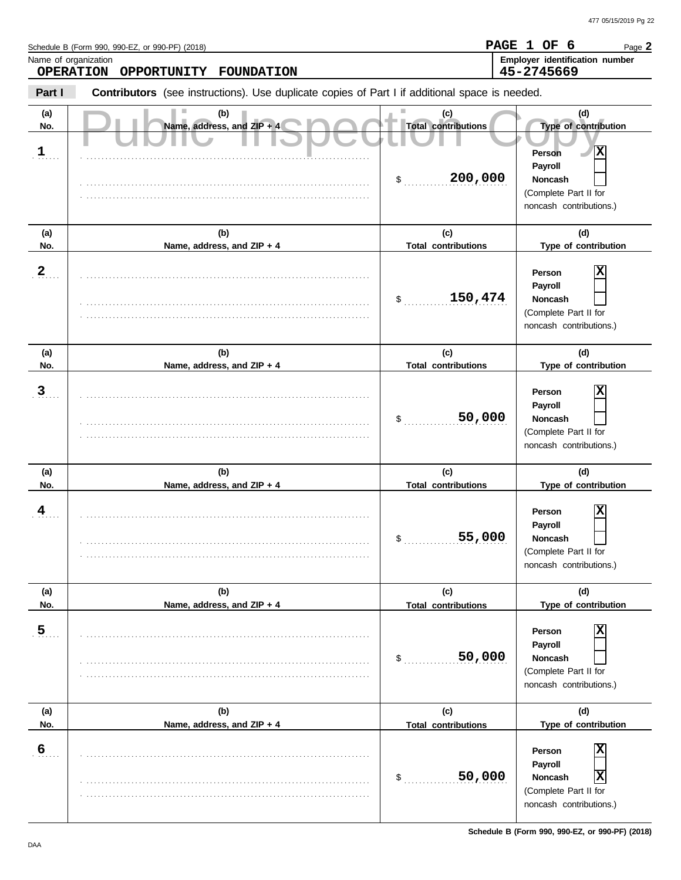**PAGE 1 OF 6**

Page **2**

Schedule B (Form 990, 990-EZ, or 990-PF) (2018)

Name, address, and ZIP + S DCCL Total contributions Copyright of contribution Copyright Contributions Cype of contributions Cype of contributions Cype of contributions Cype of contributions Cype of contributions Cype of co **Part I Type of contribution Person Payroll Noncash (a) (b) (c) (d) No. Name, address, and ZIP + 4 Type of contribution Person Payroll Noncash (a) (b) (c) (d)** No. Name, address, and ZIP + 4 **Total contributions** Type of contribution **Person Payroll Noncash (a) (b) (c) (d) No. Name, address, and ZIP + 4 Type of contribution Person Payroll Noncash** \$ . . . . . . . . . . . . . . . . . . . . . . . . . . . . **200,000** (Complete Part II for noncash contributions.) \$ . . . . . . . . . . . . . . . . . . . . . . . . . . . . **150,474** (Complete Part II for noncash contributions.) \$ . . . . . . . . . . . . . . . . . . . . . . . . . . . . (Complete Part II for noncash contributions.)  $\frac{1}{2}$ (Complete Part II for noncash contributions.)  $\mathsf{\$}$  . . . . . . . . . . . . (Complete Part II for noncash contributions.) \$ . . . . . . . . . . . . . . . . . . . . . . . . . . . . **50,000** (Complete Part II for noncash contributions.) **Contributors** (see instructions). Use duplicate copies of Part I if additional space is needed. **(a) (b) (c) (d) No. Name, address, and ZIP + 4 Total contributions Type of contribution Person Payroll Noncash (a) (b) (c) (d) No. Name, address, and ZIP + 4 Type of contribution Person Payroll Noncash (a) (b) (c) (d) No. Name, address, and ZIP + 4** . . . . . . . **1** . **2** . . . . . . . **3** . 4 . . . . . . . **5** . 6<sub>. . . .</sub> . . . . . . . . . . . . . . . . . . . . . . . . . . . . . . . . . . . . . . . . . . . . . . . . . . . . . . . . . . . . . . . . . . . . . . . . . . . . . . . . . . . . . . . . . . . . . . . . . . . . . . . . . . . . . . . . . . . . . . . . . . . . . . . . . . . . . . . . . . . . . . . . . . . . . . . . . . . . . . . . . . . . . . . . . . . . . . . . . . . . . . . . . . . . . . . . . . . . . . . . . . . . . . . . . . . . . . . . . . . . . . . . . . . . . . . . . . . . . . . . . . . . . . . . . . . . . . . . . . . . . . . . . . . . . . . . . . . . . . . . . . . . . . . . . . . . . . . . . . . . . . . . . . . . . . . . . . . . . . . . . . . . . . . . . . . . . . . . . . . . . . . . . . . . . . . . . . . . . . . . . . . . . . . . . . . . . . . . . . . . . . . . . . . . . . . . . . . . . . . . . . . . . . . . . . . . . . . . . . . . . . . . . . . . . . . . . . . . . . . . . . . . . . . . . . . . . . . . . . . . . . . . . . . . . . . . . . . . . . . . . . . . . . . . . . . . . . . . . . . . . . . . . . . . . . . . . . . . . . . . . . . . . . . . . . . . . . . . . . . . . . . . . . . . . . . . . . . . . . . . . . . . . . . . . . . . . . . . . . . . . . . . . . . . . . . . . . . . . . . . . . . . . . . . . . . . . . . . . . . . . . . . . . . . . . . . . . . . . . . . . . . . . . . . . . . . . . . . . . . . . . . . . . . . . . . . . . . . . . . . . . . . . . . . . . . . . . . . . . . . . . . . . . . . . . . . . . . . . . . . . . . . . . . . . . . . . . . . . . . . . . . . . . . . . . . . . . . . . . . . . . . . . . . . . . . . . . . . . . . . . . . . . . . . . . . . . . . . . . . . . . . . . . . . . . . . . . . . . . . . . . . . . . . . . . . . . . . . . . . . . . . . . . . . . . . . . . . . . . . . . . . . . . . . . . . . . . . . . . . . . . . . . . . . . . . . . . . . . . . . . . . . . . . . . . . . . . . . . . . . . . . . . . . . . . . . . . . . . . . . . . . . . . . . . . . . . . . . . . . . . . . . . . . . . . . . . . . . . . . . . . . . . . . . . . . . . . . . . . . . . . . . . . . . . . . . . . . . . . . . . . . . . . . . . . . . . . . . . . . . . . . . . . . . . . . . . . . . . . . . . . . . . . . . . . . . . . . . . . . . . . . . . . . . . . . . . . . . . . . . . . . . . . . . . . . . . . . . . . . . . . . . . . . . . . . . . . . . . . . . . . . . . . . . . . . . . . . . . . . . . . . . . . . . . . . . . . . . . . . . . . . . . . . . . . . . . . . . . . . . . . . . . . . . . . . . . . . . . . . . . . . . . . . . . . . . . . . . . . . . . . . . . . . . . . . . . . . . . . . . . . . . . . . . . . . . . . . . . . . . . . . . . . . . . . . . . . . . . . . . . . . . . . . . . . . . . . . . . . . . . . . . . . . . . . . . . . . . . . . . . . . . . . . . . . . . . . . . . . . . . . . . . . . . . . . . . . . . . . . . . . . . . . **Total contributions Total contributions Total contributions Total contributions Total contributions OPERATION OPPORTUNITY FOUNDATION 45-2745669 X X 50,000 X 55,000 X 50,000 X X X**

Name of organization **Employer identification number Employer identification number**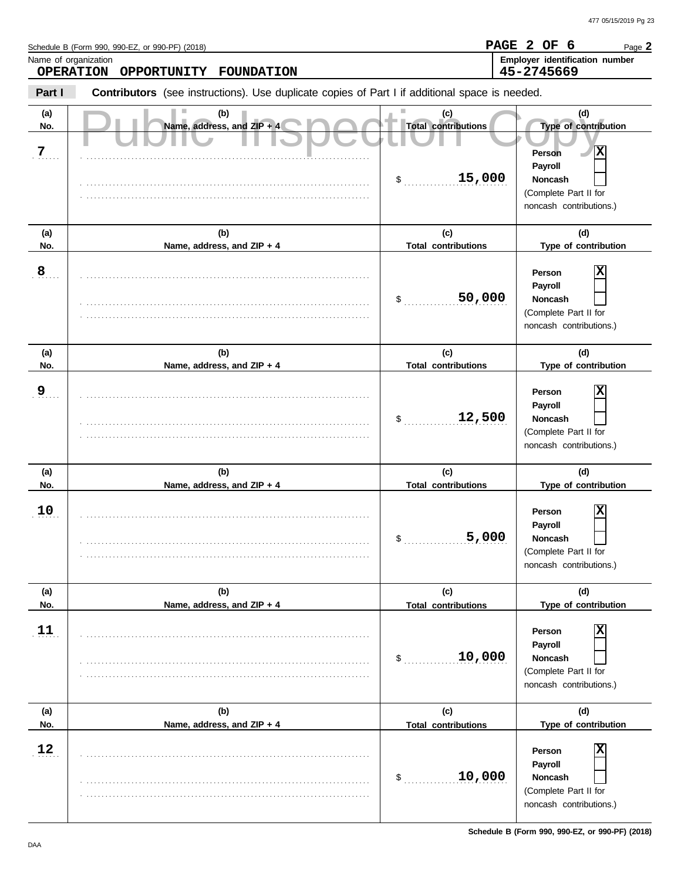Name, address, and ZIP + S DCCL Total contributions Copyright of contribution Copyright Contributions Cype of contributions Cype of contributions Cype of contributions Cype of contributions Cype of contributions Cype of co **Part I Type of contribution** Schedule B (Form 990, 990-EZ, or 990-PF) (2018) \$ . . . . . . . . . . . . . . . . . . . . . . . . . . . . **15,000** (Complete Part II for noncash contributions.) \$ . . . . . . . . . . . . . . . . . . . . . . . . . . . . **50,000** (Complete Part II for noncash contributions.) **Contributors** (see instructions). Use duplicate copies of Part I if additional space is needed. **(a) (b) (c) (d) No. Name, address, and ZIP + 4 Total contributions Type of contribution Person Payroll Noncash (a) (b) (c) (d) No. Name, address, and ZIP + 4 Type of contribution Person Payroll Noncash (a) (b) (c) (d) No. Name, address, and ZIP + 4** Name of organization **Employer identification number Employer identification number** . **7**. . . . . 8<br>. . . . . . . . . . . . . . . . . . . . . . . . . . . . . . . . . . . . . . . . . . . . . . . . . . . . . . . . . . . . . . . . . . . . . . . . . . . . . . . . . . . . . . . . . . . . . . . . . . . . . . . . . . . . . . . . . . . . . . . . . . . . . . . . . . . . . . . . . . . . . . . . . . . . . . . . . . . . . . . . . . . . . . . . . . . . . . . . . . . . . . . . . . . . . . . . . . . . . . . . . . . . . . . . . . . . . . . . . . . . . . . . . . . . . . . . . . . . . . . . . . . . . . . . . . . . . . . . . . . . . . . . . . . . . . . . . . . . . . . . . . . . . . . . . . . . . . . . . . . . . . . . . . . . . . . . . . . . . . . . . . . . . . . . . . . . . . . . . . . . . . . . . . . . . . . . . . . . . . . . . . . . . . . . . . . . . . . . . . . . . . . . . . . . . . . . . . . . . . . . . . . . . . . . . . . . . . . . . . . . . . . . . . . . . . . . . . . . . . . . . . . . . . . . . . . . . . . . . . . . . . . . . . . **Total contributions Total contributions** Page **2 OPERATION OPPORTUNITY FOUNDATION PAGE 2 OF 6 45-2745669 X X**

\$ . . . . . . . . . . . . . . . . . . . . . . . . . . . .

\$ . . . . . . . . . . . . . . . . . . . . . . . . . . . .

**Total contributions**

**12,500**

**5,000**

\$ . . . . . . . . . . . . . . . . . . . . . . . . . . . . **10,000**

**Total contributions**

\$ . . . . . . . . . . . . . . . . . . . . . . . . . . . . **10,000**

**Total contributions**

**(a) (b) (c) (d) No. Name, address, and ZIP + 4 Type of contribution**

**(a) (b) (c) (d)** No. Name, address, and ZIP + 4 **Total contributions** Type of contribution

**(a) (b) (c) (d) No. Name, address, and ZIP + 4 Type of contribution**

. . . . . . . . . . . . . . . . . . . . . . . . . . . . . . . . . . . . . . . . . . . . . . . . . . . . . . . . . . . . . . . . . . . . . . . . . . . . . . . . . . . . . . . . . . . . . . . . . . . . . . . . . . . . . . . . . . . . . . . . . . . . . . . . . . . . . . . . . . . . . . . . . . . . . . . . . .

. . . . . . . . . . . . . . . . . . . . . . . . . . . . . . . . . . . . . . . . . . . . . . . . . . . . . . . . . . . . . . . . . . . . . . . . . . . . .

. . . . . . . . . . . . . . . . . . . . . . . . . . . . . . . . . . . . . . . . . . . . . . . . . . . . . . . . . . . . . . . . . . . . . . . . . . . . .

. . . . . . . . . . . . . . . . . . . . . . . . . . . . . . . . . . . . . . . . . . . . . . . . . . . . . . . . . . . . . . . . . . . . . . . . . . . . . . . . . . . . . . . . . . . . . . . . . . . . . . . . . . . . . . . . . . . . . . . . . . . . . . . . . . . . . . . . . . . . . . . . . . . . . . . . . .

. . . . . . . . . . . . . . . . . . . . . . . . . . . . . . . . . . . . . . . . . . . . . . . . . . . . . . . . . . . . . . . . . . . . . . . . . . . . .

. . . . . . . . . . . . . . . . . . . . . . . . . . . . . . . . . . . . . . . . . . . . . . . . . . . . . . . . . . . . . . . . . . . . . . . . . . . . .

. . . . . . . . . . . . . . . . . . . . . . . . . . . . . . . . . . . . . . . . . . . . . . . . . . . . . . . . . . . . . . . . . . . . . . . . . . . . . . . . . . . . . . . . . . . . . . . . . . . . . . . . . . . . . . . . . . . . . . . . . . . . . . . . . . . . . . . . . . . . . . . . . . . . . . . . . .

. . . . . . . . . . . . . . . . . . . . . . . . . . . . . . . . . . . . . . . . . . . . . . . . . . . . . . . . . . . . . . . . . . . . . . . . . . . . . . . . . . . . . . . . . . . . . . . . . . . . . . . . . . . . . . . . . . . . . . . . . . . . . . . . . . . . . . . . . . . . . . . . . . . . . . . . . .

**Schedule B (Form 990, 990-EZ, or 990-PF) (2018)**

(Complete Part II for noncash contributions.)

**Person Payroll Noncash**

(Complete Part II for noncash contributions.)

**X**

**X**

**X**

**X**

(Complete Part II for noncash contributions.)

(Complete Part II for noncash contributions.)

**Person Payroll Noncash**

**Person Payroll Noncash**

**Person Payroll Noncash**

. . . . . . . **9**

. . . . . . . **10**

. . . . . . . **11**

. . . . . . . **12**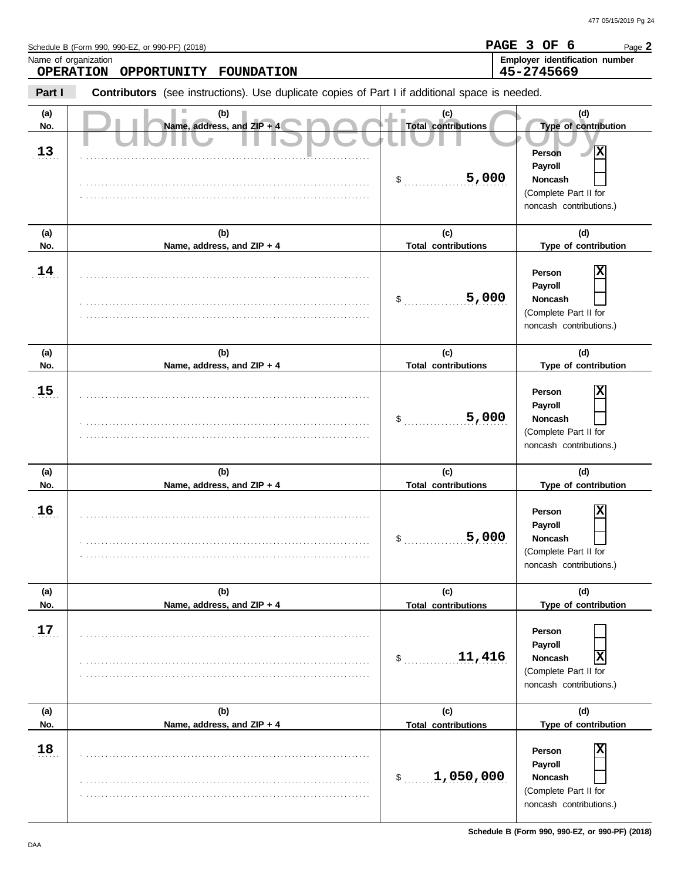**PAGE 3 OF 6**

Page **2**

Schedule B (Form 990, 990-EZ, or 990-PF) (2018)

Name, address, and ZIP + S DCCL Total contributions Copyright of contribution Copyright Contributions Cype of contributions Cype of contributions Cype of contributions Cype of contributions Cype of contributions Cype of co **Part I Type of contribution Person Payroll Noncash (a) (b) (c) (d) No. Name, address, and ZIP + 4 Type of contribution Person Payroll Noncash (a) (b) (c) (d)** No. Name, address, and ZIP + 4 **Total contributions** Type of contribution **Person Payroll Noncash (a) (b) (c) (d) No. Name, address, and ZIP + 4 Type of contribution Person Payroll Noncash** \$ . . . . . . . . . . . . . . . . . . . . . . . . . . . . **5,000** (Complete Part II for noncash contributions.) \$ . . . . . . . . . . . . . . . . . . . . . . . . . . . . (Complete Part II for noncash contributions.) \$ . . . . . . . . . . . . . . . . . . . . . . . . . . . . (Complete Part II for noncash contributions.) \$ . . . . . . . . . . . . . . . . . . . . . . . . . . . . (Complete Part II for noncash contributions.) \$ . . . . . . . . . . . . . . . . . . . . . . . . . . . . **11,416 X** (Complete Part II for noncash contributions.) \$ . . . . . . . . . . . . . . . . . . . . . . . . . . . . **1,050,000** (Complete Part II for noncash contributions.) **Contributors** (see instructions). Use duplicate copies of Part I if additional space is needed. **(a) (b) (c) (d) No. Name, address, and ZIP + 4 Total contributions Type of contribution Person Payroll Noncash (a) (b) (c) (d) No. Name, address, and ZIP + 4 Type of contribution Person Payroll Noncash (a) (b) (c) (d) No. Name, address, and ZIP + 4** Name of organization **Employer identification number Employer identification number**  $\frac{13}{1}$  $\frac{14}{1}$  $\frac{15}{15}$ .  $16$ . . . . . . . **17** . . . . . . . **18** . . . . . . . . . . . . . . . . . . . . . . . . . . . . . . . . . . . . . . . . . . . . . . . . . . . . . . . . . . . . . . . . . . . . . . . . . . . . . . . . . . . . . . . . . . . . . . . . . . . . . . . . . . . . . . . . . . . . . . . . . . . . . . . . . . . . . . . . . . . . . . . . . . . . . . . . . . . . . . . . . . . . . . . . . . . . . . . . . . . . . . . . . . . . . . . . . . . . . . . . . . . . . . . . . . . . . . . . . . . . . . . . . . . . . . . . . . . . . . . . . . . . . . . . . . . . . . . . . . . . . . . . . . . . . . . . . . . . . . . . . . . . . . . . . . . . . . . . . . . . . . . . . . . . . . . . . . . . . . . . . . . . . . . . . . . . . . . . . . . . . . . . . . . . . . . . . . . . . . . . . . . . . . . . . . . . . . . . . . . . . . . . . . . . . . . . . . . . . . . . . . . . . . . . . . . . . . . . . . . . . . . . . . . . . . . . . . . . . . . . . . . . . . . . . . . . . . . . . . . . . . . . . . . . . . . . . . . . . . . . . . . . . . . . . . . . . . . . . . . . . . . . . . . . . . . . . . . . . . . . . . . . . . . . . . . . . . . . . . . . . . . . . . . . . . . . . . . . . . . . . . . . . . . . . . . . . . . . . . . . . . . . . . . . . . . . . . . . . . . . . . . . . . . . . . . . . . . . . . . . . . . . . . . . . . . . . . . . . . . . . . . . . . . . . . . . . . . . . . . . . . . . . . . . . . . . . . . . . . . . . . . . . . . . . . . . . . . . . . . . . . . . . . . . . . . . . . . . . . . . . . . . . . . . . . . . . . . . . . . . . . . . . . . . . . . . . . . . . . . . . . . . . . . . . . . . . . . . . . . . . . . . . . . . . . . . . . . . . . . . . . . . . . . . . . . . . . . . . . . . . . . . . . . . . . . . . . . . . . . . . . . . . . . . . . . . . . . . . . . . . . . . . . . . . . . . . . . . . . . . . . . . . . . . . . . . . . . . . . . . . . . . . . . . . . . . . . . . . . . . . . . . . . . . . . . . . . . . . . . . . . . . . . . . . . . . . . . . . . . . . . . . . . . . . . . . . . . . . . . . . . . . . . . . . . . . . . . . . . . . . . . . . . . . . . . . . . . . . . . . . . . . . . . . . . . . . . . . . . . . . . . . . . . . . . . . . . . . . . . . . . . . . . . . . . . . . . . . . . . . . . . . . . . . . . . . . . . . . . . . . . . . . . . . . . . . . . . . . . . . . . . . . . . . . . . . . . . . . . . . . . . . . . . . . . . . . . . . . . . . . . . . . . . . . . . . . . . . . . . . . . . . . . . . . . . . . . . . . . . . . . . . . . . . . . . . . . . . . . . . . . . . . . . . . . . . . . . . . . . . . . . . . . . . . . . . . . . . . . . . . . . . . . . . . . . . . . . . . . . . . . . . . . . . . . . . . . . . . . . . . . . . . . . . . . . . . . . . . . . . . . . . . . . . . . . . . . . . . . . . . . . . . . . . . . . . . . . . . . . . . . . . . . . . . . . . . . . . . . . . . . . . . . **Total contributions Total contributions Total contributions Total contributions Total contributions OPERATION OPPORTUNITY FOUNDATION 45-2745669 X 5,000 X 5,000 X 5,000 X X**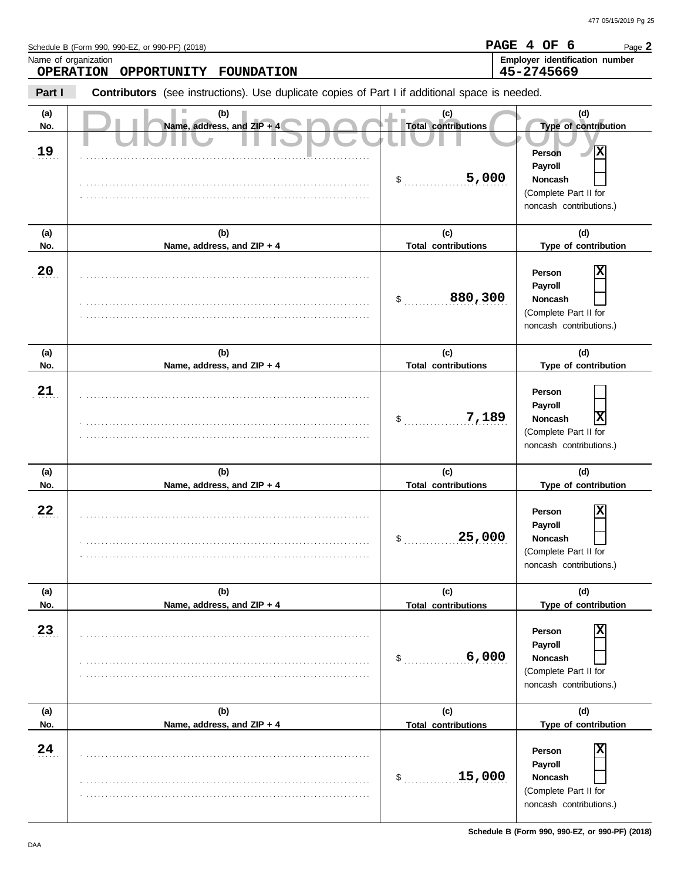**PAGE 4 OF 6**

Page **2**

Schedule B (Form 990, 990-EZ, or 990-PF) (2018)

Name, address, and ZIP + S DCCL Total contributions Copyright of contribution Copyright Contributions Cype of contributions Cype of contributions Cype of contributions Cype of contributions Cype of contributions Cype of co **Part I Type of contribution Person Payroll Noncash (a) (b) (c) (d) No. Name, address, and ZIP + 4 Type of contribution Person Payroll Noncash (a) (b) (c) (d)** No. Name, address, and ZIP + 4 **Total contributions** Type of contribution **Person Payroll Noncash (a) (b) (c) (d) No. Name, address, and ZIP + 4 Type of contribution Person Payroll Noncash** \$ . . . . . . . . . . . . . . . . . . . . . . . . . . . . **5,000** (Complete Part II for noncash contributions.) \$ . . . . . . . . . . . . . . . . . . . . . . . . . . . . **880,300** (Complete Part II for noncash contributions.) \$ . . . . . . . . . . . . . . . . . . . . . . . . . . . . (Complete Part II for noncash contributions.) \$ . . . . . . . . . . . . . . . . . . . . . . . . . . . . (Complete Part II for noncash contributions.)  $\mathsf{\$}$  . . . . . . . . . (Complete Part II for noncash contributions.) \$ . . . . . . . . . . . . . . . . . . . . . . . . . . . . **15,000** (Complete Part II for noncash contributions.) **Contributors** (see instructions). Use duplicate copies of Part I if additional space is needed. **(a) (b) (c) (d) No. Name, address, and ZIP + 4 Total contributions Type of contribution Person Payroll Noncash (a) (b) (c) (d) No. Name, address, and ZIP + 4 Type of contribution Person Payroll Noncash (a) (b) (c) (d) No. Name, address, and ZIP + 4** Name of organization **Employer identification number Employer identification number** . . . . . . . **19** . **20**  $\cdot$  21 . **22**  $\cdot$  . 23  $\frac{24}{1}$ . . . . . . . . . . . . . . . . . . . . . . . . . . . . . . . . . . . . . . . . . . . . . . . . . . . . . . . . . . . . . . . . . . . . . . . . . . . . . . . . . . . . . . . . . . . . . . . . . . . . . . . . . . . . . . . . . . . . . . . . . . . . . . . . . . . . . . . . . . . . . . . . . . . . . . . . . . . . . . . . . . . . . . . . . . . . . . . . . . . . . . . . . . . . . . . . . . . . . . . . . . . . . . . . . . . . . . . . . . . . . . . . . . . . . . . . . . . . . . . . . . . . . . . . . . . . . . . . . . . . . . . . . . . . . . . . . . . . . . . . . . . . . . . . . . . . . . . . . . . . . . . . . . . . . . . . . . . . . . . . . . . . . . . . . . . . . . . . . . . . . . . . . . . . . . . . . . . . . . . . . . . . . . . . . . . . . . . . . . . . . . . . . . . . . . . . . . . . . . . . . . . . . . . . . . . . . . . . . . . . . . . . . . . . . . . . . . . . . . . . . . . . . . . . . . . . . . . . . . . . . . . . . . . . . . . . . . . . . . . . . . . . . . . . . . . . . . . . . . . . . . . . . . . . . . . . . . . . . . . . . . . . . . . . . . . . . . . . . . . . . . . . . . . . . . . . . . . . . . . . . . . . . . . . . . . . . . . . . . . . . . . . . . . . . . . . . . . . . . . . . . . . . . . . . . . . . . . . . . . . . . . . . . . . . . . . . . . . . . . . . . . . . . . . . . . . . . . . . . . . . . . . . . . . . . . . . . . . . . . . . . . . . . . . . . . . . . . . . . . . . . . . . . . . . . . . . . . . . . . . . . . . . . . . . . . . . . . . . . . . . . . . . . . . . . . . . . . . . . . . . . . . . . . . . . . . . . . . . . . . . . . . . . . . . . . . . . . . . . . . . . . . . . . . . . . . . . . . . . . . . . . . . . . . . . . . . . . . . . . . . . . . . . . . . . . . . . . . . . . . . . . . . . . . . . . . . . . . . . . . . . . . . . . . . . . . . . . . . . . . . . . . . . . . . . . . . . . . . . . . . . . . . . . . . . . . . . . . . . . . . . . . . . . . . . . . . . . . . . . . . . . . . . . . . . . . . . . . . . . . . . . . . . . . . . . . . . . . . . . . . . . . . . . . . . . . . . . . . . . . . . . . . . . . . . . . . . . . . . . . . . . . . . . . . . . . . . . . . . . . . . . . . . . . . . . . . . . . . . . . . . . . . . . . . . . . . . . . . . . . . . . . . . . . . . . . . . . . . . . . . . . . . . . . . . . . . . . . . . . . . . . . . . . . . . . . . . . . . . . . . . . . . . . . . . . . . . . . . . . . . . . . . . . . . . . . . . . . . . . . . . . . . . . . . . . . . . . . . . . . . . . . . . . . . . . . . . . . . . . . . . . . . . . . . . . . . . . . . . . . . . . . . . . . . . . . . . . . . . . . . . . . . . . . . . . . . . . . . . . . . . . . . . . . . . . . . . . . . . . . . . . . . . . . . . . . . . . . . . . . . . . . . . . . . . . . . . . . . . . . . . . . . . . . . . . . . . . . . . . . . . . . . . **Total contributions Total contributions Total contributions Total contributions Total contributions OPERATION OPPORTUNITY FOUNDATION 45-2745669 X X**  $7,189$  **Noncash**  $\overline{X}$ **25,000 X 6,000 X X**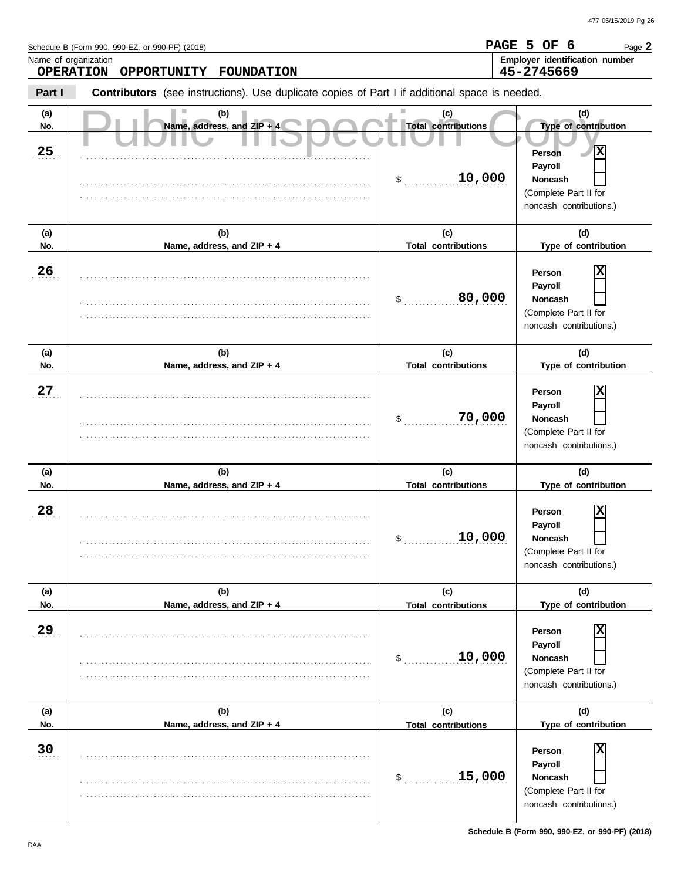**PAGE 5 OF 6**

Page **2**

Schedule B (Form 990, 990-EZ, or 990-PF) (2018)

Name, address, and ZIP + S DCCL Total contributions Copyright of contribution Copyright Contributions Cype of contributions Cype of contributions Cype of contributions Cype of contributions Cype of contributions Cype of co **Part I Type of contribution Person Payroll Noncash (a) (b) (c) (d) No. Name, address, and ZIP + 4 Type of contribution Person Payroll Noncash (a) (b) (c) (d)** No. Name, address, and ZIP + 4 **Total contributions** Type of contribution **Person Payroll Noncash (a) (b) (c) (d) No. Name, address, and ZIP + 4 Type of contribution Person Payroll Noncash** \$ . . . . . . . . . . . . . . . . . . . . . . . . . . . . **10,000** (Complete Part II for noncash contributions.) \$ . . . . . . . . . . . . . . . . . . . . . . . . . . . . **80,000** (Complete Part II for noncash contributions.)  $\mathsf{\$}$  . . . . . . . . . . . (Complete Part II for noncash contributions.) \$ . . . . . . . . . . . . . . . . . . . . . . . . . . . . (Complete Part II for noncash contributions.)  $\mathsf{\$}$  . . . . . . . . . . . (Complete Part II for noncash contributions.) \$ . . . . . . . . . . . . . . . . . . . . . . . . . . . . **15,000** (Complete Part II for noncash contributions.) **Contributors** (see instructions). Use duplicate copies of Part I if additional space is needed. **(a) (b) (c) (d) No. Name, address, and ZIP + 4 Total contributions Type of contribution Person Payroll Noncash (a) (b) (c) (d) No. Name, address, and ZIP + 4 Type of contribution Person Payroll Noncash (a) (b) (c) (d) No. Name, address, and ZIP + 4**  $\frac{25}{2}$ . . 26 . **27** . **28** . **29** . 30 . . . . . . . . . . . . . . . . . . . . . . . . . . . . . . . . . . . . . . . . . . . . . . . . . . . . . . . . . . . . . . . . . . . . . . . . . . . . . . . . . . . . . . . . . . . . . . . . . . . . . . . . . . . . . . . . . . . . . . . . . . . . . . . . . . . . . . . . . . . . . . . . . . . . . . . . . . . . . . . . . . . . . . . . . . . . . . . . . . . . . . . . . . . . . . . . . . . . . . . . . . . . . . . . . . . . . . . . . . . . . . . . . . . . . . . . . . . . . . . . . . . . . . . . . . . . . . . . . . . . . . . . . . . . . . . . . . . . . . . . . . . . . . . . . . . . . . . . . . . . . . . . . . . . . . . . . . . . . . . . . . . . . . . . . . . . . . . . . . . . . . . . . . . . . . . . . . . . . . . . . . . . . . . . . . . . . . . . . . . . . . . . . . . . . . . . . . . . . . . . . . . . . . . . . . . . . . . . . . . . . . . . . . . . . . . . . . . . . . . . . . . . . . . . . . . . . . . . . . . . . . . . . . . . . . . . . . . . . . . . . . . . . . . . . . . . . . . . . . . . . . . . . . . . . . . . . . . . . . . . . . . . . . . . . . . . . . . . . . . . . . . . . . . . . . . . . . . . . . . . . . . . . . . . . . . . . . . . . . . . . . . . . . . . . . . . . . . . . . . . . . . . . . . . . . . . . . . . . . . . . . . . . . . . . . . . . . . . . . . . . . . . . . . . . . . . . . . . . . . . . . . . . . . . . . . . . . . . . . . . . . . . . . . . . . . . . . . . . . . . . . . . . . . . . . . . . . . . . . . . . . . . . . . . . . . . . . . . . . . . . . . . . . . . . . . . . . . . . . . . . . . . . . . . . . . . . . . . . . . . . . . . . . . . . . . . . . . . . . . . . . . . . . . . . . . . . . . . . . . . . . . . . . . . . . . . . . . . . . . . . . . . . . . . . . . . . . . . . . . . . . . . . . . . . . . . . . . . . . . . . . . . . . . . . . . . . . . . . . . . . . . . . . . . . . . . . . . . . . . . . . . . . . . . . . . . . . . . . . . . . . . . . . . . . . . . . . . . . . . . . . . . . . . . . . . . . . . . . . . . . . . . . . . . . . . . . . . . . . . . . . . . . . . . . . . . . . . . . . . . . . . . . . . . . . . . . . . . . . . . . . . . . . . . . . . . . . . . . . . . . . . . . . . . . . . . . . . . . . . . . . . . . . . . . . . . . . . . . . . . . . . . . . . . . . . . . . . . . . . . . . . . . . . . . . . . . . . . . . . . . . . . . . . . . . . . . . . . . . . . . . . . . . . . . . . . . . . . . . . . . . . . . . . . . . . . . . . . . . . . . . . . . . . . . . . . . . . . . . . . . . . . . . . . . . . . . . . . . . . . . . . . . . . . . . . . . . . . . . . . . . . . . . . . . . . . . . . . . . . . . . . . . . . . . . . . . . . . . . . . . . . . . . . . . . . . . . . . . . . . . . . . . . . . . . . . . . . . . . . . . . . . . . . . . . . . . . . . . . . . . . . . . . . . . . . . . . . . . . . . . . . . . . **Total contributions Total contributions Total contributions Total contributions Total contributions OPERATION OPPORTUNITY FOUNDATION 45-2745669 X X 70,000 X 10,000 X 10,000 X X**

Name of organization **Employer identification number Employer identification number**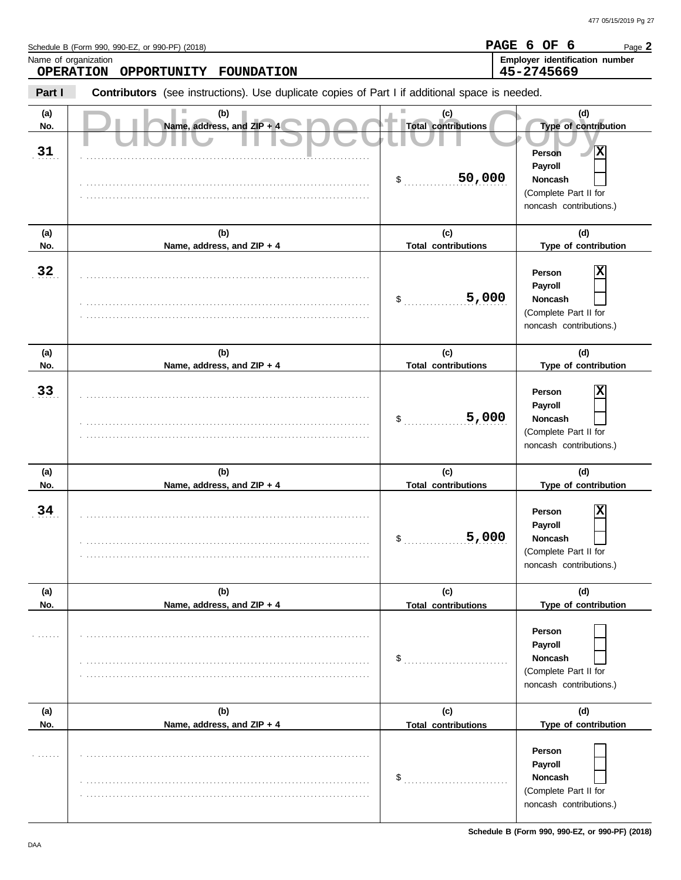**PAGE 6 OF 6**

Page **2**

Schedule B (Form 990, 990-EZ, or 990-PF) (2018)

Name, address, and ZIP + S DCCL Total contributions Copyright of contribution Copyright Contributions Cype of contributions Cype of contributions Cype of contributions Cype of contributions Cype of contributions Cype of co **Part I Type of contribution Person Payroll Noncash (a) (b) (c) (d) No. Name, address, and ZIP + 4 Type of contribution Person Payroll Noncash (a) (b) (c) (d)** No. Name, address, and ZIP + 4 **Total contributions** Type of contribution **Person Payroll Noncash (a) (b) (c) (d) No. Name, address, and ZIP + 4 Type of contribution Person Payroll Noncash** \$ . . . . . . . . . . . . . . . . . . . . . . . . . . . . **50,000** (Complete Part II for noncash contributions.)  $\frac{1}{2}$ (Complete Part II for noncash contributions.)  $\mathsf{\$}$  . . . . . . . . . . . . . . . . (Complete Part II for noncash contributions.) \$ . . . . . . . . . . . . . . . . . . . . . . . . . . . . (Complete Part II for noncash contributions.)  $\$\;$ (Complete Part II for noncash contributions.)  $\mathsf{\$}$  . . . . . . . . . . . . . . . (Complete Part II for noncash contributions.) **Contributors** (see instructions). Use duplicate copies of Part I if additional space is needed. **(a) (b) (c) (d) No. Name, address, and ZIP + 4 Total contributions Type of contribution Person Payroll Noncash (a) (b) (c) (d) No. Name, address, and ZIP + 4 Type of contribution Person Payroll Noncash (a) (b) (c) (d) No. Name, address, and ZIP + 4** Name of organization **Employer identification number Employer identification number**  $\overline{31}$ . . 32  $\cdot$  33  $\frac{34}{1}$ . . . . . . . . . . . . . . . . . . . . . . . . . . . . . . . . . . . . . . . . . . . . . . . . . . . . . . . . . . . . . . . . . . . . . . . . . . . . . . . . . . . . . . . . . . . . . . . . . . . . . . . . . . . . . . . . . . . . . . . . . . . . . . . . . . . . . . . . . . . . . . . . . . . . . . . . . . . . . . . . . . . . . . . . . . . . . . . . . . . . . . . . . . . . . . . . . . . . . . . . . . . . . . . . . . . . . . . . . . . . . . . . . . . . . . . . . . . . . . . . . . . . . . . . . . . . . . . . . . . . . . . . . . . . . . . . . . . . . . . . . . . . . . . . . . . . . . . . . . . . . . . . . . . . . . . . . . . . . . . . . . . . . . . . . . . . . . . . . . . . . . . . . . . . . . . . . . . . . . . . . . . . . . . . . . . . . . . . . . . . . . . . . . . . . . . . . . . . . . . . . . . . . . . . . . . . . . . . . . . . . . . . . . . . . . . . . . . . . . . . . . . . . . . . . . . . . . . . . . . . . . . . . . . . . . . . . . . . . . . . . . . . . . . . . . . . . . . . . . . . . . . . . . . . . . . . . . . . . . . . . . . . . . . . . . . . . . . . . . . . . . . . . . . . . . . . . . . . . . . . . . . . . . . . . . . . . . . . . . . . . . . . . . . . . . . . . . . . . . . . . . . . . . . . . . . . . . . . . . . . . . . . . . . . . . . . . . . . . . . . . . . . . . . . . . . . . . . . . . . . . . . . . . . . . . . . . . . . . . . . . . . . . . . . . . . . . . . . . . . . . . . . . . . . . . . . . . . . . . . . . . . . . . . . . . . . . . . . . . . . . . . . . . . . . . . . . . . . . . . . . . . . . . . . . . . . . . . . . . . . . . . . . . . . . . . . . . . . . . . . . . . . . . . . . . . . . . . . . . . . . . . . . . . . . . . . . . . . . . . . . . . . . . . . . . . . . . . . . . . . . . . . . . . . . . . . . . . . . . . . . . . . . . . . . . . . . . . . . . . . . . . . . . . . . . . . . . . . . . . . . . . . . . . . . . . . . . . . . . . . . . . . . . . . . . . . . . . . . . . . . . . . . . . . . . . . . . . . . . . . . . . . . . . . . . . . . . . . . . . . . . . . . . . . . . . . . . . . . . . . . . . . . . . . . . . . . . . . . . . . . . . . . . . . . . . . . . . . . . . . . . . . . . . . . . . . . . . . . . . . . . . . . . . . . . . . . . . . . . . . . . . . . . . . . . . . . . . . . . . . . . . . . . . . . . . . . . . . . . . . . . . . . . . . . . . . . . . . . . . . . . . . . . . . . . . . . . . . . . . . . . . . . . . . . . . . . . . . . . . . . . . . . . . . . . . . . . . . . . . . . . . . . . . . . . . . . . . . . . . . . . . . . . . . . . . . . . . . . . . . . . . . . . . . . . . . . . . . . . . . . . . . . . . . . . . . . . . . . . . . . . . . . . . . . . . . . . . . . . . . . . . . . . . . . . . . . . . . . . . . . . . . . . . . . . . . . . . . . . . . . . . . . . . . . . . . . . . . . . . . . . . . . . . . . . . . . . . . . . . . **Total contributions Total contributions Total contributions Total contributions Total contributions OPERATION OPPORTUNITY FOUNDATION 45-2745669 X 5,000 X 5,000 X 5,000 X**

**Schedule B (Form 990, 990-EZ, or 990-PF) (2018)**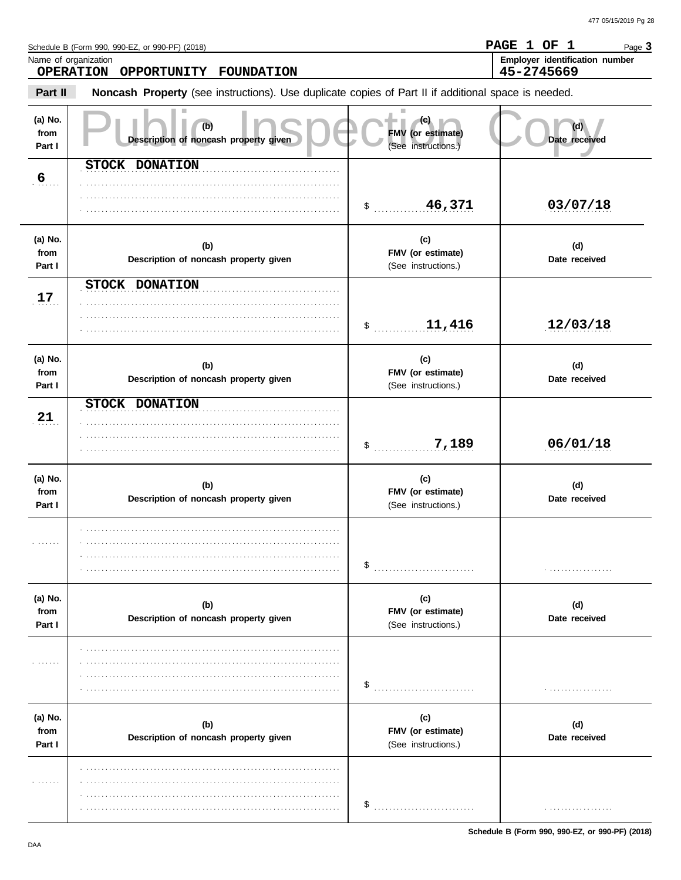Page 3

PAGE 1 OF 1

45-2745669

Employer identification number

Schedule B (Form 990, 990-EZ, or 990-PF) (2018)

OPPORTUNITY FOUNDATION

Name of organization **OPERATION** 

Noncash Property (see instructions). Use duplicate copies of Part II if additional space is needed. Part II (a) No.  $(c)$  $(d)$  $(b)$ from FMV (or estimate) Description of noncash property given Date received Part I (See instructions.) STOCK DONATION  $6<sub>1</sub>$  $$ 46,371$ 03/07/18 (a) No.  $(c)$  $(b)$  $(d)$ FMV (or estimate) from Description of noncash property given Date received Part I (See instructions.) STOCK DONATION  $17$  $$$  ..............11,416  $12/03/18$ (a) No.  $(c)$  $(b)$  $(d)$ from FMV (or estimate) Description of noncash property given Date received Part I (See instructions.) STOCK DONATION 21  $$ 7,189$  $06/01/18$ (a) No.  $(c)$  $(b)$  $(d)$ FMV (or estimate) from Description of noncash property given Date received Part I (See instructions.) . . . . . . .  $\sim$ (a) No.  $(c)$  $(d)$  $(b)$ from FMV (or estimate) Description of noncash property given Date received Part I (See instructions.) . . . . . . .  $\frac{1}{2}$ (a) No.  $(c)$  $(b)$  $(d)$ FMV (or estimate) from Description of noncash property given Date received Part I (See instructions.) in nombre . . . . . . . . . . . . . . . . . . .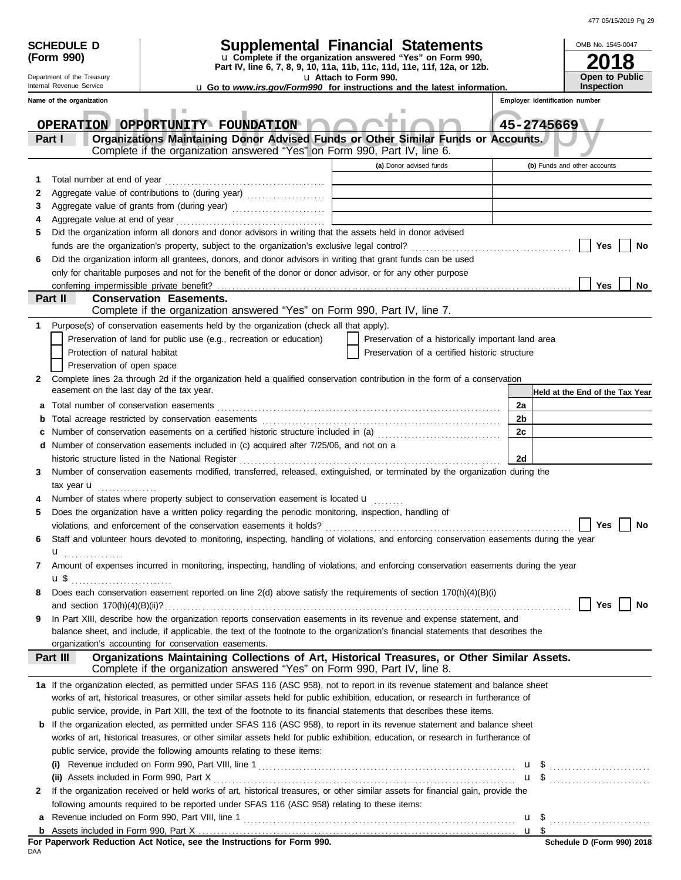| 477 05/15/2019 Pg 29 |  |
|----------------------|--|
|                      |  |

|        | <b>SCHEDULE D</b><br>(Form 990)                        |                                                                                                                                                                                                                                                                       | <b>Supplemental Financial Statements</b><br>u Complete if the organization answered "Yes" on Form 990, |    | OMB No. 1545-0047<br>18                             |
|--------|--------------------------------------------------------|-----------------------------------------------------------------------------------------------------------------------------------------------------------------------------------------------------------------------------------------------------------------------|--------------------------------------------------------------------------------------------------------|----|-----------------------------------------------------|
|        | Department of the Treasury<br>Internal Revenue Service |                                                                                                                                                                                                                                                                       | Part IV, line 6, 7, 8, 9, 10, 11a, 11b, 11c, 11d, 11e, 11f, 12a, or 12b.<br>u Attach to Form 990.      |    | <b>Open to Public</b>                               |
|        | Name of the organization                               |                                                                                                                                                                                                                                                                       | <b>u</b> Go to www.irs.gov/Form990 for instructions and the latest information.                        |    | <b>Inspection</b><br>Employer identification number |
|        |                                                        |                                                                                                                                                                                                                                                                       |                                                                                                        |    |                                                     |
|        |                                                        | OPERATION OPPORTUNITY FOUNDATION                                                                                                                                                                                                                                      |                                                                                                        |    | 45-2745669                                          |
|        | Part I                                                 | Organizations Maintaining Donor Advised Funds or Other Similar Funds or Accounts.                                                                                                                                                                                     |                                                                                                        |    |                                                     |
|        |                                                        | Complete if the organization answered "Yes" on Form 990, Part IV, line 6.                                                                                                                                                                                             |                                                                                                        |    |                                                     |
|        |                                                        |                                                                                                                                                                                                                                                                       | (a) Donor advised funds                                                                                |    | (b) Funds and other accounts                        |
| 1      | Total number at end of year                            |                                                                                                                                                                                                                                                                       |                                                                                                        |    |                                                     |
| 2      |                                                        |                                                                                                                                                                                                                                                                       |                                                                                                        |    |                                                     |
| 3      |                                                        |                                                                                                                                                                                                                                                                       |                                                                                                        |    |                                                     |
| 4<br>5 | Aggregate value at end of year                         | Did the organization inform all donors and donor advisors in writing that the assets held in donor advised                                                                                                                                                            |                                                                                                        |    |                                                     |
|        |                                                        |                                                                                                                                                                                                                                                                       |                                                                                                        |    | Yes<br>No                                           |
| 6      |                                                        | Did the organization inform all grantees, donors, and donor advisors in writing that grant funds can be used                                                                                                                                                          |                                                                                                        |    |                                                     |
|        |                                                        | only for charitable purposes and not for the benefit of the donor or donor advisor, or for any other purpose                                                                                                                                                          |                                                                                                        |    |                                                     |
|        |                                                        |                                                                                                                                                                                                                                                                       |                                                                                                        |    | <b>Yes</b><br><b>No</b>                             |
|        | Part II                                                | <b>Conservation Easements.</b>                                                                                                                                                                                                                                        |                                                                                                        |    |                                                     |
|        |                                                        | Complete if the organization answered "Yes" on Form 990, Part IV, line 7.                                                                                                                                                                                             |                                                                                                        |    |                                                     |
| 1      |                                                        | Purpose(s) of conservation easements held by the organization (check all that apply).                                                                                                                                                                                 |                                                                                                        |    |                                                     |
|        |                                                        | Preservation of land for public use (e.g., recreation or education)                                                                                                                                                                                                   | Preservation of a historically important land area                                                     |    |                                                     |
|        | Protection of natural habitat                          |                                                                                                                                                                                                                                                                       | Preservation of a certified historic structure                                                         |    |                                                     |
|        | Preservation of open space                             |                                                                                                                                                                                                                                                                       |                                                                                                        |    |                                                     |
| 2      |                                                        | Complete lines 2a through 2d if the organization held a qualified conservation contribution in the form of a conservation                                                                                                                                             |                                                                                                        |    |                                                     |
|        | easement on the last day of the tax year.              |                                                                                                                                                                                                                                                                       |                                                                                                        |    | Held at the End of the Tax Year                     |
| a      |                                                        |                                                                                                                                                                                                                                                                       |                                                                                                        | 2a |                                                     |
| b      |                                                        |                                                                                                                                                                                                                                                                       |                                                                                                        | 2b |                                                     |
| c      |                                                        | Number of conservation easements on a certified historic structure included in (a) [[[[[[[[[[[[[[[[[[[[[[[[[]]]]]]]                                                                                                                                                   |                                                                                                        | 2c |                                                     |
|        |                                                        | d Number of conservation easements included in (c) acquired after 7/25/06, and not on a                                                                                                                                                                               |                                                                                                        |    |                                                     |
|        |                                                        | historic structure listed in the National Register                                                                                                                                                                                                                    |                                                                                                        | 2d |                                                     |
| 3      |                                                        | Number of conservation easements modified, transferred, released, extinguished, or terminated by the organization during the                                                                                                                                          |                                                                                                        |    |                                                     |
|        | tax year $\mathbf u$<br>.                              | Number of states where property subject to conservation easement is located <b>u</b>                                                                                                                                                                                  |                                                                                                        |    |                                                     |
| 5      |                                                        | Does the organization have a written policy regarding the periodic monitoring, inspection, handling of                                                                                                                                                                |                                                                                                        |    |                                                     |
|        |                                                        | violations, and enforcement of the conservation easements it holds?                                                                                                                                                                                                   |                                                                                                        |    | <b>Yes</b><br>No                                    |
| 6      |                                                        | Staff and volunteer hours devoted to monitoring, inspecting, handling of violations, and enforcing conservation easements during the year                                                                                                                             |                                                                                                        |    |                                                     |
|        | $\mathbf{u}$                                           |                                                                                                                                                                                                                                                                       |                                                                                                        |    |                                                     |
| 7      |                                                        | Amount of expenses incurred in monitoring, inspecting, handling of violations, and enforcing conservation easements during the year                                                                                                                                   |                                                                                                        |    |                                                     |
|        | u\$                                                    |                                                                                                                                                                                                                                                                       |                                                                                                        |    |                                                     |
| 8      |                                                        | Does each conservation easement reported on line $2(d)$ above satisfy the requirements of section $170(h)(4)(B)(i)$                                                                                                                                                   |                                                                                                        |    |                                                     |
|        |                                                        |                                                                                                                                                                                                                                                                       |                                                                                                        |    | Yes<br>No                                           |
| 9      |                                                        | In Part XIII, describe how the organization reports conservation easements in its revenue and expense statement, and                                                                                                                                                  |                                                                                                        |    |                                                     |
|        |                                                        | balance sheet, and include, if applicable, the text of the footnote to the organization's financial statements that describes the                                                                                                                                     |                                                                                                        |    |                                                     |
|        |                                                        | organization's accounting for conservation easements.                                                                                                                                                                                                                 |                                                                                                        |    |                                                     |
|        | Part III                                               | Organizations Maintaining Collections of Art, Historical Treasures, or Other Similar Assets.                                                                                                                                                                          |                                                                                                        |    |                                                     |
|        |                                                        | Complete if the organization answered "Yes" on Form 990, Part IV, line 8.                                                                                                                                                                                             |                                                                                                        |    |                                                     |
|        |                                                        | 1a If the organization elected, as permitted under SFAS 116 (ASC 958), not to report in its revenue statement and balance sheet                                                                                                                                       |                                                                                                        |    |                                                     |
|        |                                                        | works of art, historical treasures, or other similar assets held for public exhibition, education, or research in furtherance of                                                                                                                                      |                                                                                                        |    |                                                     |
|        |                                                        | public service, provide, in Part XIII, the text of the footnote to its financial statements that describes these items.                                                                                                                                               |                                                                                                        |    |                                                     |
|        |                                                        | <b>b</b> If the organization elected, as permitted under SFAS 116 (ASC 958), to report in its revenue statement and balance sheet<br>works of art, historical treasures, or other similar assets held for public exhibition, education, or research in furtherance of |                                                                                                        |    |                                                     |
|        |                                                        | public service, provide the following amounts relating to these items:                                                                                                                                                                                                |                                                                                                        |    |                                                     |
|        |                                                        |                                                                                                                                                                                                                                                                       |                                                                                                        |    |                                                     |
|        | (ii) Assets included in Form 990, Part X               |                                                                                                                                                                                                                                                                       |                                                                                                        |    |                                                     |
| 2      |                                                        | If the organization received or held works of art, historical treasures, or other similar assets for financial gain, provide the                                                                                                                                      |                                                                                                        |    |                                                     |
|        |                                                        | following amounts required to be reported under SFAS 116 (ASC 958) relating to these items:                                                                                                                                                                           |                                                                                                        |    |                                                     |
| a      |                                                        |                                                                                                                                                                                                                                                                       |                                                                                                        |    |                                                     |
|        |                                                        |                                                                                                                                                                                                                                                                       |                                                                                                        |    |                                                     |
|        |                                                        | For Paperwork Reduction Act Notice, see the Instructions for Form 990.                                                                                                                                                                                                |                                                                                                        |    | Schedule D (Form 990) 2018                          |
| DAA    |                                                        |                                                                                                                                                                                                                                                                       |                                                                                                        |    |                                                     |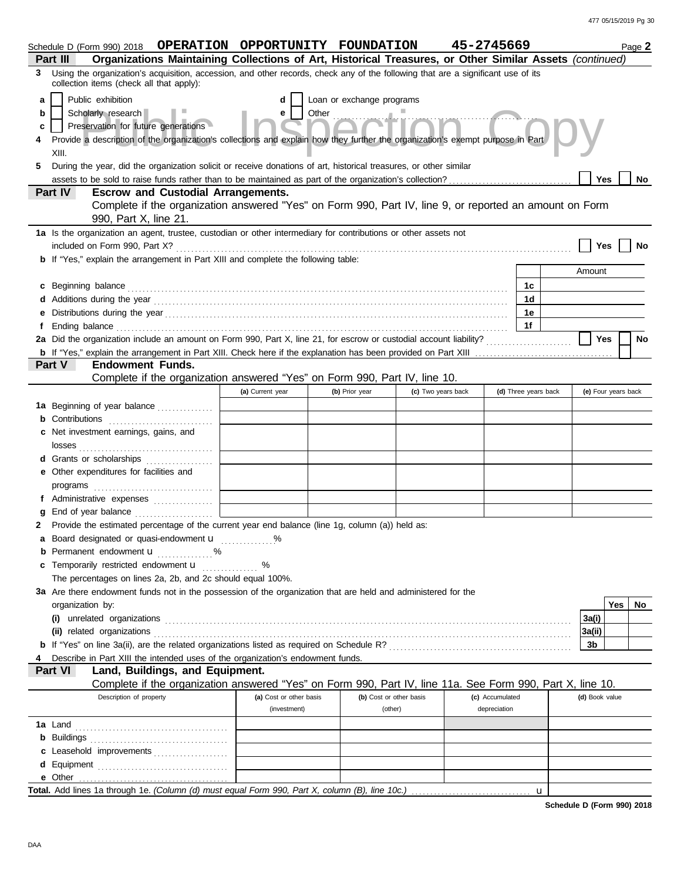|                | Schedule D (Form 990) 2018  OPERATION  OPPORTUNITY  FOUNDATION                                                                                                                                                                       |                                         |                           |                         | 45-2745669                      |                      | Page 2              |
|----------------|--------------------------------------------------------------------------------------------------------------------------------------------------------------------------------------------------------------------------------------|-----------------------------------------|---------------------------|-------------------------|---------------------------------|----------------------|---------------------|
| Part III       | Organizations Maintaining Collections of Art, Historical Treasures, or Other Similar Assets (continued)                                                                                                                              |                                         |                           |                         |                                 |                      |                     |
| 3              | Using the organization's acquisition, accession, and other records, check any of the following that are a significant use of its<br>collection items (check all that apply):                                                         |                                         |                           |                         |                                 |                      |                     |
| a              | Public exhibition                                                                                                                                                                                                                    | d                                       | Loan or exchange programs |                         |                                 |                      |                     |
| b              | Scholarly research                                                                                                                                                                                                                   | e                                       | Other                     |                         |                                 |                      |                     |
| c              | Preservation for future generations                                                                                                                                                                                                  |                                         |                           |                         |                                 |                      |                     |
|                | Provide a description of the organization's collections and explain how they further the organization's exempt purpose in Part                                                                                                       |                                         |                           |                         |                                 |                      |                     |
| XIII.          |                                                                                                                                                                                                                                      |                                         |                           |                         |                                 |                      |                     |
| 5              | During the year, did the organization solicit or receive donations of art, historical treasures, or other similar                                                                                                                    |                                         |                           |                         |                                 |                      |                     |
|                |                                                                                                                                                                                                                                      |                                         |                           |                         |                                 |                      | Yes<br>No           |
| Part IV        | <b>Escrow and Custodial Arrangements.</b>                                                                                                                                                                                            |                                         |                           |                         |                                 |                      |                     |
|                | Complete if the organization answered "Yes" on Form 990, Part IV, line 9, or reported an amount on Form<br>990, Part X, line 21.                                                                                                     |                                         |                           |                         |                                 |                      |                     |
|                | 1a Is the organization an agent, trustee, custodian or other intermediary for contributions or other assets not                                                                                                                      |                                         |                           |                         |                                 |                      |                     |
|                |                                                                                                                                                                                                                                      |                                         |                           |                         |                                 |                      | Yes<br>No           |
|                | <b>b</b> If "Yes," explain the arrangement in Part XIII and complete the following table:                                                                                                                                            |                                         |                           |                         |                                 |                      |                     |
|                |                                                                                                                                                                                                                                      |                                         |                           |                         |                                 |                      | Amount              |
|                | c Beginning balance <b>contract to the contract of the set of the contract of the contract of the contract of the contract of the contract of the contract of the contract of the contract of the contract of the contract of th</b> |                                         |                           |                         |                                 | 1c                   |                     |
|                |                                                                                                                                                                                                                                      |                                         |                           |                         |                                 | 1 <sub>d</sub>       |                     |
|                |                                                                                                                                                                                                                                      |                                         |                           |                         |                                 | 1е                   |                     |
|                | Ending balance <b>constructs</b> and constructs and constructs and constructs and constructs and constructs and constructs and constructs and constructs and constructs and constructs and constructs and constructs and constructs  |                                         |                           |                         |                                 | 1f                   |                     |
|                |                                                                                                                                                                                                                                      |                                         |                           |                         |                                 |                      | <b>Yes</b><br>No    |
|                |                                                                                                                                                                                                                                      |                                         |                           |                         |                                 |                      |                     |
| Part V         | <b>Endowment Funds.</b>                                                                                                                                                                                                              |                                         |                           |                         |                                 |                      |                     |
|                | Complete if the organization answered "Yes" on Form 990, Part IV, line 10.                                                                                                                                                           | (a) Current year                        | (b) Prior year            | (c) Two years back      |                                 | (d) Three years back | (e) Four years back |
|                | 1a Beginning of year balance                                                                                                                                                                                                         |                                         |                           |                         |                                 |                      |                     |
|                |                                                                                                                                                                                                                                      |                                         |                           |                         |                                 |                      |                     |
| c              | Net investment earnings, gains, and                                                                                                                                                                                                  |                                         |                           |                         |                                 |                      |                     |
|                |                                                                                                                                                                                                                                      |                                         |                           |                         |                                 |                      |                     |
|                | Grants or scholarships                                                                                                                                                                                                               |                                         |                           |                         |                                 |                      |                     |
| е              | Other expenditures for facilities and                                                                                                                                                                                                |                                         |                           |                         |                                 |                      |                     |
|                |                                                                                                                                                                                                                                      |                                         |                           |                         |                                 |                      |                     |
|                | Administrative expenses                                                                                                                                                                                                              |                                         |                           |                         |                                 |                      |                     |
|                |                                                                                                                                                                                                                                      |                                         |                           |                         |                                 |                      |                     |
|                | Provide the estimated percentage of the current year end balance (line 1g, column (a)) held as:                                                                                                                                      |                                         |                           |                         |                                 |                      |                     |
| а              | Board designated or quasi-endowment <b>u</b>                                                                                                                                                                                         | $\%$                                    |                           |                         |                                 |                      |                     |
|                | <b>b</b> Permanent endowment <b>u</b> %                                                                                                                                                                                              |                                         |                           |                         |                                 |                      |                     |
|                | Temporarily restricted endowment <b>u</b><br>The percentages on lines 2a, 2b, and 2c should equal 100%.                                                                                                                              |                                         |                           |                         |                                 |                      |                     |
|                | 3a Are there endowment funds not in the possession of the organization that are held and administered for the                                                                                                                        |                                         |                           |                         |                                 |                      |                     |
|                | organization by:                                                                                                                                                                                                                     |                                         |                           |                         |                                 |                      | Yes<br>No.          |
|                |                                                                                                                                                                                                                                      |                                         |                           |                         |                                 |                      | 3a(i)               |
|                |                                                                                                                                                                                                                                      |                                         |                           |                         |                                 |                      | 3a(ii)              |
|                |                                                                                                                                                                                                                                      |                                         |                           |                         |                                 |                      | 3b                  |
|                | Describe in Part XIII the intended uses of the organization's endowment funds.                                                                                                                                                       |                                         |                           |                         |                                 |                      |                     |
| Part VI        | Land, Buildings, and Equipment.                                                                                                                                                                                                      |                                         |                           |                         |                                 |                      |                     |
|                | Complete if the organization answered "Yes" on Form 990, Part IV, line 11a. See Form 990, Part X, line 10.                                                                                                                           |                                         |                           |                         |                                 |                      |                     |
|                | Description of property                                                                                                                                                                                                              | (a) Cost or other basis<br>(investment) | (other)                   | (b) Cost or other basis | (c) Accumulated<br>depreciation |                      | (d) Book value      |
| <b>1a</b> Land |                                                                                                                                                                                                                                      |                                         |                           |                         |                                 |                      |                     |
|                | <b>b</b> Buildings <b>contained b</b> Buildings <b>contained b</b> Buildings <b>contained by Buildings</b>                                                                                                                           |                                         |                           |                         |                                 |                      |                     |
|                | c Leasehold improvements                                                                                                                                                                                                             |                                         |                           |                         |                                 |                      |                     |
| d              |                                                                                                                                                                                                                                      |                                         |                           |                         |                                 |                      |                     |
|                |                                                                                                                                                                                                                                      |                                         |                           |                         |                                 |                      |                     |
|                |                                                                                                                                                                                                                                      |                                         |                           |                         |                                 |                      |                     |

**Schedule D (Form 990) 2018**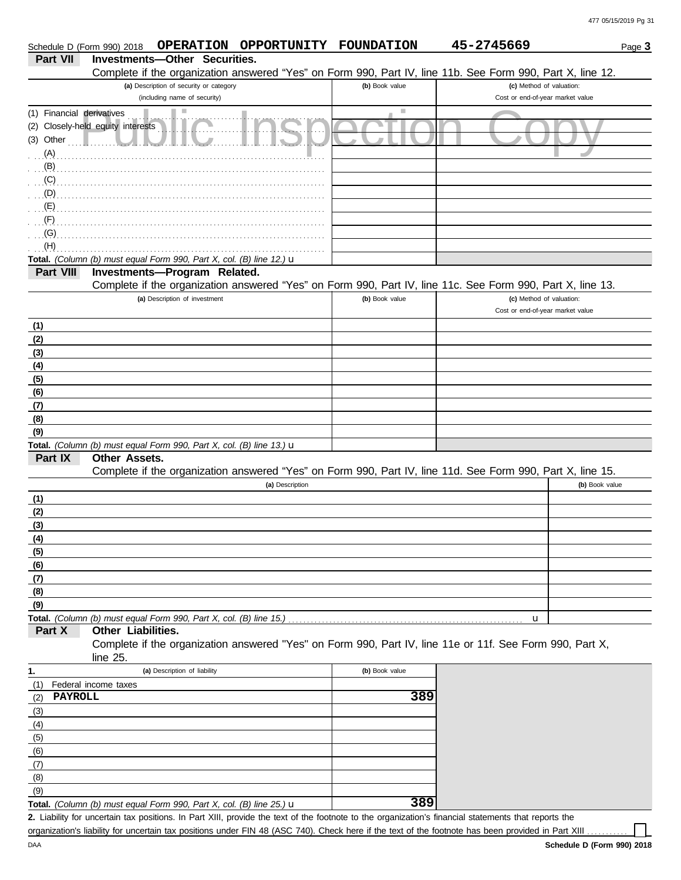|                           | <b>OPPORTUNITY</b><br><b>OPERATION</b><br>Schedule D (Form 990) 2018                                       | <b>FOUNDATION</b>           | 45-2745669                       | Page 3 |
|---------------------------|------------------------------------------------------------------------------------------------------------|-----------------------------|----------------------------------|--------|
| Part VII                  | Investments-Other Securities.                                                                              |                             |                                  |        |
|                           | Complete if the organization answered "Yes" on Form 990, Part IV, line 11b. See Form 990, Part X, line 12. |                             |                                  |        |
|                           | (a) Description of security or category                                                                    | (b) Book value              | (c) Method of valuation:         |        |
|                           | (including name of security)                                                                               |                             | Cost or end-of-year market value |        |
| (1) Financial derivatives | ш                                                                                                          | $\mathcal{L}_{\mathcal{A}}$ |                                  |        |
|                           | (2) Closely-held equity interests                                                                          |                             |                                  |        |
| (3) Other                 |                                                                                                            |                             |                                  |        |
| (A)                       |                                                                                                            |                             |                                  |        |
| (B)                       |                                                                                                            |                             |                                  |        |
| (C)                       |                                                                                                            |                             |                                  |        |
| (D)                       |                                                                                                            |                             |                                  |        |
|                           |                                                                                                            |                             |                                  |        |
| (E)                       |                                                                                                            |                             |                                  |        |
| (F)                       |                                                                                                            |                             |                                  |        |
| (G)                       |                                                                                                            |                             |                                  |        |
| (H)                       |                                                                                                            |                             |                                  |        |
|                           | Total. (Column (b) must equal Form 990, Part X, col. (B) line 12.) $\mathbf u$                             |                             |                                  |        |
| Part VIII                 | Investments-Program Related.                                                                               |                             |                                  |        |
|                           | Complete if the organization answered "Yes" on Form 990, Part IV, line 11c. See Form 990, Part X, line 13. |                             |                                  |        |
|                           | (a) Description of investment                                                                              | (b) Book value              | (c) Method of valuation:         |        |
|                           |                                                                                                            |                             | Cost or end-of-year market value |        |
| (1)                       |                                                                                                            |                             |                                  |        |
| (2)                       |                                                                                                            |                             |                                  |        |
| (3)                       |                                                                                                            |                             |                                  |        |
| (4)                       |                                                                                                            |                             |                                  |        |
| (5)                       |                                                                                                            |                             |                                  |        |
| (6)                       |                                                                                                            |                             |                                  |        |
| (7)                       |                                                                                                            |                             |                                  |        |
| (8)                       |                                                                                                            |                             |                                  |        |
| (9)                       |                                                                                                            |                             |                                  |        |
|                           | Total. (Column (b) must equal Form 990, Part X, col. (B) line 13.) $\mathbf u$                             |                             |                                  |        |
| Part IX                   | Other Assets.                                                                                              |                             |                                  |        |
|                           | Complete if the organization answered "Yes" on Form 990, Part IV, line 11d. See Form 990, Part X, line 15. |                             |                                  |        |
|                           | (a) Description                                                                                            |                             | (b) Book value                   |        |
|                           |                                                                                                            |                             |                                  |        |
| (1)                       |                                                                                                            |                             |                                  |        |
| (2)                       |                                                                                                            |                             |                                  |        |
| (3)                       |                                                                                                            |                             |                                  |        |
| (4)                       |                                                                                                            |                             |                                  |        |
| (5)                       |                                                                                                            |                             |                                  |        |
| (6)                       |                                                                                                            |                             |                                  |        |
| (7)                       |                                                                                                            |                             |                                  |        |
| (8)                       |                                                                                                            |                             |                                  |        |
| (9)                       |                                                                                                            |                             |                                  |        |
|                           | Total. (Column (b) must equal Form 990, Part X, col. (B) line 15.)                                         |                             | u                                |        |
| Part X                    | Other Liabilities.                                                                                         |                             |                                  |        |
|                           | Complete if the organization answered "Yes" on Form 990, Part IV, line 11e or 11f. See Form 990, Part X,   |                             |                                  |        |
|                           | line $25$ .                                                                                                |                             |                                  |        |
| 1.                        | (a) Description of liability                                                                               | (b) Book value              |                                  |        |
| (1)                       | Federal income taxes                                                                                       |                             |                                  |        |
| PAYROLL<br>(2)            |                                                                                                            | 389                         |                                  |        |
| (3)                       |                                                                                                            |                             |                                  |        |
|                           |                                                                                                            |                             |                                  |        |
| (4)                       |                                                                                                            |                             |                                  |        |
| (5)                       |                                                                                                            |                             |                                  |        |
| (6)                       |                                                                                                            |                             |                                  |        |
| (7)                       |                                                                                                            |                             |                                  |        |
| (8)                       |                                                                                                            |                             |                                  |        |
| (9)                       |                                                                                                            |                             |                                  |        |
|                           | Total. (Column (b) must equal Form 990, Part X, col. (B) line 25.) u                                       | 389                         |                                  |        |

**Total.** *(Column (b) must equal Form 990, Part X, col. (B) line 25.)* u

Liability for uncertain tax positions. In Part XIII, provide the text of the footnote to the organization's financial statements that reports the **2.** organization's liability for uncertain tax positions under FIN 48 (ASC 740). Check here if the text of the footnote has been provided in Part XIII ..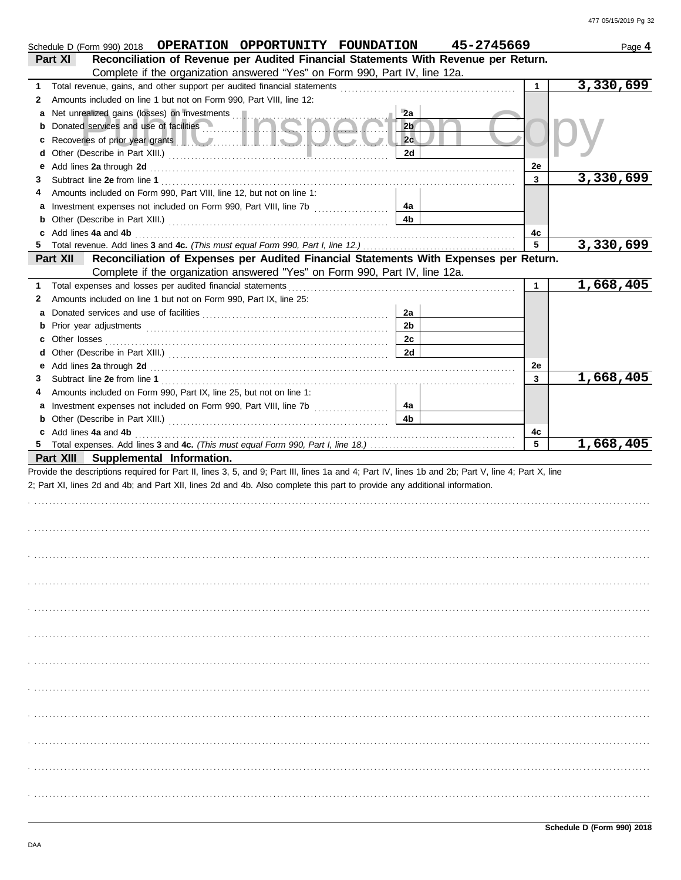|   | Schedule D (Form 990) 2018  OPERATION  OPPORTUNITY  FOUNDATION                                                                                                                                                                       |                | 45-2745669 |              | Page 4    |
|---|--------------------------------------------------------------------------------------------------------------------------------------------------------------------------------------------------------------------------------------|----------------|------------|--------------|-----------|
|   | Reconciliation of Revenue per Audited Financial Statements With Revenue per Return.<br>Part XI                                                                                                                                       |                |            |              |           |
|   | Complete if the organization answered "Yes" on Form 990, Part IV, line 12a.                                                                                                                                                          |                |            |              |           |
| 1 |                                                                                                                                                                                                                                      |                |            | $\mathbf{1}$ | 3,330,699 |
| 2 | Amounts included on line 1 but not on Form 990, Part VIII, line 12:                                                                                                                                                                  |                |            |              |           |
|   |                                                                                                                                                                                                                                      | 2a             |            |              |           |
|   | Donated services and use of facilities <b>with the service of the service of the service</b>                                                                                                                                         | 2 <sub>b</sub> |            |              |           |
|   | Recoveries of prior year grants <b>All Manual Prior Contract Contract Contract Contract Contract Contract Contract Contract Contract Contract Contract Contract Contract Contract Contract Contract Contract Contract Contract C</b> | 2c             |            |              |           |
|   |                                                                                                                                                                                                                                      | 2d             |            |              |           |
|   | Add lines 2a through 2d [11] March 20 [11] March 20 [11] March 20 [11] March 20 [11] March 20 [11] March 20 [11] March 20 [11] March 20 [11] March 20 [11] March 20 [11] March 20 [11] March 20 [11] March 20 [11] March 20 [1       |                |            | 2e           |           |
| 3 |                                                                                                                                                                                                                                      |                |            | 3            | 3,330,699 |
|   | Amounts included on Form 990, Part VIII, line 12, but not on line 1:                                                                                                                                                                 |                |            |              |           |
|   | Investment expenses not included on Form 990, Part VIII, line 7b [                                                                                                                                                                   | 4a             |            |              |           |
|   |                                                                                                                                                                                                                                      | 4b             |            |              |           |
|   | c Add lines 4a and 4b                                                                                                                                                                                                                |                |            | 4c           |           |
|   |                                                                                                                                                                                                                                      |                |            | 5            | 3,330,699 |
|   | Reconciliation of Expenses per Audited Financial Statements With Expenses per Return.<br>Part XII                                                                                                                                    |                |            |              |           |
|   | Complete if the organization answered "Yes" on Form 990, Part IV, line 12a.                                                                                                                                                          |                |            |              |           |
| 1 | Total expenses and losses per audited financial statements                                                                                                                                                                           |                |            | $\mathbf{1}$ | 1,668,405 |
| 2 | Amounts included on line 1 but not on Form 990, Part IX, line 25:                                                                                                                                                                    |                |            |              |           |
|   |                                                                                                                                                                                                                                      | 2a             |            |              |           |
| b |                                                                                                                                                                                                                                      | 2 <sub>b</sub> |            |              |           |
|   |                                                                                                                                                                                                                                      | 2c             |            |              |           |
| d |                                                                                                                                                                                                                                      | 2d             |            |              |           |
| е |                                                                                                                                                                                                                                      |                |            | 2e           |           |
| З | Add lines 2a through 2d [11] Martin Martin Martin Martin Martin Martin Martin Martin Martin Martin Martin Martin Martin Martin Martin Martin Martin Martin Martin Martin Martin Martin Martin Martin Martin Martin Martin Mart       |                |            | 3            | 1,668,405 |
| 4 | Amounts included on Form 990, Part IX, line 25, but not on line 1:                                                                                                                                                                   |                |            |              |           |
|   |                                                                                                                                                                                                                                      |                |            |              |           |
|   | Investment expenses not included on Form 990, Part VIII, line 7b [100] [100] [100] [100] [100] [100] [100] [100] [100] [100] [100] [100] [100] [100] [100] [100] [100] [100] [100] [100] [100] [100] [100] [100] [100] [100] [       | 4a<br>4b       |            |              |           |
|   | c Add lines 4a and 4b                                                                                                                                                                                                                |                |            |              |           |
|   |                                                                                                                                                                                                                                      |                |            | 4c<br>5      | 1,668,405 |
|   | Part XIII Supplemental Information.                                                                                                                                                                                                  |                |            |              |           |
|   | Provide the descriptions required for Part II, lines 3, 5, and 9; Part III, lines 1a and 4; Part IV, lines 1b and 2b; Part V, line 4; Part X, line                                                                                   |                |            |              |           |
|   | 2; Part XI, lines 2d and 4b; and Part XII, lines 2d and 4b. Also complete this part to provide any additional information.                                                                                                           |                |            |              |           |
|   |                                                                                                                                                                                                                                      |                |            |              |           |
|   |                                                                                                                                                                                                                                      |                |            |              |           |
|   |                                                                                                                                                                                                                                      |                |            |              |           |
|   |                                                                                                                                                                                                                                      |                |            |              |           |
|   |                                                                                                                                                                                                                                      |                |            |              |           |
|   |                                                                                                                                                                                                                                      |                |            |              |           |
|   |                                                                                                                                                                                                                                      |                |            |              |           |
|   |                                                                                                                                                                                                                                      |                |            |              |           |
|   |                                                                                                                                                                                                                                      |                |            |              |           |
|   |                                                                                                                                                                                                                                      |                |            |              |           |
|   |                                                                                                                                                                                                                                      |                |            |              |           |
|   |                                                                                                                                                                                                                                      |                |            |              |           |
|   |                                                                                                                                                                                                                                      |                |            |              |           |
|   |                                                                                                                                                                                                                                      |                |            |              |           |
|   |                                                                                                                                                                                                                                      |                |            |              |           |
|   |                                                                                                                                                                                                                                      |                |            |              |           |
|   |                                                                                                                                                                                                                                      |                |            |              |           |
|   |                                                                                                                                                                                                                                      |                |            |              |           |
|   |                                                                                                                                                                                                                                      |                |            |              |           |
|   |                                                                                                                                                                                                                                      |                |            |              |           |
|   |                                                                                                                                                                                                                                      |                |            |              |           |
|   |                                                                                                                                                                                                                                      |                |            |              |           |
|   |                                                                                                                                                                                                                                      |                |            |              |           |
|   |                                                                                                                                                                                                                                      |                |            |              |           |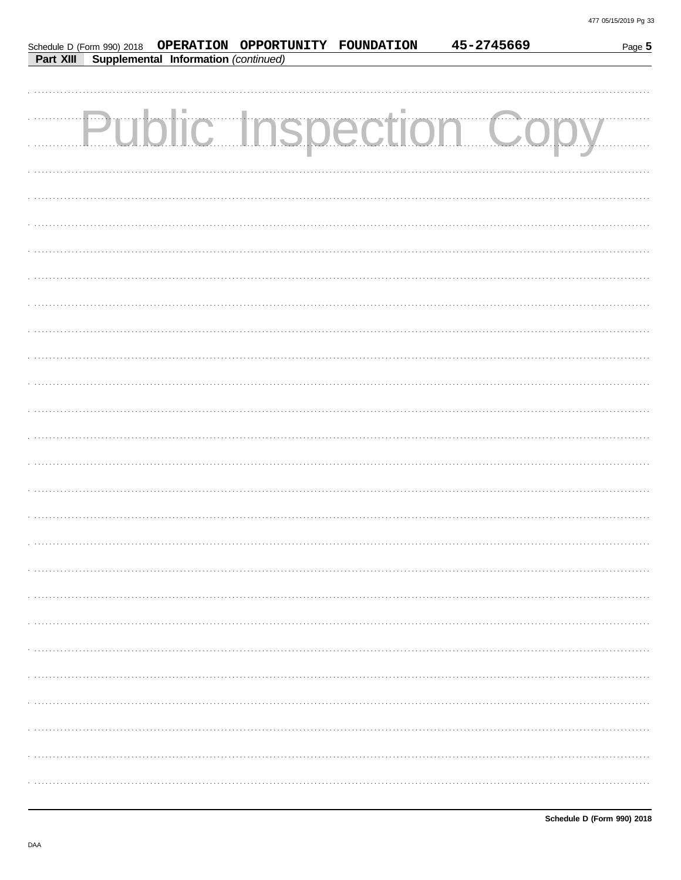|           |                                      | Schedule D (Form 990) 2018  OPERATION  OPPORTUNITY  FOUNDATION | 45-2745669                    | Page 5 |
|-----------|--------------------------------------|----------------------------------------------------------------|-------------------------------|--------|
| Part XIII | Supplemental Information (continued) |                                                                |                               |        |
|           |                                      |                                                                |                               |        |
|           |                                      |                                                                |                               |        |
|           |                                      |                                                                | <b>Public Inspection Copy</b> |        |
|           |                                      |                                                                |                               |        |
|           |                                      |                                                                |                               |        |
|           |                                      |                                                                |                               |        |
|           |                                      |                                                                |                               |        |
|           |                                      |                                                                |                               |        |
|           |                                      |                                                                |                               |        |
|           |                                      |                                                                |                               |        |
|           |                                      |                                                                |                               |        |
|           |                                      |                                                                |                               |        |
|           |                                      |                                                                |                               |        |
|           |                                      |                                                                |                               |        |
|           |                                      |                                                                |                               |        |
|           |                                      |                                                                |                               |        |
|           |                                      |                                                                |                               |        |
|           |                                      |                                                                |                               |        |
|           |                                      |                                                                |                               |        |
|           |                                      |                                                                |                               |        |
|           |                                      |                                                                |                               |        |
|           |                                      |                                                                |                               |        |
|           |                                      |                                                                |                               |        |
|           |                                      |                                                                |                               |        |
|           |                                      |                                                                |                               |        |
|           |                                      |                                                                |                               |        |
|           |                                      |                                                                |                               |        |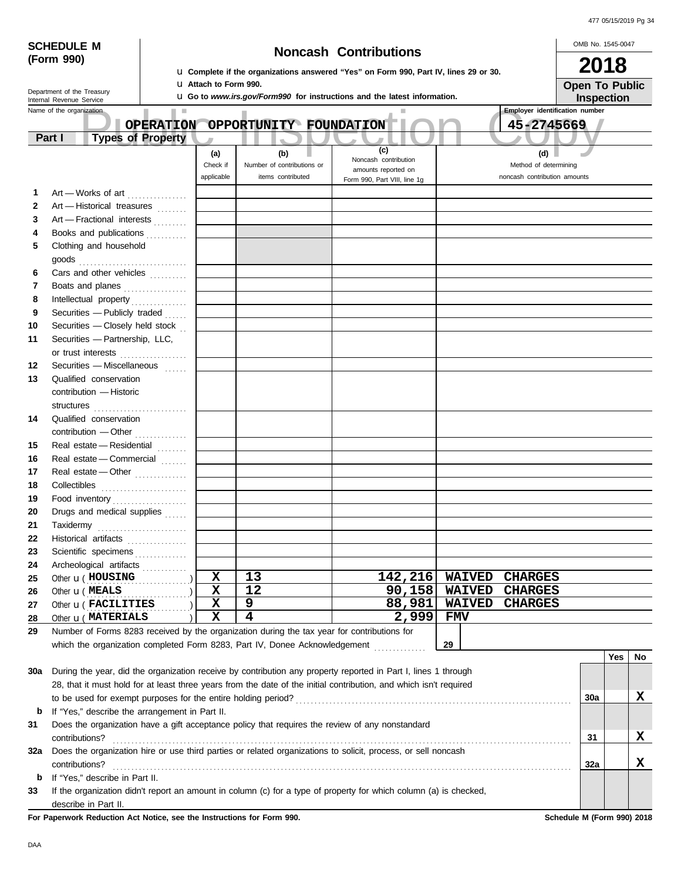| 477 05/15/2019 Pg 34 |  |
|----------------------|--|
|                      |  |

|                                    | <b>SCHEDULE M</b>          |                                                |                  |                                                                                                                 |                                                                                             |                                                                                                                    |               |                                                     | OMB No. 1545-0047          |     |                       |
|------------------------------------|----------------------------|------------------------------------------------|------------------|-----------------------------------------------------------------------------------------------------------------|---------------------------------------------------------------------------------------------|--------------------------------------------------------------------------------------------------------------------|---------------|-----------------------------------------------------|----------------------------|-----|-----------------------|
|                                    | (Form 990)                 |                                                |                  |                                                                                                                 |                                                                                             | <b>Noncash Contributions</b>                                                                                       |               |                                                     | 2018                       |     |                       |
|                                    |                            |                                                |                  | U. Complete if the organizations answered "Yes" on Form 990, Part IV, lines 29 or 30.                           |                                                                                             |                                                                                                                    |               |                                                     |                            |     |                       |
|                                    | Department of the Treasury |                                                |                  | <b>U</b> Attach to Form 990.<br><b>u</b> Go to www.irs.gov/Form990 for instructions and the latest information. |                                                                                             |                                                                                                                    |               |                                                     |                            |     | <b>Open To Public</b> |
|                                    | Internal Revenue Service   |                                                |                  |                                                                                                                 |                                                                                             |                                                                                                                    |               |                                                     | Inspection                 |     |                       |
|                                    | Name of the organization   |                                                | <b>OPERATION</b> |                                                                                                                 | OPPORTUNITY FOUNDATION                                                                      |                                                                                                                    |               | <b>Employer identification number</b><br>45-2745669 |                            |     |                       |
| <b>Types of Property</b><br>Part I |                            |                                                |                  |                                                                                                                 |                                                                                             |                                                                                                                    |               |                                                     |                            |     |                       |
|                                    |                            |                                                |                  | (a)                                                                                                             | (b)                                                                                         | (c)                                                                                                                |               | (d)                                                 |                            |     |                       |
|                                    |                            |                                                |                  | Check if                                                                                                        | Number of contributions or                                                                  | Noncash contribution                                                                                               |               | Method of determining                               |                            |     |                       |
|                                    |                            |                                                |                  | applicable                                                                                                      | items contributed                                                                           | amounts reported on<br>Form 990, Part VIII, line 1g                                                                |               | noncash contribution amounts                        |                            |     |                       |
| 1                                  |                            | Art - Works of art                             |                  |                                                                                                                 |                                                                                             |                                                                                                                    |               |                                                     |                            |     |                       |
| $\mathbf{2}$                       |                            | Art - Historical treasures                     |                  |                                                                                                                 |                                                                                             |                                                                                                                    |               |                                                     |                            |     |                       |
| 3                                  |                            | Art - Fractional interests                     |                  |                                                                                                                 |                                                                                             |                                                                                                                    |               |                                                     |                            |     |                       |
| 4                                  |                            | Books and publications                         |                  |                                                                                                                 |                                                                                             |                                                                                                                    |               |                                                     |                            |     |                       |
| 5                                  |                            | Clothing and household                         |                  |                                                                                                                 |                                                                                             |                                                                                                                    |               |                                                     |                            |     |                       |
|                                    |                            |                                                |                  |                                                                                                                 |                                                                                             |                                                                                                                    |               |                                                     |                            |     |                       |
| 6                                  |                            | Cars and other vehicles                        |                  |                                                                                                                 |                                                                                             |                                                                                                                    |               |                                                     |                            |     |                       |
| 7                                  |                            | Boats and planes                               |                  |                                                                                                                 |                                                                                             |                                                                                                                    |               |                                                     |                            |     |                       |
| 8                                  |                            | Intellectual property                          |                  |                                                                                                                 |                                                                                             |                                                                                                                    |               |                                                     |                            |     |                       |
| 9                                  |                            | Securities - Publicly traded                   |                  |                                                                                                                 |                                                                                             |                                                                                                                    |               |                                                     |                            |     |                       |
| 10                                 |                            | Securities - Closely held stock                |                  |                                                                                                                 |                                                                                             |                                                                                                                    |               |                                                     |                            |     |                       |
| 11                                 |                            | Securities - Partnership, LLC,                 |                  |                                                                                                                 |                                                                                             |                                                                                                                    |               |                                                     |                            |     |                       |
|                                    |                            | or trust interests                             |                  |                                                                                                                 |                                                                                             |                                                                                                                    |               |                                                     |                            |     |                       |
| 12                                 |                            | Securities - Miscellaneous                     |                  |                                                                                                                 |                                                                                             |                                                                                                                    |               |                                                     |                            |     |                       |
| 13                                 |                            | Qualified conservation                         |                  |                                                                                                                 |                                                                                             |                                                                                                                    |               |                                                     |                            |     |                       |
|                                    |                            | contribution - Historic                        |                  |                                                                                                                 |                                                                                             |                                                                                                                    |               |                                                     |                            |     |                       |
|                                    |                            |                                                |                  |                                                                                                                 |                                                                                             |                                                                                                                    |               |                                                     |                            |     |                       |
| 14                                 |                            | Qualified conservation                         |                  |                                                                                                                 |                                                                                             |                                                                                                                    |               |                                                     |                            |     |                       |
|                                    |                            | contribution - Other                           |                  |                                                                                                                 |                                                                                             |                                                                                                                    |               |                                                     |                            |     |                       |
| 15                                 |                            | Real estate - Residential                      |                  |                                                                                                                 |                                                                                             |                                                                                                                    |               |                                                     |                            |     |                       |
| 16                                 |                            | Real estate - Commercial                       |                  |                                                                                                                 |                                                                                             |                                                                                                                    |               |                                                     |                            |     |                       |
| 17                                 |                            | Real estate - Other                            |                  |                                                                                                                 |                                                                                             |                                                                                                                    |               |                                                     |                            |     |                       |
| 18                                 |                            |                                                |                  |                                                                                                                 |                                                                                             |                                                                                                                    |               |                                                     |                            |     |                       |
| 19                                 |                            |                                                |                  |                                                                                                                 |                                                                                             |                                                                                                                    |               |                                                     |                            |     |                       |
| 20                                 |                            | Drugs and medical supplies                     |                  |                                                                                                                 |                                                                                             |                                                                                                                    |               |                                                     |                            |     |                       |
| 21                                 | Taxidermy                  |                                                |                  |                                                                                                                 |                                                                                             |                                                                                                                    |               |                                                     |                            |     |                       |
| 22                                 |                            | Historical artifacts                           |                  |                                                                                                                 |                                                                                             |                                                                                                                    |               |                                                     |                            |     |                       |
| 23                                 |                            | Scientific specimens                           |                  |                                                                                                                 |                                                                                             |                                                                                                                    |               |                                                     |                            |     |                       |
| 24                                 |                            | Archeological artifacts                        |                  |                                                                                                                 |                                                                                             |                                                                                                                    |               |                                                     |                            |     |                       |
| 25                                 |                            | Other <b>u</b> (HOUSING                        |                  | $\mathbf x$                                                                                                     | 13                                                                                          | 142,216                                                                                                            | <b>WAIVED</b> | <b>CHARGES</b>                                      |                            |     |                       |
| 26                                 |                            | Other <b>u</b> (MEALS                          |                  | $\mathbf x$                                                                                                     | 12                                                                                          | 90,158                                                                                                             | <b>WAIVED</b> | <b>CHARGES</b>                                      |                            |     |                       |
| 27                                 |                            | Other <b>u</b> (FACILITIES                     |                  | $\mathbf x$                                                                                                     | 9                                                                                           | 88,981                                                                                                             | <b>WAIVED</b> | <b>CHARGES</b>                                      |                            |     |                       |
| 28                                 |                            | Other <b>u</b> (MATERIALS                      |                  | $\mathbf x$                                                                                                     | 4                                                                                           | 2,999                                                                                                              | <b>FMV</b>    |                                                     |                            |     |                       |
| 29                                 |                            |                                                |                  |                                                                                                                 | Number of Forms 8283 received by the organization during the tax year for contributions for |                                                                                                                    |               |                                                     |                            |     |                       |
|                                    |                            |                                                |                  |                                                                                                                 | which the organization completed Form 8283, Part IV, Donee Acknowledgement                  |                                                                                                                    | 29            |                                                     |                            |     |                       |
|                                    |                            |                                                |                  |                                                                                                                 |                                                                                             |                                                                                                                    |               |                                                     |                            | Yes | No                    |
| 30a                                |                            |                                                |                  |                                                                                                                 |                                                                                             | During the year, did the organization receive by contribution any property reported in Part I, lines 1 through     |               |                                                     |                            |     |                       |
|                                    |                            |                                                |                  |                                                                                                                 |                                                                                             | 28, that it must hold for at least three years from the date of the initial contribution, and which isn't required |               |                                                     |                            |     | X                     |
|                                    |                            |                                                |                  |                                                                                                                 |                                                                                             |                                                                                                                    |               |                                                     | 30a                        |     |                       |
| b                                  |                            | If "Yes," describe the arrangement in Part II. |                  |                                                                                                                 |                                                                                             |                                                                                                                    |               |                                                     |                            |     |                       |
| 31                                 |                            |                                                |                  |                                                                                                                 |                                                                                             | Does the organization have a gift acceptance policy that requires the review of any nonstandard                    |               |                                                     |                            |     | X                     |
| 32a                                | contributions?             |                                                |                  |                                                                                                                 |                                                                                             | Does the organization hire or use third parties or related organizations to solicit, process, or sell noncash      |               |                                                     | 31                         |     |                       |
|                                    |                            |                                                |                  |                                                                                                                 |                                                                                             |                                                                                                                    |               |                                                     |                            |     | х                     |
|                                    | contributions?             | If "Yes," describe in Part II.                 |                  |                                                                                                                 |                                                                                             |                                                                                                                    |               |                                                     | 32a                        |     |                       |
| b<br>33                            |                            |                                                |                  |                                                                                                                 |                                                                                             | If the organization didn't report an amount in column (c) for a type of property for which column (a) is checked,  |               |                                                     |                            |     |                       |
|                                    |                            | describe in Part II.                           |                  |                                                                                                                 |                                                                                             |                                                                                                                    |               |                                                     |                            |     |                       |
|                                    |                            |                                                |                  |                                                                                                                 | For Paperwork Reduction Act Notice, see the Instructions for Form 990.                      |                                                                                                                    |               |                                                     | Schedule M (Form 990) 2018 |     |                       |
|                                    |                            |                                                |                  |                                                                                                                 |                                                                                             |                                                                                                                    |               |                                                     |                            |     |                       |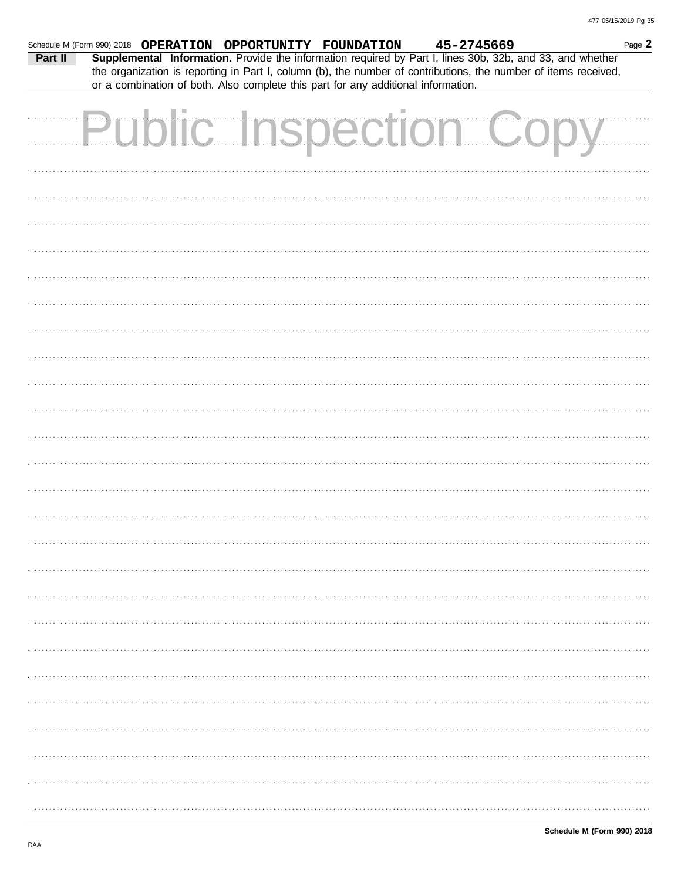| Schedule M (Form 990) 2018 OPERATION OPPORTUNITY FOUNDATION<br>Part II |  |  | or a combination of both. Also complete this part for any additional information. |  | 45-2745669            | Page 2<br>Supplemental Information. Provide the information required by Part I, lines 30b, 32b, and 33, and whether<br>the organization is reporting in Part I, column (b), the number of contributions, the number of items received, |  |
|------------------------------------------------------------------------|--|--|-----------------------------------------------------------------------------------|--|-----------------------|----------------------------------------------------------------------------------------------------------------------------------------------------------------------------------------------------------------------------------------|--|
|                                                                        |  |  |                                                                                   |  | Public Inspection Cop |                                                                                                                                                                                                                                        |  |
|                                                                        |  |  |                                                                                   |  |                       |                                                                                                                                                                                                                                        |  |
|                                                                        |  |  |                                                                                   |  |                       |                                                                                                                                                                                                                                        |  |
|                                                                        |  |  |                                                                                   |  |                       |                                                                                                                                                                                                                                        |  |
|                                                                        |  |  |                                                                                   |  |                       |                                                                                                                                                                                                                                        |  |
|                                                                        |  |  |                                                                                   |  |                       |                                                                                                                                                                                                                                        |  |
|                                                                        |  |  |                                                                                   |  |                       |                                                                                                                                                                                                                                        |  |
|                                                                        |  |  |                                                                                   |  |                       |                                                                                                                                                                                                                                        |  |
|                                                                        |  |  |                                                                                   |  |                       |                                                                                                                                                                                                                                        |  |
|                                                                        |  |  |                                                                                   |  |                       |                                                                                                                                                                                                                                        |  |
|                                                                        |  |  |                                                                                   |  |                       |                                                                                                                                                                                                                                        |  |
|                                                                        |  |  |                                                                                   |  |                       |                                                                                                                                                                                                                                        |  |
|                                                                        |  |  |                                                                                   |  |                       |                                                                                                                                                                                                                                        |  |
|                                                                        |  |  |                                                                                   |  |                       |                                                                                                                                                                                                                                        |  |
|                                                                        |  |  |                                                                                   |  |                       |                                                                                                                                                                                                                                        |  |
|                                                                        |  |  |                                                                                   |  |                       |                                                                                                                                                                                                                                        |  |
|                                                                        |  |  |                                                                                   |  |                       |                                                                                                                                                                                                                                        |  |
|                                                                        |  |  |                                                                                   |  |                       |                                                                                                                                                                                                                                        |  |
|                                                                        |  |  |                                                                                   |  |                       |                                                                                                                                                                                                                                        |  |
|                                                                        |  |  |                                                                                   |  |                       |                                                                                                                                                                                                                                        |  |
|                                                                        |  |  |                                                                                   |  |                       |                                                                                                                                                                                                                                        |  |
|                                                                        |  |  |                                                                                   |  |                       |                                                                                                                                                                                                                                        |  |
|                                                                        |  |  |                                                                                   |  |                       |                                                                                                                                                                                                                                        |  |
|                                                                        |  |  |                                                                                   |  |                       |                                                                                                                                                                                                                                        |  |
|                                                                        |  |  |                                                                                   |  |                       |                                                                                                                                                                                                                                        |  |
|                                                                        |  |  |                                                                                   |  |                       |                                                                                                                                                                                                                                        |  |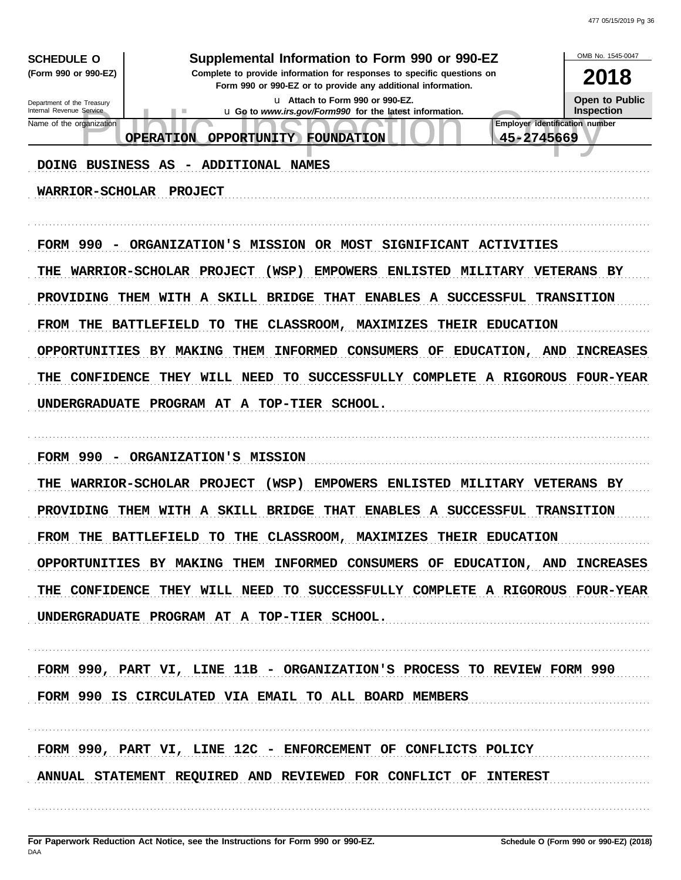| <b>SCHEDULE O</b>                                      | Supplemental Information to Form 990 or 990-EZ                                                                                         | OMB No. 1545-0047                          |
|--------------------------------------------------------|----------------------------------------------------------------------------------------------------------------------------------------|--------------------------------------------|
| (Form 990 or 990-EZ)                                   | Complete to provide information for responses to specific questions on<br>Form 990 or 990-EZ or to provide any additional information. | 2018                                       |
| Department of the Treasury<br>Internal Revenue Service | u Attach to Form 990 or 990-EZ.                                                                                                        | <b>Open to Public</b><br><b>Inspection</b> |
| Name of the organization                               | u Go to www.irs.gov/Form990 for the latest information.                                                                                | <b>Employer identification number</b>      |
|                                                        | 45-2745669<br><b>OPERATION</b><br><b>OPPORTUNITY</b><br><b>FOUNDATION</b>                                                              |                                            |
| DOING BUSINESS AS                                      | ADDITIONAL NAMES                                                                                                                       |                                            |
| <b>WARRIOR-SCHOLAR</b>                                 | <b>PROJECT</b>                                                                                                                         |                                            |
|                                                        |                                                                                                                                        |                                            |
|                                                        |                                                                                                                                        |                                            |
| FORM 990<br>$\overline{\phantom{m}}$                   | SIGNIFICANT ACTIVITIES<br>ORGANIZATION'S MISSION OR MOST                                                                               |                                            |
| THE                                                    | (WSP)<br><b>EMPOWERS</b><br><b>ENLISTED</b><br><b>MILITARY VETERANS BY</b><br>WARRIOR-SCHOLAR PROJECT                                  |                                            |
| PROVIDING                                              | THEM WITH A SKILL BRIDGE<br><b>THAT</b><br>ENABLES A SUCCESSFUL                                                                        | <b>TRANSITION</b>                          |
|                                                        |                                                                                                                                        |                                            |
| FROM THE                                               | <b>BATTLEFIELD</b><br><b>THE</b><br>CLASSROOM,<br><b>MAXIMIZES</b><br>THEIR EDUCATION<br>TO                                            |                                            |
|                                                        | OPPORTUNITIES BY MAKING<br>THEM<br><b>INFORMED</b><br><b>CONSUMERS</b><br>EDUCATION,<br>OF<br><b>AND</b>                               | <b>INCREASES</b>                           |
| THE<br><b>CONFIDENCE</b>                               | THEY WILL NEED<br>TO<br>SUCCESSFULLY COMPLETE A RIGOROUS                                                                               | <b>FOUR-YEAR</b>                           |
| UNDERGRADUATE                                          | PROGRAM AT A TOP-TIER SCHOOL.                                                                                                          |                                            |
|                                                        |                                                                                                                                        |                                            |
|                                                        |                                                                                                                                        |                                            |
| FORM 990<br>$\overline{\phantom{a}}$                   | ORGANIZATION'S MISSION                                                                                                                 |                                            |
|                                                        | THE WARRIOR-SCHOLAR PROJECT<br><b>EMPOWERS</b><br><b>ENLISTED</b><br><b>MILITARY VETERANS BY</b><br>(WSP)                              |                                            |
|                                                        | PROVIDING THEM WITH A SKILL BRIDGE THAT<br>ENABLES A SUCCESSFUL                                                                        | <b>TRANSITION</b>                          |
|                                                        | FROM THE BATTLEFIELD TO THE CLASSROOM, MAXIMIZES THEIR EDUCATION                                                                       |                                            |
|                                                        | OPPORTUNITIES BY MAKING THEM INFORMED CONSUMERS OF EDUCATION, AND INCREASES                                                            |                                            |
|                                                        |                                                                                                                                        |                                            |
|                                                        | THE CONFIDENCE THEY WILL NEED TO SUCCESSFULLY COMPLETE A RIGOROUS FOUR-YEAR                                                            |                                            |
|                                                        | UNDERGRADUATE PROGRAM AT A TOP-TIER SCHOOL.                                                                                            |                                            |
|                                                        |                                                                                                                                        |                                            |
|                                                        | FORM 990, PART VI, LINE 11B - ORGANIZATION'S PROCESS TO REVIEW FORM 990                                                                |                                            |
|                                                        | FORM 990 IS CIRCULATED VIA EMAIL TO ALL BOARD MEMBERS                                                                                  |                                            |
|                                                        |                                                                                                                                        |                                            |
|                                                        |                                                                                                                                        |                                            |
|                                                        | FORM 990, PART VI, LINE 12C - ENFORCEMENT OF CONFLICTS POLICY                                                                          |                                            |
|                                                        | ANNUAL STATEMENT REQUIRED AND REVIEWED FOR CONFLICT OF INTEREST                                                                        |                                            |
|                                                        |                                                                                                                                        |                                            |